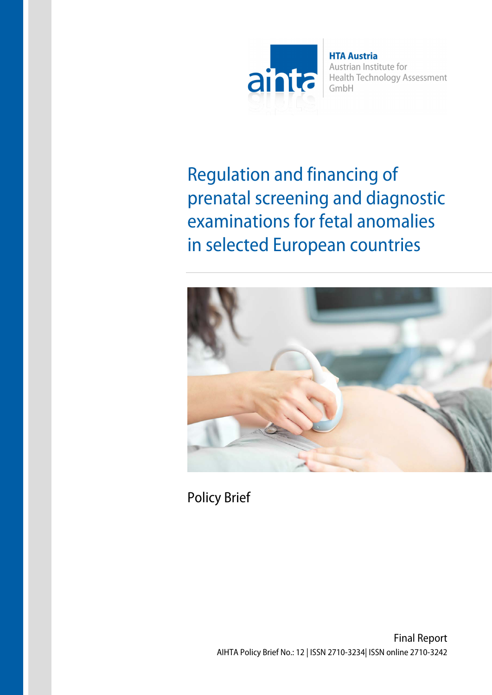

**HTA Austria** Austrian Institute for Health Technology Assessment GmbH

Regulation and financing of prenatal screening and diagnostic examinations for fetal anomalies in selected European countries



Policy Brief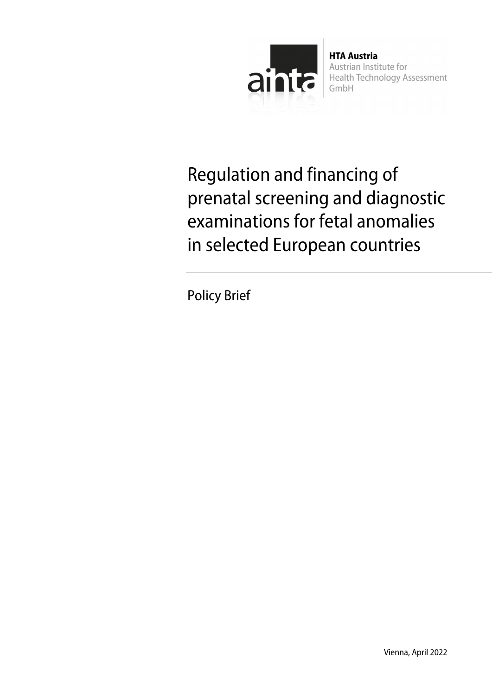

**HTA Austria** Austrian Institute for **Health Technology Assessment** GmbH

Regulation and financing of prenatal screening and diagnostic examinations for fetal anomalies in selected European countries

Policy Brief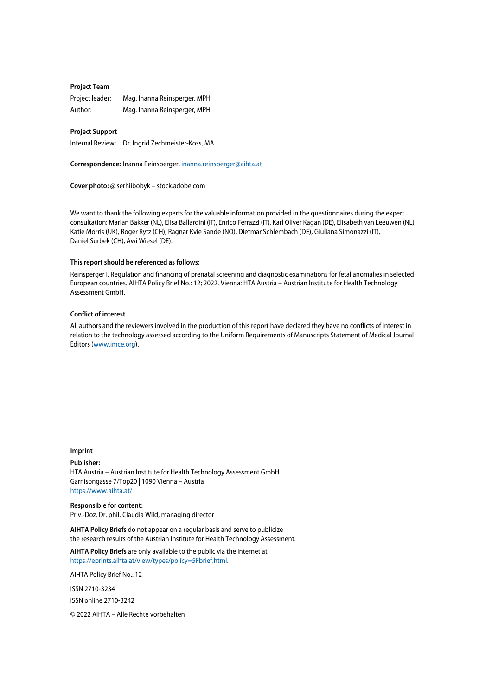#### **Project Team**

Project leader: Mag. Inanna Reinsperger, MPH Author: Mag. Inanna Reinsperger, MPH

#### **Project Support**

Internal Review: Dr. Ingrid Zechmeister-Koss, MA

**Correspondence:** Inanna Reinsperger[, inanna.reinsperger@aihta.at](mailto:inanna.reinsperger@aihta.at)

**Cover photo:** @ serhiibobyk – stock.adobe.com

We want to thank the following experts for the valuable information provided in the questionnaires during the expert consultation: Marian Bakker (NL), Elisa Ballardini (IT), Enrico Ferrazzi (IT), Karl Oliver Kagan (DE), Elisabeth van Leeuwen (NL), Katie Morris (UK), Roger Rytz (CH), Ragnar Kvie Sande (NO), Dietmar Schlembach (DE), Giuliana Simonazzi (IT), Daniel Surbek (CH), Awi Wiesel (DE).

#### **This report should be referenced as follows:**

Reinsperger I. Regulation and financing of prenatal screening and diagnostic examinations for fetal anomalies in selected European countries. AIHTA Policy Brief No.: 12; 2022. Vienna: HTA Austria – Austrian Institute for Health Technology Assessment GmbH.

#### **Conflict of interest**

All authors and the reviewers involved in the production of this report have declared they have no conflicts of interest in relation to the technology assessed according to the Uniform Requirements of Manuscripts Statement of Medical Journal Editors [\(www.imce.org\)](http://www.imce.org/).

#### **Imprint**

**Publisher:**

HTA Austria – Austrian Institute for Health Technology Assessment GmbH Garnisongasse 7/Top20 | 1090 Vienna – Austria <https://www.aihta.at/>

**Responsible for content:** Priv.-Doz. Dr. phil. Claudia Wild, managing director

**AIHTA Policy Briefs** do not appear on a regular basis and serve to publicize the research results of the Austrian Institute for Health Technology Assessment.

**AIHTA Policy Briefs** are only available to the public via the Internet at [https://eprints.aihta.at/view/types/policy=5Fbrief.html.](https://eprints.aihta.at/view/types/policy=5Fbrief.html)

AIHTA Policy Brief No.: 12

ISSN 2710-3234 ISSN online 2710-3242

© 2022 AIHTA – Alle Rechte vorbehalten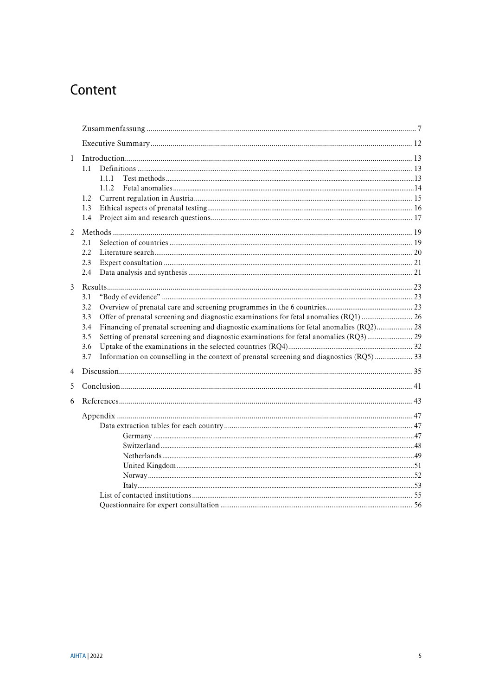# Content

| $\mathbf{1}$   | 1.1<br>111<br>1.1.2                                                                                                                                                                                                                                                                                                             |  |
|----------------|---------------------------------------------------------------------------------------------------------------------------------------------------------------------------------------------------------------------------------------------------------------------------------------------------------------------------------|--|
|                | 1.2<br>1.3<br>1.4                                                                                                                                                                                                                                                                                                               |  |
| 2              | 2.1<br>2.2.<br>2.3<br>2.4                                                                                                                                                                                                                                                                                                       |  |
| 3              | 3.1<br>3.2<br>Offer of prenatal screening and diagnostic examinations for fetal anomalies (RQ1)  26<br>3.3<br>Financing of prenatal screening and diagnostic examinations for fetal anomalies (RQ2) 28<br>3.4<br>3.5<br>3.6<br>Information on counselling in the context of prenatal screening and diagnostics (RQ5)  33<br>3.7 |  |
| $\overline{4}$ |                                                                                                                                                                                                                                                                                                                                 |  |
| 5              |                                                                                                                                                                                                                                                                                                                                 |  |
| 6              |                                                                                                                                                                                                                                                                                                                                 |  |
|                |                                                                                                                                                                                                                                                                                                                                 |  |
|                |                                                                                                                                                                                                                                                                                                                                 |  |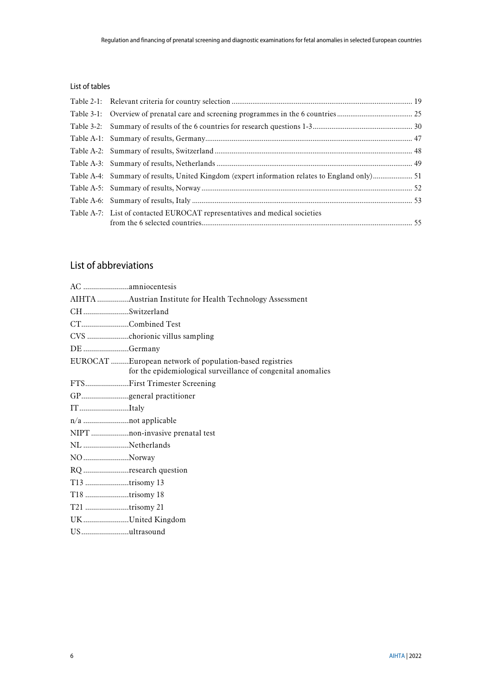#### List of tables

| Table A-4: Summary of results, United Kingdom (expert information relates to England only) 51 |  |
|-----------------------------------------------------------------------------------------------|--|
|                                                                                               |  |
|                                                                                               |  |
| Table A-7: List of contacted EUROCAT representatives and medical societies                    |  |

## List of abbreviations

|                | AIHTA Austrian Institute for Health Technology Assessment                                                               |
|----------------|-------------------------------------------------------------------------------------------------------------------------|
| CHSwitzerland  |                                                                                                                         |
|                | CTCombined Test                                                                                                         |
|                |                                                                                                                         |
| DE Germany     |                                                                                                                         |
|                | EUROCAT European network of population-based registries<br>for the epidemiological surveillance of congenital anomalies |
|                | FTSFirst Trimester Screening                                                                                            |
|                | GPgeneral practitioner                                                                                                  |
| ITItaly        |                                                                                                                         |
|                | n/a not applicable                                                                                                      |
|                | NIPT non-invasive prenatal test                                                                                         |
| NL Netherlands |                                                                                                                         |
| NO Norway      |                                                                                                                         |
|                | RQ research question                                                                                                    |
| T13 trisomy 13 |                                                                                                                         |
| T18 trisomy 18 |                                                                                                                         |
| T21 trisomy 21 |                                                                                                                         |
|                | UKUnited Kingdom                                                                                                        |
| USultrasound   |                                                                                                                         |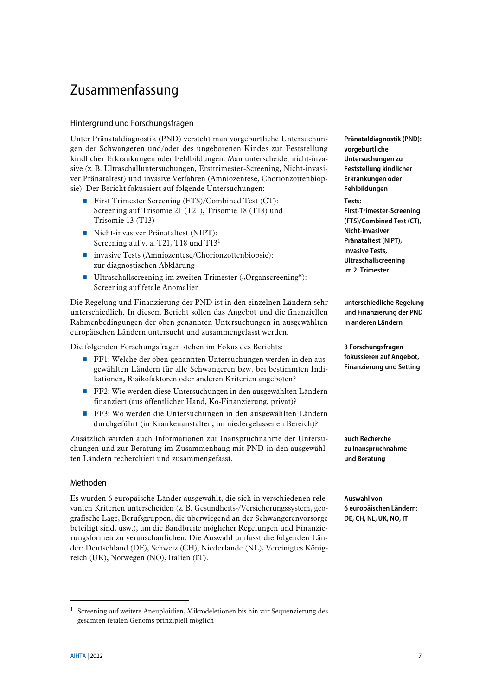# <span id="page-6-0"></span>Zusammenfassung

#### Hintergrund und Forschungsfragen

Unter Pränataldiagnostik (PND) versteht man vorgeburtliche Untersuchungen der Schwangeren und/oder des ungeborenen Kindes zur Feststellung kindlicher Erkrankungen oder Fehlbildungen. Man unterscheidet nicht-invasive (z. B. Ultraschalluntersuchungen, Ersttrimester-Screening, Nicht-invasiver Pränataltest) und invasive Verfahren (Amniozentese, Chorionzottenbiopsie). Der Bericht fokussiert auf folgende Untersuchungen:

- First Trimester Screening (FTS)/Combined Test (CT): Screening auf Trisomie 21 (T21), Trisomie 18 (T18) und Trisomie 13 (T13)
- Nicht-invasiver Pränataltest (NIPT): Screening auf v. a. T21, T18 und T13<sup>1</sup>
- invasive Tests (Amniozentese/Chorionzottenbiopsie): zur diagnostischen Abklärung
- Ultraschallscreening im zweiten Trimester  $($ "Organscreening" $)$ : Screening auf fetale Anomalien

Die Regelung und Finanzierung der PND ist in den einzelnen Ländern sehr unterschiedlich. In diesem Bericht sollen das Angebot und die finanziellen Rahmenbedingungen der oben genannten Untersuchungen in ausgewählten europäischen Ländern untersucht und zusammengefasst werden.

Die folgenden Forschungsfragen stehen im Fokus des Berichts:

- FF1: Welche der oben genannten Untersuchungen werden in den ausgewählten Ländern für alle Schwangeren bzw. bei bestimmten Indikationen, Risikofaktoren oder anderen Kriterien angeboten?
- FF2: Wie werden diese Untersuchungen in den ausgewählten Ländern finanziert (aus öffentlicher Hand, Ko-Finanzierung, privat)?
- FF3: Wo werden die Untersuchungen in den ausgewählten Ländern durchgeführt (in Krankenanstalten, im niedergelassenen Bereich)?

Zusätzlich wurden auch Informationen zur Inanspruchnahme der Untersuchungen und zur Beratung im Zusammenhang mit PND in den ausgewählten Ländern recherchiert und zusammengefasst.

#### Methoden

Es wurden 6 europäische Länder ausgewählt, die sich in verschiedenen relevanten Kriterien unterscheiden (z. B. Gesundheits-/Versicherungssystem, geografische Lage, Berufsgruppen, die überwiegend an der Schwangerenvorsorge beteiligt sind, usw.), um die Bandbreite möglicher Regelungen und Finanzierungsformen zu veranschaulichen. Die Auswahl umfasst die folgenden Länder: Deutschland (DE), Schweiz (CH), Niederlande (NL), Vereinigtes Königreich (UK), Norwegen (NO), Italien (IT).

**Pränataldiagnostik (PND): vorgeburtliche Untersuchungen zu Feststellung kindlicher Erkrankungen oder Fehlbildungen Tests: First-Trimester-Screening (FTS)/Combined Test (CT),** 

**Nicht-invasiver Pränataltest (NIPT), invasive Tests, Ultraschallscreening im 2. Trimester**

**unterschiedliche Regelung und Finanzierung der PND in anderen Ländern** 

**3 Forschungsfragen fokussieren auf Angebot, Finanzierung und Setting**

**auch Recherche zu Inanspruchnahme und Beratung**

**Auswahl von 6 europäischen Ländern: DE, CH, NL, UK, NO, IT**

<u>.</u>

<sup>1</sup> Screening auf weitere Aneuploidien, Mikrodeletionen bis hin zur Sequenzierung des gesamten fetalen Genoms prinzipiell möglich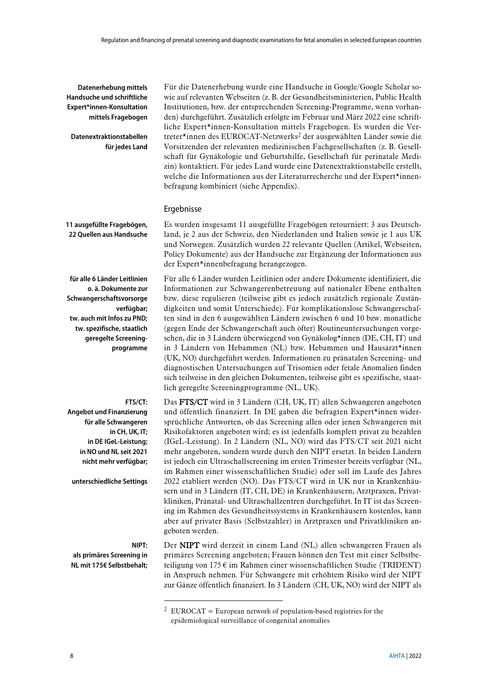#### **Datenerhebung mittels Handsuche und schriftliche Expert\*innen-Konsultation mittels Fragebogen**

**Datenextraktionstabellen für jedes Land**

Für die Datenerhebung wurde eine Handsuche in Google/Google Scholar sowie auf relevanten Webseiten (z. B. der Gesundheitsministerien, Public Health Institutionen, bzw. der entsprechenden Screening-Programme, wenn vorhanden) durchgeführt. Zusätzlich erfolgte im Februar und März 2022 eine schriftliche Expert\*innen-Konsultation mittels Fragebogen. Es wurden die Vertreter\*innen des EUROCAT-Netzwerks<sup>2</sup> der ausgewählten Länder sowie die Vorsitzenden der relevanten medizinischen Fachgesellschaften (z. B. Gesellschaft für Gynäkologie und Geburtshilfe, Gesellschaft für perinatale Medizin) kontaktiert. Für jedes Land wurde eine Datenextraktionstabelle erstellt, welche die Informationen aus der Literaturrecherche und der Expert\*innenbefragung kombiniert (siehe [Appendix\)](#page-46-0).

**11 ausgefüllte Fragebögen, 22 Quellen aus Handsuche**

**für alle 6 Länder Leitlinien o. ä. Dokumente zur Schwangerschaftsvorsorge verfügbar; tw. auch mit Infos zu PND; tw. spezifische, staatlich geregelte Screeningprogramme** 

#### **FTS/CT:**

**Angebot und Finanzierung für alle Schwangeren in CH, UK, IT; in DE IGeL-Leistung; in NO und NL seit 2021 nicht mehr verfügbar;** 

**unterschiedliche Settings**

#### **NIPT:**

<u>.</u>

**als primäres Screening in NL mit 175€ Selbstbehalt;** Ergebnisse Es wurden insgesamt 11 ausgefüllte Fragebögen retourniert: 3 aus Deutschland, je 2 aus der Schweiz, den Niederlanden und Italien sowie je 1 aus UK und Norwegen. Zusätzlich wurden 22 relevante Quellen (Artikel, Webseiten, Policy Dokumente) aus der Handsuche zur Ergänzung der Informationen aus der Expert\*innenbefragung herangezogen. Für alle 6 Länder wurden Leitlinien oder andere Dokumente identifiziert, die Informationen zur Schwangerenbetreuung auf nationaler Ebene enthalten

bzw. diese regulieren (teilweise gibt es jedoch zusätzlich regionale Zuständigkeiten und somit Unterschiede). Für komplikationslose Schwangerschaften sind in den 6 ausgewählten Ländern zwischen 6 und 10 bzw. monatliche (gegen Ende der Schwangerschaft auch öfter) Routineuntersuchungen vorgesehen, die in 3 Ländern überwiegend von Gynäkolog\*innen (DE, CH, IT) und in 3 Ländern von Hebammen (NL) bzw. Hebammen und Hausärzt\*innen (UK, NO) durchgeführt werden. Informationen zu pränatalen Screening- und diagnostischen Untersuchungen auf Trisomien oder fetale Anomalien finden sich teilweise in den gleichen Dokumenten, teilweise gibt es spezifische, staatlich geregelte Screeningprogramme (NL, UK).

Das FTS/CT wird in 3 Ländern (CH, UK, IT) allen Schwangeren angeboten und öffentlich finanziert. In DE gaben die befragten Expert\*innen widersprüchliche Antworten, ob das Screening allen oder jenen Schwangeren mit Risikofaktoren angeboten wird; es ist jedenfalls komplett privat zu bezahlen (IGeL-Leistung). In 2 Ländern (NL, NO) wird das FTS/CT seit 2021 nicht mehr angeboten, sondern wurde durch den NIPT ersetzt. In beiden Ländern ist jedoch ein Ultraschallscreening im ersten Trimester bereits verfügbar (NL, im Rahmen einer wissenschaftlichen Studie) oder soll im Laufe des Jahres 2022 etabliert werden (NO). Das FTS/CT wird in UK nur in Krankenhäusern und in 3 Ländern (IT, CH, DE) in Krankenhäusern, Arztpraxen, Privatkliniken, Pränatal- und Ultraschallzentren durchgeführt. In IT ist das Screening im Rahmen des Gesundheitssystems in Krankenhäusern kostenlos, kann aber auf privater Basis (Selbstzahler) in Arztpraxen und Privatkliniken angeboten werden.

Der NIPT wird derzeit in einem Land (NL) allen schwangeren Frauen als primäres Screening angeboten; Frauen können den Test mit einer Selbstbeteiligung von 175 $\epsilon$  im Rahmen einer wissenschaftlichen Studie (TRIDENT) in Anspruch nehmen. Für Schwangere mit erhöhtem Risiko wird der NIPT zur Gänze öffentlich finanziert. In 3 Ländern (CH, UK, NO) wird der NIPT als

<sup>&</sup>lt;sup>2</sup> EUROCAT = European network of population-based registries for the epidemiological surveillance of congenital anomalies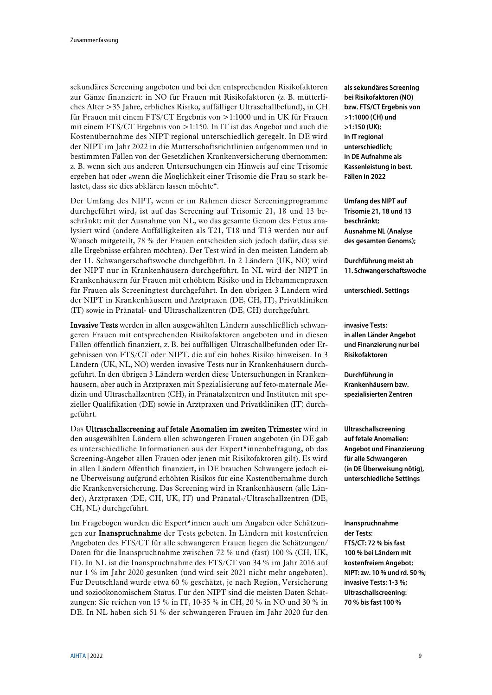sekundäres Screening angeboten und bei den entsprechenden Risikofaktoren zur Gänze finanziert: in NO für Frauen mit Risikofaktoren (z. B. mütterliches Alter >35 Jahre, erbliches Risiko, auffälliger Ultraschallbefund), in CH für Frauen mit einem FTS/CT Ergebnis von >1:1000 und in UK für Frauen mit einem FTS/CT Ergebnis von >1:150. In IT ist das Angebot und auch die Kostenübernahme des NIPT regional unterschiedlich geregelt. In DE wird der NIPT im Jahr 2022 in die Mutterschaftsrichtlinien aufgenommen und in bestimmten Fällen von der Gesetzlichen Krankenversicherung übernommen: z. B. wenn sich aus anderen Untersuchungen ein Hinweis auf eine Trisomie ergeben hat oder "wenn die Möglichkeit einer Trisomie die Frau so stark belastet, dass sie dies abklären lassen möchte".

Der Umfang des NIPT, wenn er im Rahmen dieser Screeningprogramme durchgeführt wird, ist auf das Screening auf Trisomie 21, 18 und 13 beschränkt; mit der Ausnahme von NL, wo das gesamte Genom des Fetus analysiert wird (andere Auffälligkeiten als T21, T18 und T13 werden nur auf Wunsch mitgeteilt, 78 % der Frauen entscheiden sich jedoch dafür, dass sie alle Ergebnisse erfahren möchten). Der Test wird in den meisten Ländern ab der 11. Schwangerschaftswoche durchgeführt. In 2 Ländern (UK, NO) wird der NIPT nur in Krankenhäusern durchgeführt. In NL wird der NIPT in Krankenhäusern für Frauen mit erhöhtem Risiko und in Hebammenpraxen für Frauen als Screeningtest durchgeführt. In den übrigen 3 Ländern wird der NIPT in Krankenhäusern und Arztpraxen (DE, CH, IT), Privatkliniken (IT) sowie in Pränatal- und Ultraschallzentren (DE, CH) durchgeführt.

Invasive Tests werden in allen ausgewählten Ländern ausschließlich schwangeren Frauen mit entsprechenden Risikofaktoren angeboten und in diesen Fällen öffentlich finanziert, z. B. bei auffälligen Ultraschallbefunden oder Ergebnissen von FTS/CT oder NIPT, die auf ein hohes Risiko hinweisen. In 3 Ländern (UK, NL, NO) werden invasive Tests nur in Krankenhäusern durchgeführt. In den übrigen 3 Ländern werden diese Untersuchungen in Krankenhäusern, aber auch in Arztpraxen mit Spezialisierung auf feto-maternale Medizin und Ultraschallzentren (CH), in Pränatalzentren und Instituten mit spezieller Qualifikation (DE) sowie in Arztpraxen und Privatkliniken (IT) durchgeführt.

Das Ultraschallscreening auf fetale Anomalien im zweiten Trimester wird in den ausgewählten Ländern allen schwangeren Frauen angeboten (in DE gab es unterschiedliche Informationen aus der Expert\*innenbefragung, ob das Screening-Angebot allen Frauen oder jenen mit Risikofaktoren gilt). Es wird in allen Ländern öffentlich finanziert, in DE brauchen Schwangere jedoch eine Überweisung aufgrund erhöhten Risikos für eine Kostenübernahme durch die Krankenversicherung. Das Screening wird in Krankenhäusern (alle Länder), Arztpraxen (DE, CH, UK, IT) und Pränatal-/Ultraschallzentren (DE, CH, NL) durchgeführt.

Im Fragebogen wurden die Expert\*innen auch um Angaben oder Schätzungen zur Inanspruchnahme der Tests gebeten. In Ländern mit kostenfreien Angeboten des FTS/CT für alle schwangeren Frauen liegen die Schätzungen/ Daten für die Inanspruchnahme zwischen 72 % und (fast) 100 % (CH, UK, IT). In NL ist die Inanspruchnahme des FTS/CT von 34 % im Jahr 2016 auf nur 1 % im Jahr 2020 gesunken (und wird seit 2021 nicht mehr angeboten). Für Deutschland wurde etwa 60 % geschätzt, je nach Region, Versicherung und sozioökonomischem Status. Für den NIPT sind die meisten Daten Schätzungen: Sie reichen von 15 % in IT, 10-35 % in CH, 20 % in NO und 30 % in DE. In NL haben sich 51 % der schwangeren Frauen im Jahr 2020 für den

**als sekundäres Screening bei Risikofaktoren (NO) bzw. FTS/CT Ergebnis von >1:1000 (CH) und >1:150 (UK); in IT regional unterschiedlich; in DE Aufnahme als Kassenleistung in best. Fällen in 2022**

**Umfang des NIPT auf Trisomie 21, 18 und 13 beschränkt; Ausnahme NL (Analyse des gesamten Genoms);**

**Durchführung meist ab 11. Schwangerschaftswoche**

**unterschiedl. Settings**

**invasive Tests: in allen Länder Angebot und Finanzierung nur bei Risikofaktoren**

**Durchführung in Krankenhäusern bzw. spezialisierten Zentren**

**Ultraschallscreening auf fetale Anomalien: Angebot und Finanzierung für alle Schwangeren (in DE Überweisung nötig), unterschiedliche Settings**

**Inanspruchnahme der Tests: FTS/CT: 72 % bis fast 100 % bei Ländern mit kostenfreiem Angebot; NIPT: zw. 10 % und rd. 50 %; invasive Tests: 1-3 %; Ultraschallscreening: 70 % bis fast 100 %**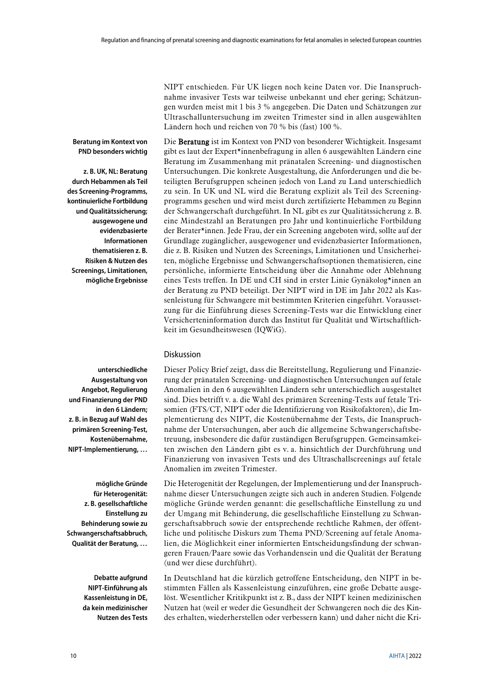**Beratung im Kontext von PND besonders wichtig**

**z. B. UK, NL: Beratung durch Hebammen als Teil des Screening-Programms, kontinuierliche Fortbildung und Qualitätssicherung; ausgewogene und evidenzbasierte Informationen thematisieren z. B. Risiken & Nutzen des Screenings, Limitationen, mögliche Ergebnisse**

NIPT entschieden. Für UK liegen noch keine Daten vor. Die Inanspruchnahme invasiver Tests war teilweise unbekannt und eher gering; Schätzungen wurden meist mit 1 bis 3 % angegeben. Die Daten und Schätzungen zur Ultraschalluntersuchung im zweiten Trimester sind in allen ausgewählten Ländern hoch und reichen von 70 % bis (fast) 100 %.

Die Beratung ist im Kontext von PND von besonderer Wichtigkeit. Insgesamt gibt es laut der Expert\*innenbefragung in allen 6 ausgewählten Ländern eine Beratung im Zusammenhang mit pränatalen Screening- und diagnostischen Untersuchungen. Die konkrete Ausgestaltung, die Anforderungen und die beteiligten Berufsgruppen scheinen jedoch von Land zu Land unterschiedlich zu sein. In UK und NL wird die Beratung explizit als Teil des Screeningprogramms gesehen und wird meist durch zertifizierte Hebammen zu Beginn der Schwangerschaft durchgeführt. In NL gibt es zur Qualitätssicherung z. B. eine Mindestzahl an Beratungen pro Jahr und kontinuierliche Fortbildung der Berater\*innen. Jede Frau, der ein Screening angeboten wird, sollte auf der Grundlage zugänglicher, ausgewogener und evidenzbasierter Informationen, die z. B. Risiken und Nutzen des Screenings, Limitationen und Unsicherheiten, mögliche Ergebnisse und Schwangerschaftsoptionen thematisieren, eine persönliche, informierte Entscheidung über die Annahme oder Ablehnung eines Tests treffen. In DE und CH sind in erster Linie Gynäkolog\*innen an der Beratung zu PND beteiligt. Der NIPT wird in DE im Jahr 2022 als Kassenleistung für Schwangere mit bestimmten Kriterien eingeführt. Voraussetzung für die Einführung dieses Screening-Tests war die Entwicklung einer Versicherteninformation durch das Institut für Qualität und Wirtschaftlichkeit im Gesundheitswesen (IQWiG).

#### Diskussion

**unterschiedliche Ausgestaltung von Angebot, Regulierung und Finanzierung der PND in den 6 Ländern; z. B. in Bezug auf Wahl des primären Screening-Test, Kostenübernahme, NIPT-Implementierung, …**

**mögliche Gründe für Heterogenität: z. B. gesellschaftliche Einstellung zu Behinderung sowie zu Schwangerschaftsabbruch, Qualität der Beratung, …**

> **Debatte aufgrund NIPT-Einführung als Kassenleistung in DE, da kein medizinischer Nutzen des Tests**

Dieser Policy Brief zeigt, dass die Bereitstellung, Regulierung und Finanzierung der pränatalen Screening- und diagnostischen Untersuchungen auf fetale Anomalien in den 6 ausgewählten Ländern sehr unterschiedlich ausgestaltet sind. Dies betrifft v. a. die Wahl des primären Screening-Tests auf fetale Trisomien (FTS/CT, NIPT oder die Identifizierung von Risikofaktoren), die Implementierung des NIPT, die Kostenübernahme der Tests, die Inanspruchnahme der Untersuchungen, aber auch die allgemeine Schwangerschaftsbetreuung, insbesondere die dafür zuständigen Berufsgruppen. Gemeinsamkeiten zwischen den Ländern gibt es v. a. hinsichtlich der Durchführung und Finanzierung von invasiven Tests und des Ultraschallscreenings auf fetale Anomalien im zweiten Trimester.

Die Heterogenität der Regelungen, der Implementierung und der Inanspruchnahme dieser Untersuchungen zeigte sich auch in anderen Studien. Folgende mögliche Gründe werden genannt: die gesellschaftliche Einstellung zu und der Umgang mit Behinderung, die gesellschaftliche Einstellung zu Schwangerschaftsabbruch sowie der entsprechende rechtliche Rahmen, der öffentliche und politische Diskurs zum Thema PND/Screening auf fetale Anomalien, die Möglichkeit einer informierten Entscheidungsfindung der schwangeren Frauen/Paare sowie das Vorhandensein und die Qualität der Beratung (und wer diese durchführt).

In Deutschland hat die kürzlich getroffene Entscheidung, den NIPT in bestimmten Fällen als Kassenleistung einzuführen, eine große Debatte ausgelöst. Wesentlicher Kritikpunkt ist z. B., dass der NIPT keinen medizinischen Nutzen hat (weil er weder die Gesundheit der Schwangeren noch die des Kindes erhalten, wiederherstellen oder verbessern kann) und daher nicht die Kri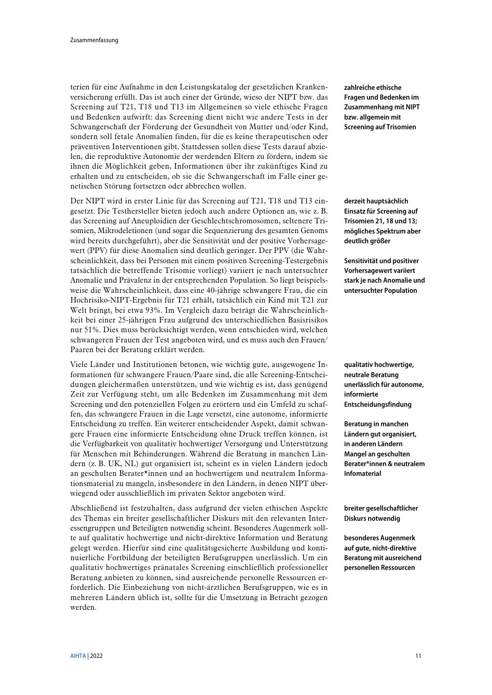terien für eine Aufnahme in den Leistungskatalog der gesetzlichen Krankenversicherung erfüllt. Das ist auch einer der Gründe, wieso der NIPT bzw. das Screening auf T21, T18 und T13 im Allgemeinen so viele ethische Fragen und Bedenken aufwirft: das Screening dient nicht wie andere Tests in der Schwangerschaft der Förderung der Gesundheit von Mutter und/oder Kind, sondern soll fetale Anomalien finden, für die es keine therapeutischen oder präventiven Interventionen gibt. Stattdessen sollen diese Tests darauf abzielen, die reproduktive Autonomie der werdenden Eltern zu fördern, indem sie ihnen die Möglichkeit geben, Informationen über ihr zukünftiges Kind zu erhalten und zu entscheiden, ob sie die Schwangerschaft im Falle einer genetischen Störung fortsetzen oder abbrechen wollen.

Der NIPT wird in erster Linie für das Screening auf T21, T18 und T13 eingesetzt. Die Testhersteller bieten jedoch auch andere Optionen an, wie z. B. das Screening auf Aneuploidien der Geschlechtschromosomen, seltenere Trisomien, Mikrodeletionen (und sogar die Sequenzierung des gesamten Genoms wird bereits durchgeführt), aber die Sensitivität und der positive Vorhersagewert (PPV) für diese Anomalien sind deutlich geringer. Der PPV (die Wahrscheinlichkeit, dass bei Personen mit einem positiven Screening-Testergebnis tatsächlich die betreffende Trisomie vorliegt) variiert je nach untersuchter Anomalie und Prävalenz in der entsprechenden Population. So liegt beispielsweise die Wahrscheinlichkeit, dass eine 40-jährige schwangere Frau, die ein Hochrisiko-NIPT-Ergebnis für T21 erhält, tatsächlich ein Kind mit T21 zur Welt bringt, bei etwa 93%. Im Vergleich dazu beträgt die Wahrscheinlichkeit bei einer 25-jährigen Frau aufgrund des unterschiedlichen Basisrisikos nur 51%. Dies muss berücksichtigt werden, wenn entschieden wird, welchen schwangeren Frauen der Test angeboten wird, und es muss auch den Frauen/ Paaren bei der Beratung erklärt werden.

Viele Länder und Institutionen betonen, wie wichtig gute, ausgewogene Informationen für schwangere Frauen/Paare sind, die alle Screening-Entscheidungen gleichermaßen unterstützen, und wie wichtig es ist, dass genügend Zeit zur Verfügung steht, um alle Bedenken im Zusammenhang mit dem Screening und den potenziellen Folgen zu erörtern und ein Umfeld zu schaffen, das schwangere Frauen in die Lage versetzt, eine autonome, informierte Entscheidung zu treffen. Ein weiterer entscheidender Aspekt, damit schwangere Frauen eine informierte Entscheidung ohne Druck treffen können, ist die Verfügbarkeit von qualitativ hochwertiger Versorgung und Unterstützung für Menschen mit Behinderungen. Während die Beratung in manchen Ländern (z. B. UK, NL) gut organisiert ist, scheint es in vielen Ländern jedoch an geschulten Berater\*innen und an hochwertigem und neutralem Informationsmaterial zu mangeln, insbesondere in den Ländern, in denen NIPT überwiegend oder ausschließlich im privaten Sektor angeboten wird.

Abschließend ist festzuhalten, dass aufgrund der vielen ethischen Aspekte des Themas ein breiter gesellschaftlicher Diskurs mit den relevanten Interessengruppen und Beteiligten notwendig scheint. Besonderes Augenmerk sollte auf qualitativ hochwertige und nicht-direktive Information und Beratung gelegt werden. Hierfür sind eine qualitätsgesicherte Ausbildung und kontinuierliche Fortbildung der beteiligten Berufsgruppen unerlässlich. Um ein qualitativ hochwertiges pränatales Screening einschließlich professioneller Beratung anbieten zu können, sind ausreichende personelle Ressourcen erforderlich. Die Einbeziehung von nicht-ärztlichen Berufsgruppen, wie es in mehreren Ländern üblich ist, sollte für die Umsetzung in Betracht gezogen werden.

**zahlreiche ethische Fragen und Bedenken im Zusammenhang mit NIPT bzw. allgemein mit Screening auf Trisomien**

**derzeit hauptsächlich Einsatz für Screening auf Trisomien 21, 18 und 13; mögliches Spektrum aber deutlich größer**

**Sensitivität und positiver Vorhersagewert variiert stark je nach Anomalie und untersuchter Population**

**qualitativ hochwertige, neutrale Beratung unerlässlich für autonome, informierte Entscheidungsfindung**

**Beratung in manchen Ländern gut organisiert, in anderen Ländern Mangel an geschulten Berater\*innen & neutralem Infomaterial**

**breiter gesellschaftlicher Diskurs notwendig**

**besonderes Augenmerk auf gute, nicht-direktive Beratung mit ausreichend personellen Ressourcen**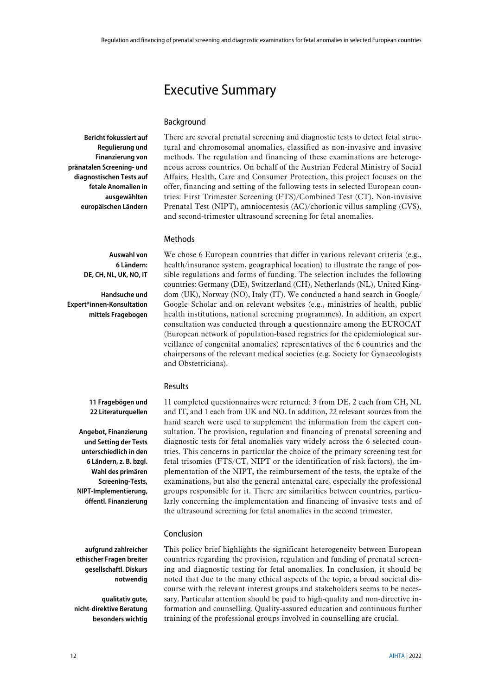# <span id="page-11-0"></span>Executive Summary

#### Background

**Bericht fokussiert auf Regulierung und Finanzierung von pränatalen Screening- und diagnostischen Tests auf fetale Anomalien in ausgewählten europäischen Ländern**

There are several prenatal screening and diagnostic tests to detect fetal structural and chromosomal anomalies, classified as non-invasive and invasive methods. The regulation and financing of these examinations are heterogeneous across countries. On behalf of the Austrian Federal Ministry of Social Affairs, Health, Care and Consumer Protection, this project focuses on the offer, financing and setting of the following tests in selected European countries: First Trimester Screening (FTS)/Combined Test (CT), Non-invasive Prenatal Test (NIPT), amniocentesis (AC)/chorionic villus sampling (CVS), and second-trimester ultrasound screening for fetal anomalies.

#### Methods

**Auswahl von 6 Ländern: DE, CH, NL, UK, NO, IT**

**Handsuche und Expert\*innen-Konsultation mittels Fragebogen**

We chose 6 European countries that differ in various relevant criteria (e.g., health/insurance system, geographical location) to illustrate the range of possible regulations and forms of funding. The selection includes the following countries: Germany (DE), Switzerland (CH), Netherlands (NL), United Kingdom (UK), Norway (NO), Italy (IT). We conducted a hand search in Google/ Google Scholar and on relevant websites (e.g., ministries of health, public health institutions, national screening programmes). In addition, an expert consultation was conducted through a questionnaire among the EUROCAT (European network of population-based registries for the epidemiological surveillance of congenital anomalies) representatives of the 6 countries and the chairpersons of the relevant medical societies (e.g. Society for Gynaecologists and Obstetricians).

#### Results

**11 Fragebögen und 22 Literaturquellen**

**Angebot, Finanzierung und Setting der Tests unterschiedlich in den 6 Ländern, z. B. bzgl. Wahl des primären Screening-Tests, NIPT-Implementierung, öffentl. Finanzierung**

11 completed questionnaires were returned: 3 from DE, 2 each from CH, NL and IT, and 1 each from UK and NO. In addition, 22 relevant sources from the hand search were used to supplement the information from the expert consultation. The provision, regulation and financing of prenatal screening and diagnostic tests for fetal anomalies vary widely across the 6 selected countries. This concerns in particular the choice of the primary screening test for fetal trisomies (FTS/CT, NIPT or the identification of risk factors), the implementation of the NIPT, the reimbursement of the tests, the uptake of the examinations, but also the general antenatal care, especially the professional groups responsible for it. There are similarities between countries, particularly concerning the implementation and financing of invasive tests and of the ultrasound screening for fetal anomalies in the second trimester.

#### Conclusion

**aufgrund zahlreicher ethischer Fragen breiter gesellschaftl. Diskurs notwendig**

**qualitativ gute, nicht-direktive Beratung besonders wichtig** This policy brief highlights the significant heterogeneity between European countries regarding the provision, regulation and funding of prenatal screening and diagnostic testing for fetal anomalies. In conclusion, it should be noted that due to the many ethical aspects of the topic, a broad societal discourse with the relevant interest groups and stakeholders seems to be necessary. Particular attention should be paid to high-quality and non-directive information and counselling. Quality-assured education and continuous further training of the professional groups involved in counselling are crucial.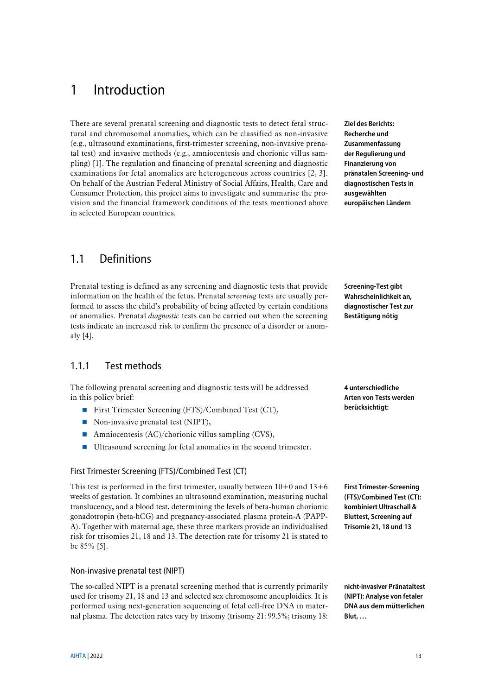# <span id="page-12-0"></span>1 Introduction

There are several prenatal screening and diagnostic tests to detect fetal structural and chromosomal anomalies, which can be classified as non-invasive (e.g., ultrasound examinations, first-trimester screening, non-invasive prenatal test) and invasive methods (e.g., amniocentesis and chorionic villus sampling) [\[1\]](#page-42-1). The regulation and financing of prenatal screening and diagnostic examinations for fetal anomalies are heterogeneous across countries [\[2,](#page-42-2) [3\]](#page-42-3). On behalf of the Austrian Federal Ministry of Social Affairs, Health, Care and Consumer Protection, this project aims to investigate and summarise the provision and the financial framework conditions of the tests mentioned above in selected European countries.

# <span id="page-12-1"></span>1.1 Definitions

Prenatal testing is defined as any screening and diagnostic tests that provide information on the health of the fetus. Prenatal *screening* tests are usually performed to assess the child's probability of being affected by certain conditions or anomalies. Prenatal *diagnostic* tests can be carried out when the screening tests indicate an increased risk to confirm the presence of a disorder or anomaly [\[4\]](#page-42-4).

## <span id="page-12-2"></span>1.1.1 Test methods

The following prenatal screening and diagnostic tests will be addressed in this policy brief:

- First Trimester Screening (FTS)/Combined Test (CT),
- $\blacksquare$  Non-invasive prenatal test (NIPT),
- Amniocentesis  $(AC)/$ chorionic villus sampling  $(CVS)$ ,
- Ultrasound screening for fetal anomalies in the second trimester.

#### First Trimester Screening (FTS)/Combined Test (CT)

This test is performed in the first trimester, usually between  $10+0$  and  $13+6$ weeks of gestation. It combines an ultrasound examination, measuring nuchal translucency, and a blood test, determining the levels of beta-human chorionic gonadotropin (beta-hCG) and pregnancy-associated plasma protein-A (PAPP-A). Together with maternal age, these three markers provide an individualised risk for trisomies 21, 18 and 13. The detection rate for trisomy 21 is stated to be 85% [\[5\]](#page-42-5).

#### Non-invasive prenatal test (NIPT)

The so-called NIPT is a prenatal screening method that is currently primarily used for trisomy 21, 18 and 13 and selected sex chromosome aneuploidies. It is performed using next-generation sequencing of fetal cell-free DNA in maternal plasma. The detection rates vary by trisomy (trisomy 21: 99.5%; trisomy 18:

**Ziel des Berichts: Recherche und Zusammenfassung der Regulierung und Finanzierung von pränatalen Screening- und diagnostischen Tests in ausgewählten europäischen Ländern**

**Screening-Test gibt Wahrscheinlichkeit an, diagnostischer Test zur Bestätigung nötig**

**4 unterschiedliche Arten von Tests werden berücksichtigt:**

**First Trimester-Screening (FTS)/Combined Test (CT): kombiniert Ultraschall & Bluttest, Screening auf Trisomie 21, 18 und 13**

**nicht-invasiver Pränataltest (NIPT): Analyse von fetaler DNA aus dem mütterlichen Blut, …**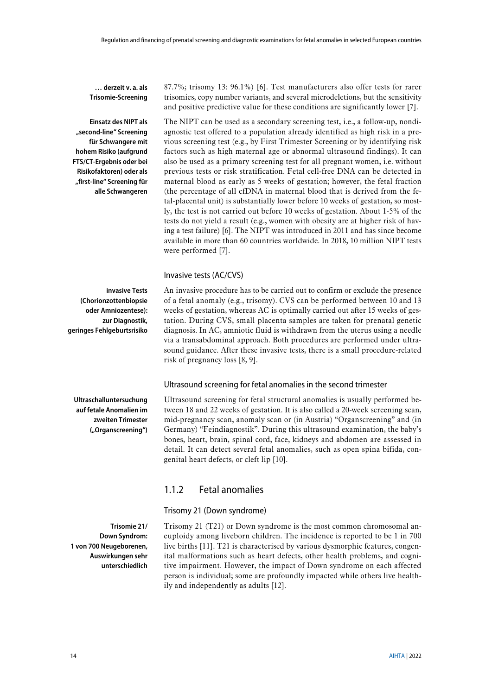**… derzeit v. a. als Trisomie-Screening** 

**Einsatz des NIPT als "second-line" Screening für Schwangere mit hohem Risiko (aufgrund FTS/CT-Ergebnis oder bei Risikofaktoren) oder als "first-line" Screening für alle Schwangeren**

The NIPT can be used as a secondary screening test, i.e., a follow-up, nondiagnostic test offered to a population already identified as high risk in a previous screening test (e.g., by First Trimester Screening or by identifying risk factors such as high maternal age or abnormal ultrasound findings). It can also be used as a primary screening test for all pregnant women, i.e. without previous tests or risk stratification. Fetal cell-free DNA can be detected in maternal blood as early as 5 weeks of gestation; however, the fetal fraction (the percentage of all cfDNA in maternal blood that is derived from the fetal-placental unit) is substantially lower before 10 weeks of gestation, so mostly, the test is not carried out before 10 weeks of gestation. About 1-5% of the tests do not yield a result (e.g., women with obesity are at higher risk of having a test failure) [\[6\]](#page-42-6). The NIPT was introduced in 2011 and has since become available in more than 60 countries worldwide. In 2018, 10 million NIPT tests

87.7%; trisomy 13: 96.1%) [\[6\]](#page-42-6). Test manufacturers also offer tests for rarer trisomies, copy number variants, and several microdeletions, but the sensitivity and positive predictive value for these conditions are significantly lower [\[7\]](#page-42-7).

#### Invasive tests (AC/CVS)

were performed [\[7\]](#page-42-7).

**invasive Tests (Chorionzottenbiopsie oder Amniozentese): geringes Fehlgeburtsrisiko**

An invasive procedure has to be carried out to confirm or exclude the presence of a fetal anomaly (e.g., trisomy). CVS can be performed between 10 and 13 weeks of gestation, whereas AC is optimally carried out after 15 weeks of gestation. During CVS, small placenta samples are taken for prenatal genetic diagnosis. In AC, amniotic fluid is withdrawn from the uterus using a needle via a transabdominal approach. Both procedures are performed under ultrasound guidance. After these invasive tests, there is a small procedure-related risk of pregnancy loss [\[8,](#page-42-8) [9\]](#page-42-9).

#### Ultrasound screening for fetal anomalies in the second trimester

Ultrasound screening for fetal structural anomalies is usually performed between 18 and 22 weeks of gestation. It is also called a 20-week screening scan, mid-pregnancy scan, anomaly scan or (in Austria) "Organscreening" and (in Germany) "Feindiagnostik". During this ultrasound examination, the baby's bones, heart, brain, spinal cord, face, kidneys and abdomen are assessed in detail. It can detect several fetal anomalies, such as open spina bifida, congenital heart defects, or cleft lip [\[10\]](#page-42-10).

#### <span id="page-13-0"></span>1.1.2 Fetal anomalies

#### Trisomy 21 (Down syndrome)

**Trisomie 21/ Down Syndrom: 1 von 700 Neugeborenen, Auswirkungen sehr unterschiedlich**

Trisomy 21 (T21) or Down syndrome is the most common chromosomal aneuploidy among liveborn children. The incidence is reported to be 1 in 700 live births [\[11\]](#page-42-11). T21 is characterised by various dysmorphic features, congenital malformations such as heart defects, other health problems, and cognitive impairment. However, the impact of Down syndrome on each affected person is individual; some are profoundly impacted while others live healthily and independently as adults [\[12\]](#page-42-12).

# **zur Diagnostik,**

**Ultraschalluntersuchung auf fetale Anomalien im zweiten Trimester ("Organscreening")**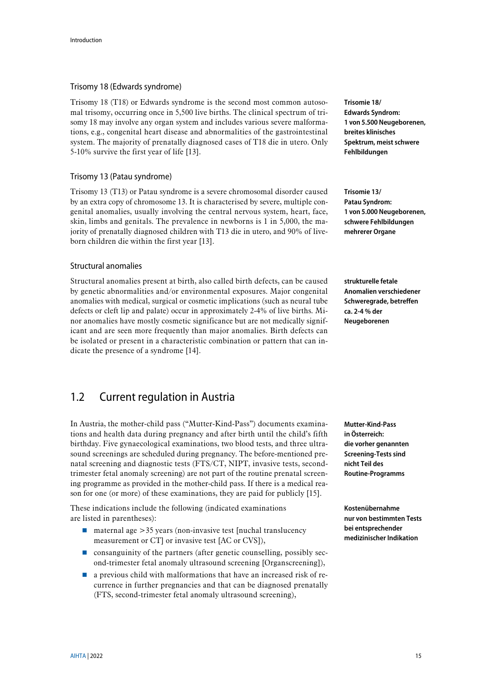#### Trisomy 18 (Edwards syndrome)

Trisomy 18 (T18) or Edwards syndrome is the second most common autosomal trisomy, occurring once in 5,500 live births. The clinical spectrum of trisomy 18 may involve any organ system and includes various severe malformations, e.g., congenital heart disease and abnormalities of the gastrointestinal system. The majority of prenatally diagnosed cases of T18 die in utero. Only 5-10% survive the first year of life [\[13\]](#page-42-13).

#### Trisomy 13 (Patau syndrome)

Trisomy 13 (T13) or Patau syndrome is a severe chromosomal disorder caused by an extra copy of chromosome 13. It is characterised by severe, multiple congenital anomalies, usually involving the central nervous system, heart, face, skin, limbs and genitals. The prevalence in newborns is 1 in 5,000, the majority of prenatally diagnosed children with T13 die in utero, and 90% of liveborn children die within the first year [\[13\]](#page-42-13).

#### Structural anomalies

Structural anomalies present at birth, also called birth defects, can be caused by genetic abnormalities and/or environmental exposures. Major congenital anomalies with medical, surgical or cosmetic implications (such as neural tube defects or cleft lip and palate) occur in approximately 2-4% of live births. Minor anomalies have mostly cosmetic significance but are not medically significant and are seen more frequently than major anomalies. Birth defects can be isolated or present in a characteristic combination or pattern that can indicate the presence of a syndrome [\[14\]](#page-42-14).

## <span id="page-14-0"></span>1.2 Current regulation in Austria

In Austria, the mother-child pass ("Mutter-Kind-Pass") documents examinations and health data during pregnancy and after birth until the child's fifth birthday. Five gynaecological examinations, two blood tests, and three ultrasound screenings are scheduled during pregnancy. The before-mentioned prenatal screening and diagnostic tests (FTS/CT, NIPT, invasive tests, secondtrimester fetal anomaly screening) are not part of the routine prenatal screening programme as provided in the mother-child pass. If there is a medical reason for one (or more) of these examinations, they are paid for publicly [\[15\]](#page-42-15).

These indications include the following (indicated examinations are listed in parentheses):

- $\Box$  maternal age  $>35$  years (non-invasive test [nuchal translucency measurement or CT] or invasive test [AC or CVS]),
- $\blacksquare$  consanguinity of the partners (after genetic counselling, possibly second-trimester fetal anomaly ultrasound screening [Organscreening]),
- $\blacksquare$  a previous child with malformations that have an increased risk of recurrence in further pregnancies and that can be diagnosed prenatally (FTS, second-trimester fetal anomaly ultrasound screening),

**Trisomie 18/ Edwards Syndrom: 1 von 5.500 Neugeborenen, breites klinisches Spektrum, meist schwere Fehlbildungen**

**Trisomie 13/ Patau Syndrom: 1 von 5.000 Neugeborenen, schwere Fehlbildungen mehrerer Organe**

**strukturelle fetale Anomalien verschiedener Schweregrade, betreffen ca. 2-4 % der Neugeborenen**

**Mutter-Kind-Pass in Österreich: die vorher genannten Screening-Tests sind nicht Teil des Routine-Programms**

**Kostenübernahme nur von bestimmten Tests bei entsprechender medizinischer Indikation**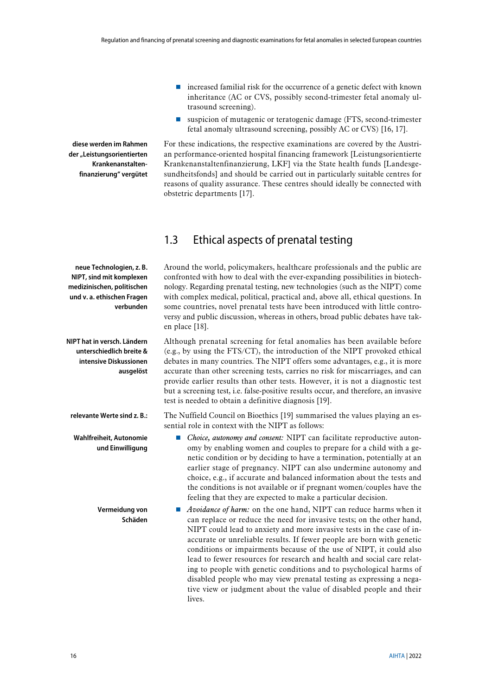- $\blacksquare$  increased familial risk for the occurrence of a genetic defect with known inheritance (AC or CVS, possibly second-trimester fetal anomaly ultrasound screening).
- suspicion of mutagenic or teratogenic damage (FTS, second-trimester fetal anomaly ultrasound screening, possibly AC or CVS) [\[16,](#page-42-16) [17\]](#page-42-17).

For these indications, the respective examinations are covered by the Austrian performance-oriented hospital financing framework [Leistungsorientierte Krankenanstaltenfinanzierung, LKF] via the State health funds [Landesgesundheitsfonds] and should be carried out in particularly suitable centres for reasons of quality assurance. These centres should ideally be connected with obstetric departments [\[17\]](#page-42-17).

# <span id="page-15-0"></span>1.3 Ethical aspects of prenatal testing

Around the world, policymakers, healthcare professionals and the public are confronted with how to deal with the ever-expanding possibilities in biotechnology. Regarding prenatal testing, new technologies (such as the NIPT) come with complex medical, political, practical and, above all, ethical questions. In some countries, novel prenatal tests have been introduced with little controversy and public discussion, whereas in others, broad public debates have taken place [\[18\]](#page-43-0).

Although prenatal screening for fetal anomalies has been available before (e.g., by using the FTS/CT), the introduction of the NIPT provoked ethical debates in many countries. The NIPT offers some advantages, e.g., it is more accurate than other screening tests, carries no risk for miscarriages, and can provide earlier results than other tests. However, it is not a diagnostic test but a screening test, i.e. false-positive results occur, and therefore, an invasive test is needed to obtain a definitive diagnosis [\[19\]](#page-43-1).

The Nuffield Council on Bioethics [\[19\]](#page-43-1) summarised the values playing an essential role in context with the NIPT as follows:

 *Choice, autonomy and consent:* NIPT can facilitate reproductive autonomy by enabling women and couples to prepare for a child with a genetic condition or by deciding to have a termination, potentially at an earlier stage of pregnancy. NIPT can also undermine autonomy and choice, e.g., if accurate and balanced information about the tests and the conditions is not available or if pregnant women/couples have the feeling that they are expected to make a particular decision.

 *Avoidance of harm:* on the one hand, NIPT can reduce harms when it can replace or reduce the need for invasive tests; on the other hand, NIPT could lead to anxiety and more invasive tests in the case of inaccurate or unreliable results. If fewer people are born with genetic conditions or impairments because of the use of NIPT, it could also lead to fewer resources for research and health and social care relating to people with genetic conditions and to psychological harms of disabled people who may view prenatal testing as expressing a negative view or judgment about the value of disabled people and their lives.

**diese werden im Rahmen der "Leistungsorientierten Krankenanstaltenfinanzierung" vergütet**

**neue Technologien, z. B. NIPT, sind mit komplexen medizinischen, politischen und v. a. ethischen Fragen verbunden**

**NIPT hat in versch. Ländern unterschiedlich breite & intensive Diskussionen ausgelöst**

**relevante Werte sind z. B.:**

**Wahlfreiheit, Autonomie und Einwilligung**

> **Vermeidung von Schäden**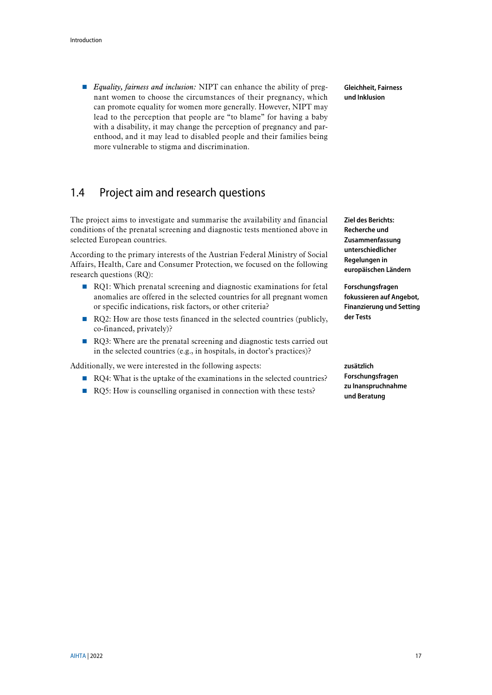■ *Equality, fairness and inclusion:* NIPT can enhance the ability of pregnant women to choose the circumstances of their pregnancy, which can promote equality for women more generally. However, NIPT may lead to the perception that people are "to blame" for having a baby with a disability, it may change the perception of pregnancy and parenthood, and it may lead to disabled people and their families being more vulnerable to stigma and discrimination.

## <span id="page-16-0"></span>1.4 Project aim and research questions

The project aims to investigate and summarise the availability and financial conditions of the prenatal screening and diagnostic tests mentioned above in selected European countries.

According to the primary interests of the Austrian Federal Ministry of Social Affairs, Health, Care and Consumer Protection, we focused on the following research questions (RQ):

- RQ1: Which prenatal screening and diagnostic examinations for fetal anomalies are offered in the selected countries for all pregnant women or specific indications, risk factors, or other criteria?
- RQ2: How are those tests financed in the selected countries (publicly, co-financed, privately)?
- RQ3: Where are the prenatal screening and diagnostic tests carried out in the selected countries (e.g., in hospitals, in doctor's practices)?

Additionally, we were interested in the following aspects:

- RQ4: What is the uptake of the examinations in the selected countries?
- RQ5: How is counselling organised in connection with these tests?

**Gleichheit, Fairness und Inklusion**

**Ziel des Berichts: Recherche und Zusammenfassung unterschiedlicher Regelungen in europäischen Ländern**

**Forschungsfragen fokussieren auf Angebot, Finanzierung und Setting der Tests**

**zusätzlich Forschungsfragen zu Inanspruchnahme und Beratung**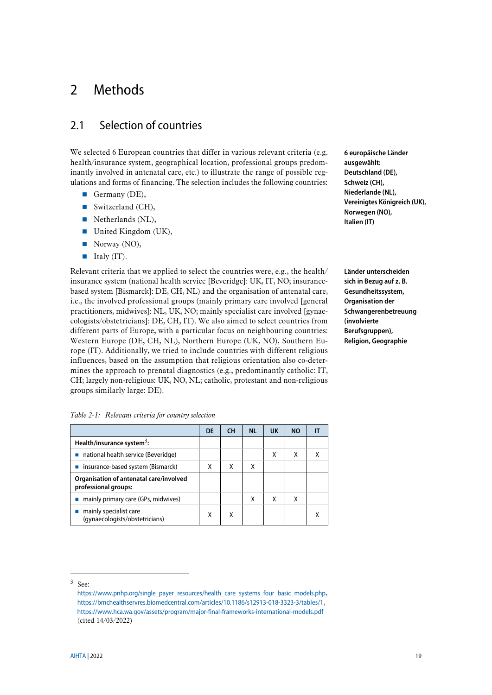# <span id="page-18-0"></span>2 Methods

## <span id="page-18-1"></span>2.1 Selection of countries

We selected 6 European countries that differ in various relevant criteria (e.g. health/insurance system, geographical location, professional groups predominantly involved in antenatal care, etc.) to illustrate the range of possible regulations and forms of financing. The selection includes the following countries:

- Germany  $(DE)$ ,
- $\blacksquare$  Switzerland (CH),
- Netherlands (NL),
- United Kingdom (UK),
- Norway (NO),
- **Italy (IT).**

Relevant criteria that we applied to select the countries were, e.g., the health/ insurance system (national health service [Beveridge]: UK, IT, NO; insurancebased system [Bismarck]: DE, CH, NL) and the organisation of antenatal care, i.e., the involved professional groups (mainly primary care involved [general practitioners, midwives]: NL, UK, NO; mainly specialist care involved [gynaecologists/obstetricians]: DE, CH, IT). We also aimed to select countries from different parts of Europe, with a particular focus on neighbouring countries: Western Europe (DE, CH, NL), Northern Europe (UK, NO), Southern Europe (IT). Additionally, we tried to include countries with different religious influences, based on the assumption that religious orientation also co-determines the approach to prenatal diagnostics (e.g., predominantly catholic: IT, CH; largely non-religious: UK, NO, NL; catholic, protestant and non-religious groups similarly large: DE).

**6 europäische Länder ausgewählt: Deutschland (DE), Schweiz (CH), Niederlande (NL), Vereinigtes Königreich (UK), Norwegen (NO), Italien (IT)**

**Länder unterscheiden sich in Bezug auf z. B. Gesundheitssystem, Organisation der Schwangerenbetreuung (involvierte Berufsgruppen), Religion, Geographie**

<span id="page-18-2"></span>

| Table 2-1: Relevant criteria for country selection |  |  |  |
|----------------------------------------------------|--|--|--|
|                                                    |  |  |  |
|                                                    |  |  |  |

|                                                                 | DE | <b>CH</b> | <b>NL</b> | UK | <b>NO</b> |   |
|-----------------------------------------------------------------|----|-----------|-----------|----|-----------|---|
| Health/insurance system <sup>3</sup> :                          |    |           |           |    |           |   |
| ■ national health service (Beveridge)                           |    |           |           | χ  | χ         | χ |
| ■ insurance-based system (Bismarck)                             | Χ  | X         | Χ         |    |           |   |
| Organisation of antenatal care/involved<br>professional groups: |    |           |           |    |           |   |
| mainly primary care (GPs, midwives)                             |    |           | Χ         | χ  | χ         |   |
| mainly specialist care<br>(gynaecologists/obstetricians)        | Χ  | х         |           |    |           |   |

-

<sup>3</sup> See:

[https://www.pnhp.org/single\\_payer\\_resources/health\\_care\\_systems\\_four\\_basic\\_models.php](https://www.pnhp.org/single_payer_resources/health_care_systems_four_basic_models.php), <https://bmchealthservres.biomedcentral.com/articles/10.1186/s12913-018-3323-3/tables/1>, <https://www.hca.wa.gov/assets/program/major-final-frameworks-international-models.pdf> (cited 14/03/2022)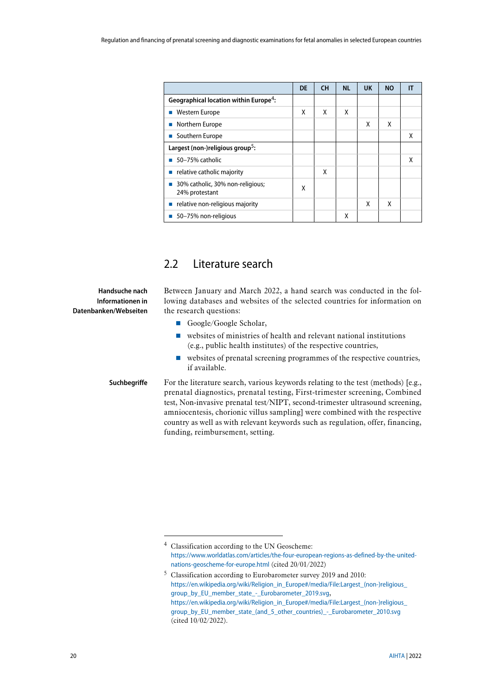|                                                    | <b>DE</b> | <b>CH</b> | <b>NL</b> | <b>UK</b> | <b>NO</b> |   |
|----------------------------------------------------|-----------|-----------|-----------|-----------|-----------|---|
| Geographical location within Europe <sup>4</sup> : |           |           |           |           |           |   |
| Western Europe                                     | X         | X         | X         |           |           |   |
| Northern Europe                                    |           |           |           | x         | X         |   |
| Southern Europe                                    |           |           |           |           |           | x |
| Largest (non-)religious group <sup>5</sup> :       |           |           |           |           |           |   |
| 50-75% catholic                                    |           |           |           |           |           | χ |
| relative catholic majority                         |           | X         |           |           |           |   |
| 30% catholic, 30% non-religious;<br>24% protestant | χ         |           |           |           |           |   |
| relative non-religious majority                    |           |           |           | X         | X         |   |
| 50-75% non-religious                               |           |           | χ         |           |           |   |

## <span id="page-19-0"></span>2.2 Literature search

Between January and March 2022, a hand search was conducted in the following databases and websites of the selected countries for information on the research questions:

- Google/Google Scholar,
- websites of ministries of health and relevant national institutions (e.g., public health institutes) of the respective countries,
- websites of prenatal screening programmes of the respective countries, if available.
- **Suchbegriffe**

**Handsuche nach Informationen in Datenbanken/Webseiten**

-

For the literature search, various keywords relating to the test (methods) [e.g., prenatal diagnostics, prenatal testing, First-trimester screening, Combined test, Non-invasive prenatal test/NIPT, second-trimester ultrasound screening, amniocentesis, chorionic villus sampling] were combined with the respective country as well as with relevant keywords such as regulation, offer, financing, funding, reimbursement, setting.

<sup>4</sup> Classification according to the UN Geoscheme: [https://www.worldatlas.com/articles/the-four-european-regions-as-defined-by-the-united](https://www.worldatlas.com/articles/the-four-european-regions-as-defined-by-the-united-nations-geoscheme-for-europe.html)[nations-geoscheme-for-europe.html](https://www.worldatlas.com/articles/the-four-european-regions-as-defined-by-the-united-nations-geoscheme-for-europe.html) (cited 20/01/2022)

<sup>5</sup> Classification according to Eurobarometer survey 2019 and 2010: https://en.wikipedia.org/wiki/Religion\_in\_Europe#/media/File:Largest\_(non-)religious [group\\_by\\_EU\\_member\\_state\\_-\\_Eurobarometer\\_2019.svg](https://en.wikipedia.org/wiki/Religion_in_Europe#/media/File:Largest_(non-)religious_group_by_EU_member_state_-_Eurobarometer_2019.svg), https://en.wikipedia.org/wiki/Religion\_in\_Europe#/media/File:Largest\_(non-)religious group by EU member state (and 5 other countries) - Eurobarometer 2010.svg (cited 10/02/2022).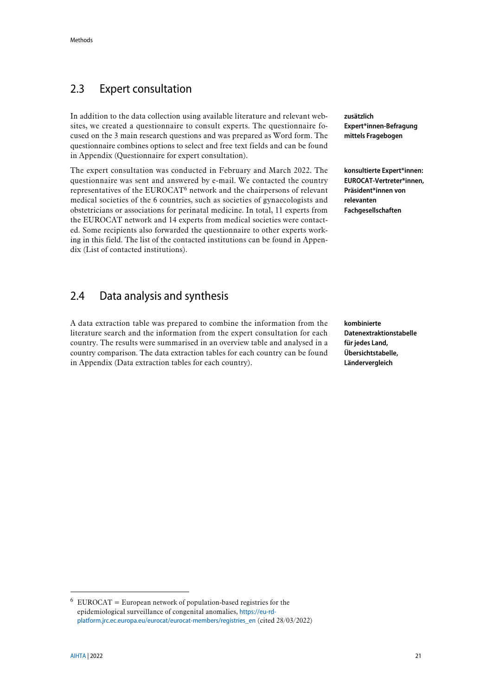# <span id="page-20-0"></span>2.3 Expert consultation

In addition to the data collection using available literature and relevant websites, we created a questionnaire to consult experts. The questionnaire focused on the 3 main research questions and was prepared as Word form. The questionnaire combines options to select and free text fields and can be found in Appendix [\(Questionnaire for expert consultation\)](#page-55-0).

The expert consultation was conducted in February and March 2022. The questionnaire was sent and answered by e-mail. We contacted the country representatives of the EUROCAT<sup>6</sup> network and the chairpersons of relevant medical societies of the 6 countries, such as societies of gynaecologists and obstetricians or associations for perinatal medicine. In total, 11 experts from the EUROCAT network and 14 experts from medical societies were contacted. Some recipients also forwarded the questionnaire to other experts working in this field. The list of the contacted institutions can be found in Appendix [\(List of contacted institutions\)](#page-54-0).

## <span id="page-20-1"></span>2.4 Data analysis and synthesis

A data extraction table was prepared to combine the information from the literature search and the information from the expert consultation for each country. The results were summarised in an overview table and analysed in a country comparison. The data extraction tables for each country can be found in Appendix [\(Data extraction tables for each country\)](#page-46-1).

**zusätzlich Expert\*innen-Befragung mittels Fragebogen**

**konsultierte Expert\*innen: EUROCAT-Vertreter\*innen, Präsident\*innen von relevanten Fachgesellschaften**

**kombinierte Datenextraktionstabelle für jedes Land, Übersichtstabelle, Ländervergleich**

-

 $6$  EUROCAT = European network of population-based registries for the epidemiological surveillance of congenital anomalies, [https://eu-rd](https://eu-rd-platform.jrc.ec.europa.eu/eurocat/eurocat-members/registries_en)[platform.jrc.ec.europa.eu/eurocat/eurocat-members/registries\\_en](https://eu-rd-platform.jrc.ec.europa.eu/eurocat/eurocat-members/registries_en) (cited 28/03/2022)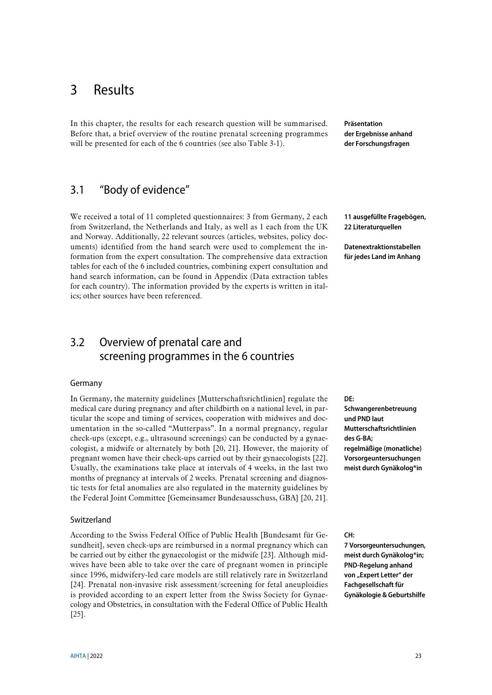# <span id="page-22-0"></span>3 Results

In this chapter, the results for each research question will be summarised. Before that, a brief overview of the routine prenatal screening programmes will be presented for each of the 6 countries (see als[o Table 3-1\)](#page-24-0).

**Präsentation der Ergebnisse anhand der Forschungsfragen**

# <span id="page-22-1"></span>3.1 "Body of evidence"

We received a total of 11 completed questionnaires: 3 from Germany, 2 each from Switzerland, the Netherlands and Italy, as well as 1 each from the UK and Norway. Additionally, 22 relevant sources (articles, websites, policy documents) identified from the hand search were used to complement the information from the expert consultation. The comprehensive data extraction tables for each of the 6 included countries, combining expert consultation and hand search information, can be found in Appendix [\(Data extraction tables](#page-46-1)  [for each country\)](#page-46-1). The information provided by the experts is written in italics; other sources have been referenced.

# <span id="page-22-2"></span>3.2 Overview of prenatal care and screening programmes in the 6 countries

#### Germany

In Germany, the maternity guidelines [Mutterschaftsrichtlinien] regulate the medical care during pregnancy and after childbirth on a national level, in particular the scope and timing of services, cooperation with midwives and documentation in the so-called "Mutterpass". In a normal pregnancy, regular check-ups (except, e.g., ultrasound screenings) can be conducted by a gynaecologist, a midwife or alternately by both [\[20,](#page-43-2) [21\]](#page-43-3). However, the majority of pregnant women have their check-ups carried out by their gynaecologists [\[22\]](#page-43-4). Usually, the examinations take place at intervals of 4 weeks, in the last two months of pregnancy at intervals of 2 weeks. Prenatal screening and diagnostic tests for fetal anomalies are also regulated in the maternity guidelines by the Federal Joint Committee [Gemeinsamer Bundesausschuss, GBA] [\[20,](#page-43-2) [21\]](#page-43-3).

#### Switzerland

According to the Swiss Federal Office of Public Health [Bundesamt für Gesundheit], seven check-ups are reimbursed in a normal pregnancy which can be carried out by either the gynaecologist or the midwife [\[23\]](#page-43-5). Although midwives have been able to take over the care of pregnant women in principle since 1996, midwifery-led care models are still relatively rare in Switzerland [\[24\]](#page-43-6). Prenatal non-invasive risk assessment/screening for fetal aneuploidies is provided according to an expert letter from the Swiss Society for Gynaecology and Obstetrics, in consultation with the Federal Office of Public Health [\[25\]](#page-43-7).

**11 ausgefüllte Fragebögen, 22 Literaturquellen**

**Datenextraktionstabellen für jedes Land im Anhang**

**DE:** 

**Schwangerenbetreuung und PND laut Mutterschaftsrichtlinien des G-BA; regelmäßige (monatliche) Vorsorgeuntersuchungen meist durch Gynäkolog\*in**

**CH:** 

**7 Vorsorgeuntersuchungen, meist durch Gynäkolog\*in; PND-Regelung anhand**  von "Expert Letter" der **Fachgesellschaft für Gynäkologie & Geburtshilfe**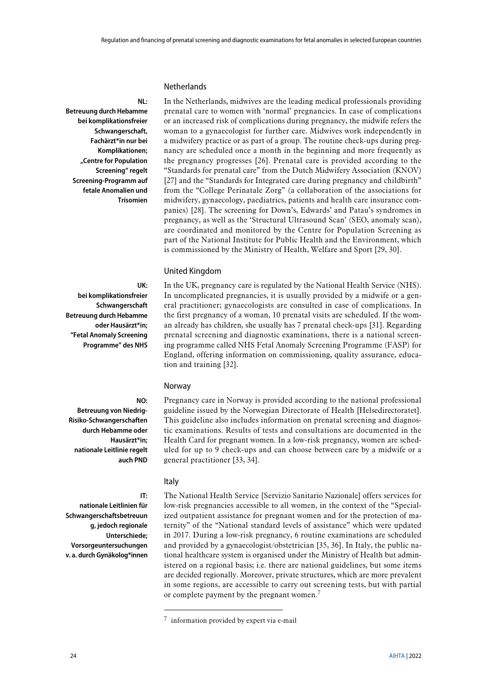#### **Netherlands**

**NL: Betreuung durch Hebamme bei komplikationsfreier Schwangerschaft, Fachärzt\*in nur bei Komplikationen; "Centre for Population Screening" regelt Screening-Programm auf fetale Anomalien und Trisomien**

In the Netherlands, midwives are the leading medical professionals providing prenatal care to women with 'normal' pregnancies. In case of complications or an increased risk of complications during pregnancy, the midwife refers the woman to a gynaecologist for further care. Midwives work independently in a midwifery practice or as part of a group. The routine check-ups during pregnancy are scheduled once a month in the beginning and more frequently as the pregnancy progresses [\[26\]](#page-43-8). Prenatal care is provided according to the "Standards for prenatal care" from the Dutch Midwifery Association (KNOV) [\[27\]](#page-43-9) and the "Standards for Integrated care during pregnancy and childbirth" from the "College Perinatale Zorg" (a collaboration of the associations for midwifery, gynaecology, paediatrics, patients and health care insurance companies) [\[28\]](#page-43-10). The screening for Down's, Edwards' and Patau's syndromes in pregnancy, as well as the 'Structural Ultrasound Scan' (SEO, anomaly scan), are coordinated and monitored by the Centre for Population Screening as part of the National Institute for Public Health and the Environment, which is commissioned by the Ministry of Health, Welfare and Sport [\[29,](#page-43-11) [30\]](#page-43-12).

#### United Kingdom

**UK: bei komplikationsfreier Schwangerschaft Betreuung durch Hebamme oder Hausärzt\*in; "Fetal Anomaly Screening Programme" des NHS**

In the UK, pregnancy care is regulated by the National Health Service (NHS). In uncomplicated pregnancies, it is usually provided by a midwife or a general practitioner; gynaecologists are consulted in case of complications. In the first pregnancy of a woman, 10 prenatal visits are scheduled. If the woman already has children, she usually has 7 prenatal check-ups [\[31\]](#page-43-13). Regarding prenatal screening and diagnostic examinations, there is a national screening programme called NHS Fetal Anomaly Screening Programme (FASP) for England, offering information on commissioning, quality assurance, education and training [\[32\]](#page-43-14).

Pregnancy care in Norway is provided according to the national professional guideline issued by the Norwegian Directorate of Health [Helsedirectoratet]. This guideline also includes information on prenatal screening and diagnostic examinations. Results of tests and consultations are documented in the Health Card for pregnant women. In a low-risk pregnancy, women are scheduled for up to 9 check-ups and can choose between care by a midwife or a

#### Norway

**NO:** 

**IT:** 

**Betreuung von Niedrig-Risiko-Schwangerschaften durch Hebamme oder Hausärzt\*in; nationale Leitlinie regelt auch PND**

#### Italy

1

general practitioner [\[33,](#page-43-15) [34\]](#page-44-0).

**nationale Leitlinien für Schwangerschaftsbetreuun g, jedoch regionale Unterschiede; Vorsorgeuntersuchungen v. a. durch Gynäkolog\*innen**

The National Health Service [Servizio Sanitario Nazionale] offers services for low-risk pregnancies accessible to all women, in the context of the "Specialized outpatient assistance for pregnant women and for the protection of maternity" of the "National standard levels of assistance" which were updated in 2017. During a low-risk pregnancy, 6 routine examinations are scheduled and provided by a gynaecologist/obstetrician [\[35,](#page-44-1) [36\]](#page-44-2). In Italy, the public national healthcare system is organised under the Ministry of Health but administered on a regional basis; i.e. there are national guidelines, but some items are decided regionally. Moreover, private structures, which are more prevalent in some regions, are accessible to carry out screening tests, but with partial or complete payment by the pregnant women.<sup>7</sup>

<sup>7</sup> information provided by expert via e-mail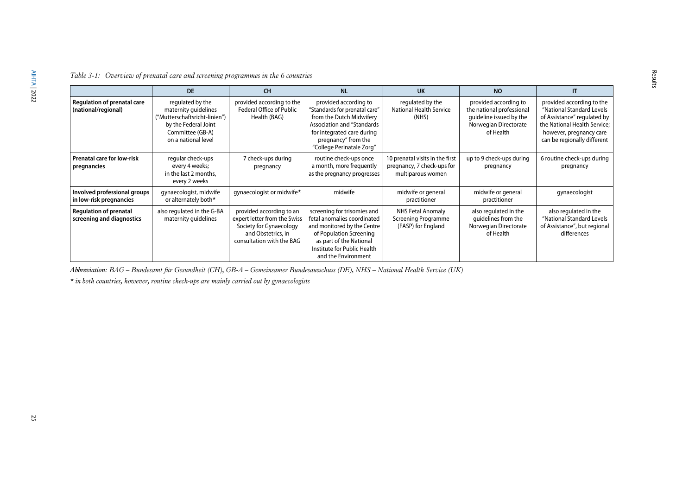|                                                            | <b>DE</b>                                                                                                                                    | <b>CH</b>                                                                                                                              | <b>NL</b>                                                                                                                                                                                                 | <b>UK</b>                                                                          | <b>NO</b>                                                                                                           | IT                                                                                                                                                                              |
|------------------------------------------------------------|----------------------------------------------------------------------------------------------------------------------------------------------|----------------------------------------------------------------------------------------------------------------------------------------|-----------------------------------------------------------------------------------------------------------------------------------------------------------------------------------------------------------|------------------------------------------------------------------------------------|---------------------------------------------------------------------------------------------------------------------|---------------------------------------------------------------------------------------------------------------------------------------------------------------------------------|
| <b>Regulation of prenatal care</b><br>(national/regional)  | regulated by the<br>maternity guidelines<br>("Mutterschaftsricht-linien")<br>by the Federal Joint<br>Committee (GB-A)<br>on a national level | provided according to the<br><b>Federal Office of Public</b><br>Health (BAG)                                                           | provided according to<br>"Standards for prenatal care"<br>from the Dutch Midwifery<br><b>Association and "Standards</b><br>for integrated care during<br>pregnancy" from the<br>"College Perinatale Zorg" | regulated by the<br><b>National Health Service</b><br>(NHS)                        | provided according to<br>the national professional<br>quideline issued by the<br>Norwegian Directorate<br>of Health | provided according to the<br>"National Standard Levels<br>of Assistance" regulated by<br>the National Health Service;<br>however, pregnancy care<br>can be regionally different |
| <b>Prenatal care for low-risk</b><br>pregnancies           | regular check-ups<br>every 4 weeks;<br>in the last 2 months.<br>every 2 weeks                                                                | 7 check-ups during<br>pregnancy                                                                                                        | routine check-ups once<br>a month, more frequently<br>as the pregnancy progresses                                                                                                                         | 10 prenatal visits in the first<br>pregnancy, 7 check-ups for<br>multiparous women | up to 9 check-ups during<br>pregnancy                                                                               | 6 routine check-ups during<br>pregnancy                                                                                                                                         |
| Involved professional groups<br>in low-risk pregnancies    | gynaecologist, midwife<br>or alternately both*                                                                                               | gynaecologist or midwife*                                                                                                              | midwife                                                                                                                                                                                                   | midwife or general<br>practitioner                                                 | midwife or general<br>practitioner                                                                                  | gynaecologist                                                                                                                                                                   |
| <b>Regulation of prenatal</b><br>screening and diagnostics | also regulated in the G-BA<br>maternity guidelines                                                                                           | provided according to an<br>expert letter from the Swiss<br>Society for Gynaecology<br>and Obstetrics, in<br>consultation with the BAG | screening for trisomies and<br>fetal anomalies coordinated<br>and monitored by the Centre<br>of Population Screening<br>as part of the National<br>Institute for Public Health<br>and the Environment     | <b>NHS Fetal Anomaly</b><br><b>Screening Programme</b><br>(FASP) for England       | also regulated in the<br>quidelines from the<br>Norwegian Directorate<br>of Health                                  | also regulated in the<br>"National Standard Levels<br>of Assistance", but regional<br>differences                                                                               |

Results

*Table 3-1: Overview of prenatal care and screening programmes in the 6 countries*

*Abbreviation: BAG – Bundesamt für Gesundheit (CH), GB-A – Gemeinsamer Bundesausschuss (DE), NHS – National Health Service (UK)*

<span id="page-24-0"></span>*\* in both countries, however, routine check-ups are mainly carried out by gynaecologists*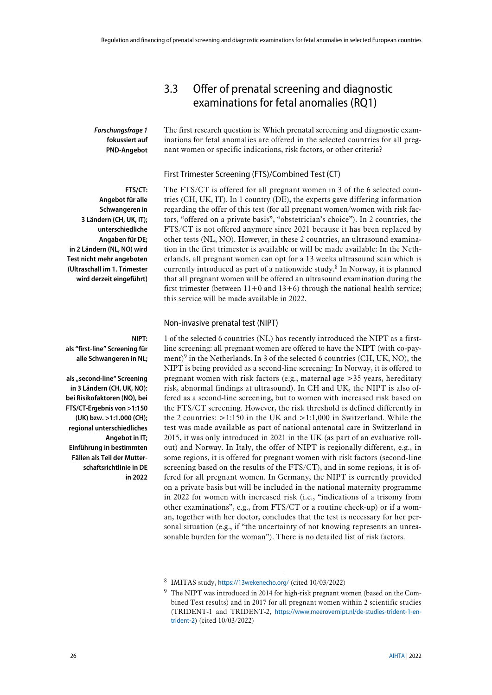*Forschungsfrage 1* **fokussiert auf PND-Angebot** The first research question is: Which prenatal screening and diagnostic examinations for fetal anomalies are offered in the selected countries for all pregnant women or specific indications, risk factors, or other criteria?

<span id="page-25-0"></span>3.3 Offer of prenatal screening and diagnostic examinations for fetal anomalies (RQ1)

#### First Trimester Screening (FTS)/Combined Test (CT)

**FTS/CT: Angebot für alle Schwangeren in 3 Ländern (CH, UK, IT); unterschiedliche Angaben für DE; in 2 Ländern (NL, NO) wird Test nicht mehr angeboten (Ultraschall im 1. Trimester wird derzeit eingeführt)**

The FTS/CT is offered for all pregnant women in 3 of the 6 selected countries (CH, UK, IT). In 1 country (DE), the experts gave differing information regarding the offer of this test (for all pregnant women/women with risk factors, "offered on a private basis", "obstetrician's choice"). In 2 countries, the FTS/CT is not offered anymore since 2021 because it has been replaced by other tests (NL, NO). However, in these 2 countries, an ultrasound examination in the first trimester is available or will be made available: In the Netherlands, all pregnant women can opt for a 13 weeks ultrasound scan which is currently introduced as part of a nationwide study. <sup>8</sup> In Norway, it is planned that all pregnant women will be offered an ultrasound examination during the first trimester (between  $11+0$  and  $13+6$ ) through the national health service; this service will be made available in 2022.

#### Non-invasive prenatal test (NIPT)

1 of the selected 6 countries (NL) has recently introduced the NIPT as a firstline screening: all pregnant women are offered to have the NIPT (with co-payment)<sup>9</sup> in the Netherlands. In 3 of the selected 6 countries (CH, UK, NO), the NIPT is being provided as a second-line screening: In Norway, it is offered to pregnant women with risk factors (e.g., maternal age >35 years, hereditary risk, abnormal findings at ultrasound). In CH and UK, the NIPT is also offered as a second-line screening, but to women with increased risk based on the FTS/CT screening. However, the risk threshold is defined differently in the 2 countries:  $>1:150$  in the UK and  $>1:1,000$  in Switzerland. While the test was made available as part of national antenatal care in Switzerland in 2015, it was only introduced in 2021 in the UK (as part of an evaluative rollout) and Norway. In Italy, the offer of NIPT is regionally different, e.g., in some regions, it is offered for pregnant women with risk factors (second-line screening based on the results of the FTS/CT), and in some regions, it is offered for all pregnant women. In Germany, the NIPT is currently provided on a private basis but will be included in the national maternity programme in 2022 for women with increased risk (i.e., "indications of a trisomy from other examinations", e.g., from FTS/CT or a routine check-up) or if a woman, together with her doctor, concludes that the test is necessary for her personal situation (e.g., if "the uncertainty of not knowing represents an unreasonable burden for the woman"). There is no detailed list of risk factors.

#### **NIPT:**

-

**als "first-line" Screening für alle Schwangeren in NL;** 

**als "second-line" Screening in 3 Ländern (CH, UK, NO): bei Risikofaktoren (NO), bei FTS/CT-Ergebnis von >1:150 (UK) bzw. >1:1.000 (CH); regional unterschiedliches Angebot in IT; Einführung in bestimmten Fällen als Teil der Mutterschaftsrichtlinie in DE in 2022**

<sup>8</sup> IMITAS study, <https://13wekenecho.org/> (cited 10/03/2022)

<sup>9</sup> The NIPT was introduced in 2014 for high-risk pregnant women (based on the Combined Test results) and in 2017 for all pregnant women within 2 scientific studies (TRIDENT-1 and TRIDENT-2, [https://www.meerovernipt.nl/de-studies-trident-1-en](https://www.meerovernipt.nl/de-studies-trident-1-en-trident-2)[trident-2](https://www.meerovernipt.nl/de-studies-trident-1-en-trident-2)) (cited 10/03/2022)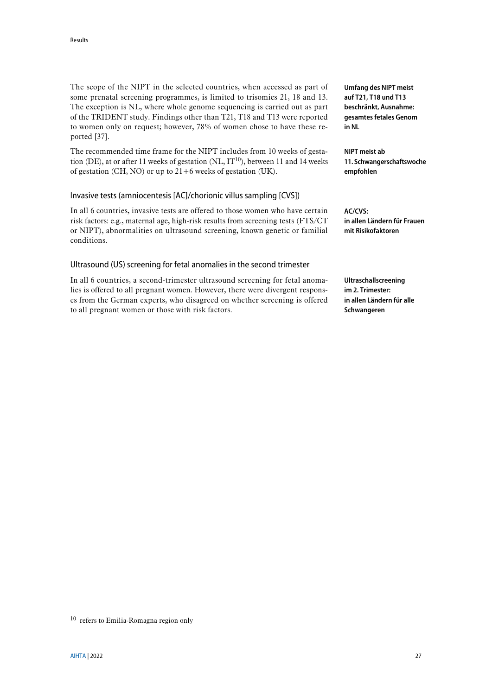The scope of the NIPT in the selected countries, when accessed as part of some prenatal screening programmes, is limited to trisomies 21, 18 and 13. The exception is NL, where whole genome sequencing is carried out as part of the TRIDENT study. Findings other than T21, T18 and T13 were reported to women only on request; however, 78% of women chose to have these reported [\[37\]](#page-44-3).

The recommended time frame for the NIPT includes from 10 weeks of gestation (DE), at or after 11 weeks of gestation (NL,  $IT^{10}$ ), between 11 and 14 weeks of gestation  $(CH, NO)$  or up to  $21+6$  weeks of gestation (UK).

#### Invasive tests (amniocentesis [AC]/chorionic villus sampling [CVS])

In all 6 countries, invasive tests are offered to those women who have certain risk factors: e.g., maternal age, high-risk results from screening tests (FTS/CT or NIPT), abnormalities on ultrasound screening, known genetic or familial conditions.

#### Ultrasound (US) screening for fetal anomalies in the second trimester

In all 6 countries, a second-trimester ultrasound screening for fetal anomalies is offered to all pregnant women. However, there were divergent responses from the German experts, who disagreed on whether screening is offered to all pregnant women or those with risk factors.

**Umfang des NIPT meist auf T21, T18 und T13 beschränkt, Ausnahme: gesamtes fetales Genom in NL**

**NIPT meist ab 11. Schwangerschaftswoche empfohlen**

**AC/CVS: in allen Ländern für Frauen mit Risikofaktoren**

**Ultraschallscreening im 2. Trimester: in allen Ländern für alle Schwangeren**

-

<sup>10</sup> refers to Emilia-Romagna region only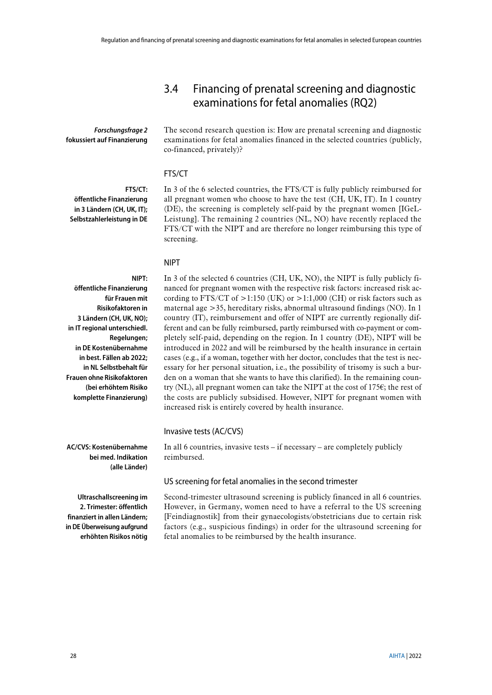## <span id="page-27-0"></span>3.4 Financing of prenatal screening and diagnostic examinations for fetal anomalies (RQ2)

*Forschungsfrage 2* **fokussiert auf Finanzierung** The second research question is: How are prenatal screening and diagnostic examinations for fetal anomalies financed in the selected countries (publicly, co-financed, privately)?

#### FTS/CT

**FTS/CT: öffentliche Finanzierung in 3 Ländern (CH, UK, IT); Selbstzahlerleistung in DE**

In 3 of the 6 selected countries, the FTS/CT is fully publicly reimbursed for all pregnant women who choose to have the test (CH, UK, IT). In 1 country (DE), the screening is completely self-paid by the pregnant women [IGeL-Leistung]. The remaining 2 countries (NL, NO) have recently replaced the FTS/CT with the NIPT and are therefore no longer reimbursing this type of screening.

#### NIPT

**NIPT: öffentliche Finanzierung für Frauen mit Risikofaktoren in 3 Ländern (CH, UK, NO); in IT regional unterschiedl. Regelungen; in DE Kostenübernahme in best. Fällen ab 2022; in NL Selbstbehalt für Frauen ohne Risikofaktoren (bei erhöhtem Risiko komplette Finanzierung)**

In 3 of the selected 6 countries (CH, UK, NO), the NIPT is fully publicly financed for pregnant women with the respective risk factors: increased risk according to FTS/CT of  $>1:150$  (UK) or  $>1:1,000$  (CH) or risk factors such as maternal age >35, hereditary risks, abnormal ultrasound findings (NO). In 1 country (IT), reimbursement and offer of NIPT are currently regionally different and can be fully reimbursed, partly reimbursed with co-payment or completely self-paid, depending on the region. In 1 country (DE), NIPT will be introduced in 2022 and will be reimbursed by the health insurance in certain cases (e.g., if a woman, together with her doctor, concludes that the test is necessary for her personal situation, i.e., the possibility of trisomy is such a burden on a woman that she wants to have this clarified). In the remaining country (NL), all pregnant women can take the NIPT at the cost of 175€; the rest of the costs are publicly subsidised. However, NIPT for pregnant women with increased risk is entirely covered by health insurance.

#### Invasive tests (AC/CVS)

In all 6 countries, invasive tests – if necessary – are completely publicly reimbursed.

#### US screening for fetal anomalies in the second trimester

Second-trimester ultrasound screening is publicly financed in all 6 countries. However, in Germany, women need to have a referral to the US screening [Feindiagnostik] from their gynaecologists/obstetricians due to certain risk factors (e.g., suspicious findings) in order for the ultrasound screening for fetal anomalies to be reimbursed by the health insurance.

**AC/CVS: Kostenübernahme bei med. Indikation (alle Länder)**

**Ultraschallscreening im 2. Trimester: öffentlich finanziert in allen Ländern; in DE Überweisung aufgrund erhöhten Risikos nötig**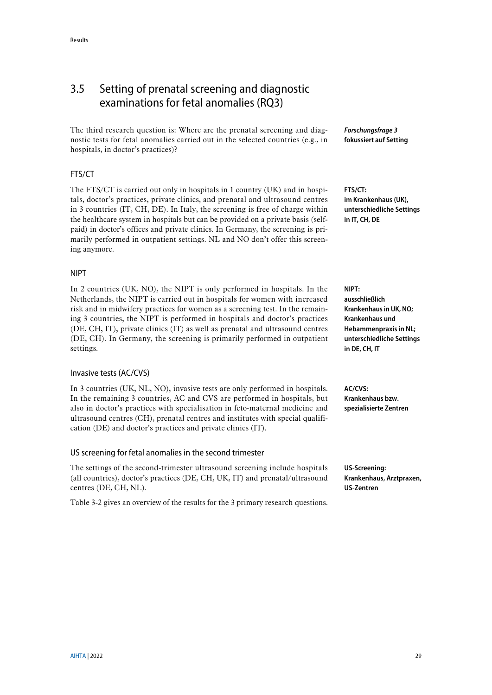# <span id="page-28-0"></span>3.5 Setting of prenatal screening and diagnostic examinations for fetal anomalies (RQ3)

The third research question is: Where are the prenatal screening and diagnostic tests for fetal anomalies carried out in the selected countries (e.g., in hospitals, in doctor's practices)?

#### FTS/CT

The FTS/CT is carried out only in hospitals in 1 country (UK) and in hospitals, doctor's practices, private clinics, and prenatal and ultrasound centres in 3 countries (IT, CH, DE). In Italy, the screening is free of charge within the healthcare system in hospitals but can be provided on a private basis (selfpaid) in doctor's offices and private clinics. In Germany, the screening is primarily performed in outpatient settings. NL and NO don't offer this screening anymore.

#### NIPT

In 2 countries (UK, NO), the NIPT is only performed in hospitals. In the Netherlands, the NIPT is carried out in hospitals for women with increased risk and in midwifery practices for women as a screening test. In the remaining 3 countries, the NIPT is performed in hospitals and doctor's practices (DE, CH, IT), private clinics (IT) as well as prenatal and ultrasound centres (DE, CH). In Germany, the screening is primarily performed in outpatient settings.

#### Invasive tests (AC/CVS)

In 3 countries (UK, NL, NO), invasive tests are only performed in hospitals. In the remaining 3 countries, AC and CVS are performed in hospitals, but also in doctor's practices with specialisation in feto-maternal medicine and ultrasound centres (CH), prenatal centres and institutes with special qualification (DE) and doctor's practices and private clinics (IT).

#### US screening for fetal anomalies in the second trimester

The settings of the second-trimester ultrasound screening include hospitals (all countries), doctor's practices (DE, CH, UK, IT) and prenatal/ultrasound centres (DE, CH, NL).

[Table 3-2](#page-29-0) gives an overview of the results for the 3 primary research questions.

*Forschungsfrage 3* **fokussiert auf Setting**

**FTS/CT: im Krankenhaus (UK), unterschiedliche Settings in IT, CH, DE**

**NIPT: ausschließlich Krankenhausin UK, NO; Krankenhaus und Hebammenpraxis in NL; unterschiedliche Settings in DE, CH, IT**

**AC/CVS: Krankenhaus bzw. spezialisierte Zentren**

**US-Screening: Krankenhaus, Arztpraxen, US-Zentren**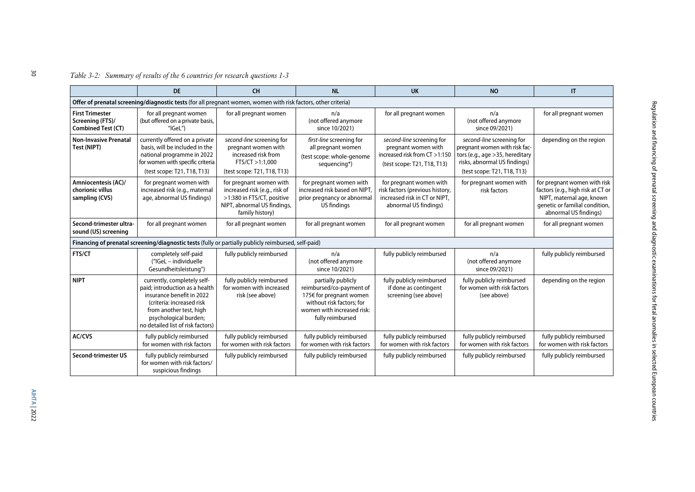### *Table 3-2: Summary of results of the 6 countries for research questions 1-3*

<span id="page-29-0"></span>

|                                                                         | <b>DE</b>                                                                                                                                                                                                        | <b>CH</b>                                                                                                                                | <b>NL</b>                                                                                                                                                | <b>UK</b>                                                                                                            | <b>NO</b>                                                                                                                                                     | $\mathsf{I}$                                                                                                                                              |
|-------------------------------------------------------------------------|------------------------------------------------------------------------------------------------------------------------------------------------------------------------------------------------------------------|------------------------------------------------------------------------------------------------------------------------------------------|----------------------------------------------------------------------------------------------------------------------------------------------------------|----------------------------------------------------------------------------------------------------------------------|---------------------------------------------------------------------------------------------------------------------------------------------------------------|-----------------------------------------------------------------------------------------------------------------------------------------------------------|
|                                                                         | Offer of prenatal screening/diagnostic tests (for all pregnant women, women with risk factors, other criteria)                                                                                                   |                                                                                                                                          |                                                                                                                                                          |                                                                                                                      |                                                                                                                                                               |                                                                                                                                                           |
| <b>First Trimester</b><br>Screening (FTS)/<br><b>Combined Test (CT)</b> | for all pregnant women<br>(but offered on a private basis,<br>$''$ IGeL")                                                                                                                                        | for all pregnant women                                                                                                                   | n/a<br>(not offered anymore<br>since 10/2021)                                                                                                            | for all pregnant women                                                                                               | n/a<br>(not offered anymore<br>since 09/2021)                                                                                                                 | for all pregnant women                                                                                                                                    |
| <b>Non-Invasive Prenatal</b><br>Test (NIPT)                             | currently offered on a private<br>basis, will be included in the<br>national programme in 2022<br>for women with specific criteria<br>(test scope: T21, T18, T13)                                                | second-line screening for<br>pregnant women with<br>increased risk from<br>FTS/CT >1:1,000<br>(test scope: T21, T18, T13)                | first-line screening for<br>all pregnant women<br>(test scope: whole-genome<br>sequencing*)                                                              | second-line screening for<br>pregnant women with<br>increased risk from CT >1:150<br>(test scope: T21, T18, T13)     | second-line screening for<br>pregnant women with risk fac-<br>tors (e.g., age > 35, hereditary<br>risks, abnormal US findings)<br>(test scope: T21, T18, T13) | depending on the region                                                                                                                                   |
| Amniocentesis (AC)/<br>chorionic villus<br>sampling (CVS)               | for pregnant women with<br>increased risk (e.g., maternal<br>age, abnormal US findings)                                                                                                                          | for pregnant women with<br>increased risk (e.g., risk of<br>>1:380 in FTS/CT, positive<br>NIPT, abnormal US findings,<br>family history) | for pregnant women with<br>increased risk based on NIPT<br>prior pregnancy or abnormal<br>US findings                                                    | for pregnant women with<br>risk factors (previous history,<br>increased risk in CT or NIPT.<br>abnormal US findings) | for pregnant women with<br>risk factors                                                                                                                       | for pregnant women with risk<br>factors (e.g., high risk at CT or<br>NIPT, maternal age, known<br>genetic or familial condition,<br>abnormal US findings) |
| Second-trimester ultra-<br>sound (US) screening                         | for all pregnant women                                                                                                                                                                                           | for all pregnant women                                                                                                                   | for all pregnant women                                                                                                                                   | for all pregnant women                                                                                               | for all pregnant women                                                                                                                                        | for all pregnant women                                                                                                                                    |
|                                                                         | Financing of prenatal screening/diagnostic tests (fully or partially publicly reimbursed, self-paid)                                                                                                             |                                                                                                                                          |                                                                                                                                                          |                                                                                                                      |                                                                                                                                                               |                                                                                                                                                           |
| <b>FTS/CT</b>                                                           | completely self-paid<br>("IGeL - individuelle<br>Gesundheitsleistung")                                                                                                                                           | fully publicly reimbursed                                                                                                                | n/a<br>(not offered anymore<br>since 10/2021)                                                                                                            | fully publicly reimbursed                                                                                            | n/a<br>(not offered anymore<br>since 09/2021)                                                                                                                 | fully publicly reimbursed                                                                                                                                 |
| <b>NIPT</b>                                                             | currently, completely self-<br>paid; introduction as a health<br>insurance benefit in 2022<br>(criteria: increased risk<br>from another test, high<br>psychological burden;<br>no detailed list of risk factors) | fully publicly reimbursed<br>for women with increased<br>risk (see above)                                                                | partially publicly<br>reimbursed/co-payment of<br>175€ for pregnant women<br>without risk factors: for<br>women with increased risk:<br>fully reimbursed | fully publicly reimbursed<br>if done as contingent<br>screening (see above)                                          | fully publicly reimbursed<br>for women with risk factors<br>(see above)                                                                                       | depending on the region                                                                                                                                   |
| AC/CVS                                                                  | fully publicly reimbursed<br>for women with risk factors                                                                                                                                                         | fully publicly reimbursed<br>for women with risk factors                                                                                 | fully publicly reimbursed<br>for women with risk factors                                                                                                 | fully publicly reimbursed<br>for women with risk factors                                                             | fully publicly reimbursed<br>for women with risk factors                                                                                                      | fully publicly reimbursed<br>for women with risk factors                                                                                                  |
| Second-trimester US                                                     | fully publicly reimbursed<br>for women with risk factors/<br>suspicious findings                                                                                                                                 | fully publicly reimbursed                                                                                                                | fully publicly reimbursed                                                                                                                                | fully publicly reimbursed                                                                                            | fully publicly reimbursed                                                                                                                                     | fully publicly reimbursed                                                                                                                                 |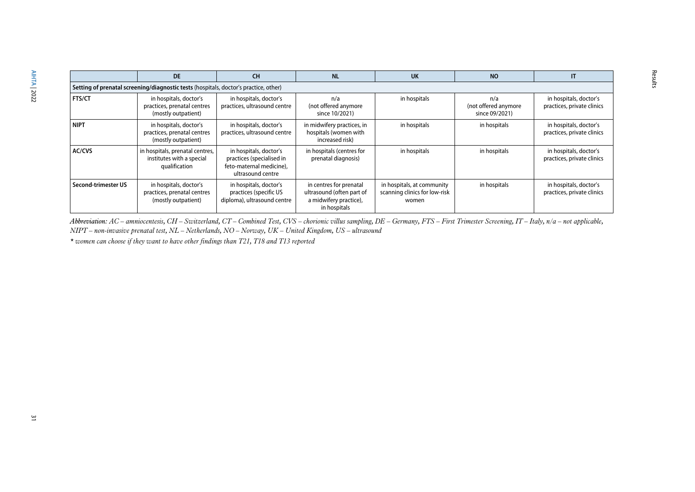|                     | <b>DE</b>                                                                            | <b>CH</b>                                                                                            | <b>NL</b>                                                                                      | <b>UK</b>                                                            | <b>NO</b>                                     | IT                                                   |  |  |  |
|---------------------|--------------------------------------------------------------------------------------|------------------------------------------------------------------------------------------------------|------------------------------------------------------------------------------------------------|----------------------------------------------------------------------|-----------------------------------------------|------------------------------------------------------|--|--|--|
|                     | Setting of prenatal screening/diagnostic tests (hospitals, doctor's practice, other) |                                                                                                      |                                                                                                |                                                                      |                                               |                                                      |  |  |  |
| <b>FTS/CT</b>       | in hospitals, doctor's<br>practices, prenatal centres<br>(mostly outpatient)         | in hospitals, doctor's<br>practices, ultrasound centre                                               | n/a<br>(not offered anymore<br>since 10/2021)                                                  | in hospitals                                                         | n/a<br>(not offered anymore<br>since 09/2021) | in hospitals, doctor's<br>practices, private clinics |  |  |  |
| <b>NIPT</b>         | in hospitals, doctor's<br>practices, prenatal centres<br>(mostly outpatient)         | in hospitals, doctor's<br>practices, ultrasound centre                                               | in midwifery practices, in<br>hospitals (women with<br>increased risk)                         | in hospitals                                                         | in hospitals                                  | in hospitals, doctor's<br>practices, private clinics |  |  |  |
| <b>AC/CVS</b>       | in hospitals, prenatal centres,<br>institutes with a special<br>qualification        | in hospitals, doctor's<br>practices (specialised in<br>feto-maternal medicine),<br>ultrasound centre | in hospitals (centres for<br>prenatal diagnosis)                                               | in hospitals                                                         | in hospitals                                  | in hospitals, doctor's<br>practices, private clinics |  |  |  |
| Second-trimester US | in hospitals, doctor's<br>practices, prenatal centres<br>(mostly outpatient)         | in hospitals, doctor's<br>practices (specific US<br>diploma), ultrasound centre                      | in centres for prenatal<br>ultrasound (often part of<br>a midwifery practice),<br>in hospitals | in hospitals, at community<br>scanning clinics for low-risk<br>women | in hospitals                                  | in hospitals, doctor's<br>practices, private clinics |  |  |  |

Results

Abbreviation: AC – amniocentesis, CH – Switzerland, CT – Combined Test, CVS – chorionic villus sampling, DE – Germany, FTS – First Trimester Screening, IT – Italy, n/a – not applicable, *NIPT – non-invasive prenatal test, NL – Netherlands, NO – Norway, UK – United Kingdom, US – ultrasound*

*\* women can choose if they want to have other findings than T21, T18 and T13 reported*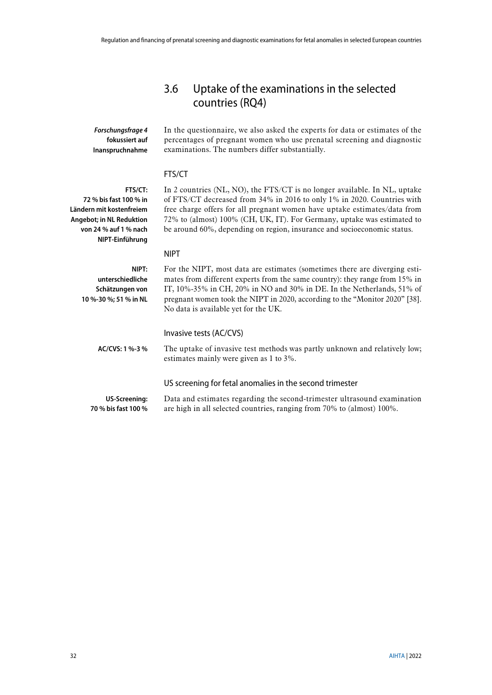# <span id="page-31-0"></span>3.6 Uptake of the examinations in the selected countries (RQ4)

*Forschungsfrage 4* **fokussiert auf Inanspruchnahme** In the questionnaire, we also asked the experts for data or estimates of the percentages of pregnant women who use prenatal screening and diagnostic examinations. The numbers differ substantially.

#### FTS/CT

**FTS/CT: 72 % bis fast 100 % in Ländern mit kostenfreiem Angebot; in NL Reduktion von 24 % auf 1 % nach NIPT-Einführung**

In 2 countries (NL, NO), the FTS/CT is no longer available. In NL, uptake of FTS/CT decreased from 34% in 2016 to only 1% in 2020. Countries with free charge offers for all pregnant women have uptake estimates/data from 72% to (almost) 100% (CH, UK, IT). For Germany, uptake was estimated to be around 60%, depending on region, insurance and socioeconomic status.

#### NIPT

| NIPT:<br>unterschiedliche<br>Schätzungen von<br>10 %-30 %; 51 % in NL | For the NIPT, most data are estimates (sometimes there are diverging esti-<br>mates from different experts from the same country): they range from 15% in<br>IT, $10\% -35\%$ in CH, $20\%$ in NO and 30% in DE. In the Netherlands, 51% of<br>pregnant women took the NIPT in 2020, according to the "Monitor 2020" [38].<br>No data is available yet for the UK. |
|-----------------------------------------------------------------------|--------------------------------------------------------------------------------------------------------------------------------------------------------------------------------------------------------------------------------------------------------------------------------------------------------------------------------------------------------------------|
| AC/CVS: $1\% - 3\%$                                                   | Invasive tests (AC/CVS)<br>The uptake of invasive test methods was partly unknown and relatively low;<br>estimates mainly were given as 1 to 3%.                                                                                                                                                                                                                   |
|                                                                       | US screening for fetal anomalies in the second trimester                                                                                                                                                                                                                                                                                                           |
| US-Screening:<br>70 % bis fast 100 %                                  | Data and estimates regarding the second-trimester ultrasound examination<br>are high in all selected countries, ranging from 70% to (almost) 100%.                                                                                                                                                                                                                 |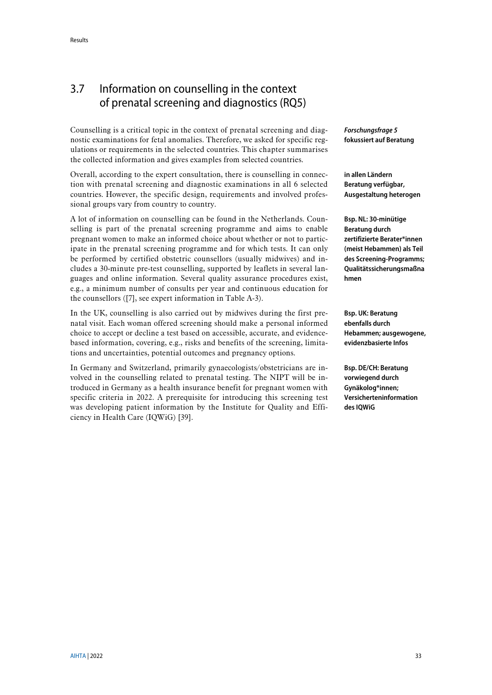# <span id="page-32-0"></span>3.7 Information on counselling in the context of prenatal screening and diagnostics (RQ5)

Counselling is a critical topic in the context of prenatal screening and diagnostic examinations for fetal anomalies. Therefore, we asked for specific regulations or requirements in the selected countries. This chapter summarises the collected information and gives examples from selected countries.

Overall, according to the expert consultation, there is counselling in connection with prenatal screening and diagnostic examinations in all 6 selected countries. However, the specific design, requirements and involved professional groups vary from country to country.

A lot of information on counselling can be found in the Netherlands. Counselling is part of the prenatal screening programme and aims to enable pregnant women to make an informed choice about whether or not to participate in the prenatal screening programme and for which tests. It can only be performed by certified obstetric counsellors (usually midwives) and includes a 30-minute pre-test counselling, supported by leaflets in several languages and online information. Several quality assurance procedures exist, e.g., a minimum number of consults per year and continuous education for the counsellors ([\[7\]](#page-42-7), see expert information in [Table A-3\)](#page-48-1).

In the UK, counselling is also carried out by midwives during the first prenatal visit. Each woman offered screening should make a personal informed choice to accept or decline a test based on accessible, accurate, and evidencebased information, covering, e.g., risks and benefits of the screening, limitations and uncertainties, potential outcomes and pregnancy options.

In Germany and Switzerland, primarily gynaecologists/obstetricians are involved in the counselling related to prenatal testing. The NIPT will be introduced in Germany as a health insurance benefit for pregnant women with specific criteria in 2022. A prerequisite for introducing this screening test was developing patient information by the Institute for Quality and Efficiency in Health Care (IQWiG) [\[39\]](#page-44-5).

*Forschungsfrage 5* **fokussiert auf Beratung**

**in allen Ländern Beratung verfügbar, Ausgestaltung heterogen**

**Bsp. NL: 30-minütige Beratung durch zertifizierte Berater\*innen (meist Hebammen) als Teil des Screening-Programms; Qualitätssicherungsmaßna hmen**

**Bsp. UK: Beratung ebenfalls durch Hebammen; ausgewogene, evidenzbasierte Infos**

**Bsp. DE/CH: Beratung vorwiegend durch Gynäkolog\*innen; Versicherteninformation des IQWiG**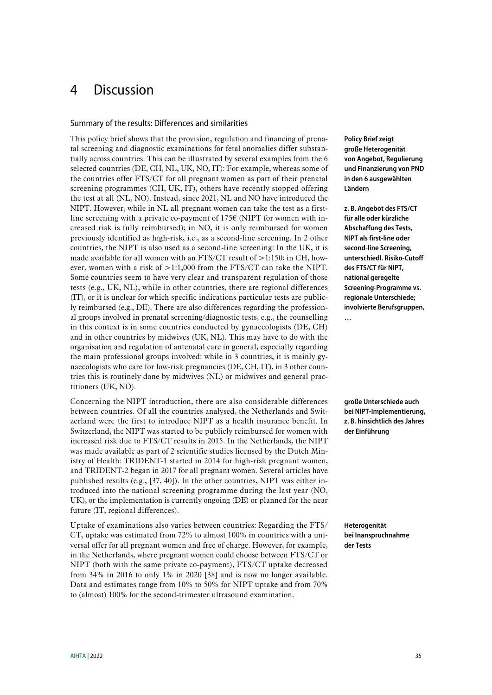# <span id="page-34-0"></span>4 Discussion

#### Summary of the results: Differences and similarities

This policy brief shows that the provision, regulation and financing of prenatal screening and diagnostic examinations for fetal anomalies differ substantially across countries. This can be illustrated by several examples from the 6 selected countries (DE, CH, NL, UK, NO, IT): For example, whereas some of the countries offer FTS/CT for all pregnant women as part of their prenatal screening programmes (CH, UK, IT), others have recently stopped offering the test at all (NL, NO). Instead, since 2021, NL and NO have introduced the NIPT. However, while in NL all pregnant women can take the test as a firstline screening with a private co-payment of  $175\epsilon$  (NIPT for women with increased risk is fully reimbursed); in NO, it is only reimbursed for women previously identified as high-risk, i.e., as a second-line screening. In 2 other countries, the NIPT is also used as a second-line screening: In the UK, it is made available for all women with an FTS/CT result of  $>1:150$ ; in CH, however, women with a risk of >1:1,000 from the FTS/CT can take the NIPT. Some countries seem to have very clear and transparent regulation of those tests (e.g., UK, NL), while in other countries, there are regional differences (IT), or it is unclear for which specific indications particular tests are publicly reimbursed (e.g., DE). There are also differences regarding the professional groups involved in prenatal screening/diagnostic tests, e.g., the counselling in this context is in some countries conducted by gynaecologists (DE, CH) and in other countries by midwives (UK, NL). This may have to do with the organisation and regulation of antenatal care in general, especially regarding the main professional groups involved: while in 3 countries, it is mainly gynaecologists who care for low-risk pregnancies (DE, CH, IT), in 3 other countries this is routinely done by midwives (NL) or midwives and general practitioners (UK, NO).

Concerning the NIPT introduction, there are also considerable differences between countries. Of all the countries analysed, the Netherlands and Switzerland were the first to introduce NIPT as a health insurance benefit. In Switzerland, the NIPT was started to be publicly reimbursed for women with increased risk due to FTS/CT results in 2015. In the Netherlands, the NIPT was made available as part of 2 scientific studies licensed by the Dutch Ministry of Health: TRIDENT-1 started in 2014 for high-risk pregnant women, and TRIDENT-2 began in 2017 for all pregnant women. Several articles have published results (e.g., [\[37,](#page-44-3) [40\]](#page-44-6)). In the other countries, NIPT was either introduced into the national screening programme during the last year (NO, UK), or the implementation is currently ongoing (DE) or planned for the near future (IT, regional differences).

Uptake of examinations also varies between countries: Regarding the FTS/ CT, uptake was estimated from 72% to almost 100% in countries with a universal offer for all pregnant women and free of charge. However, for example, in the Netherlands, where pregnant women could choose between FTS/CT or NIPT (both with the same private co-payment), FTS/CT uptake decreased from 34% in 2016 to only 1% in 2020 [\[38\]](#page-44-4) and is now no longer available. Data and estimates range from 10% to 50% for NIPT uptake and from 70% to (almost) 100% for the second-trimester ultrasound examination.

**Policy Brief zeigt große Heterogenität von Angebot, Regulierung und Finanzierung von PND in den 6 ausgewählten Ländern**

**z. B. Angebot des FTS/CT für alle oder kürzliche Abschaffung des Tests, NIPT als first-line oder second-line Screening, unterschiedl. Risiko-Cutoff des FTS/CT für NIPT, national geregelte Screening-Programme vs. regionale Unterschiede; involvierte Berufsgruppen, …** 

**große Unterschiede auch bei NIPT-Implementierung, z. B. hinsichtlich des Jahres der Einführung**

**Heterogenität bei Inanspruchnahme der Tests**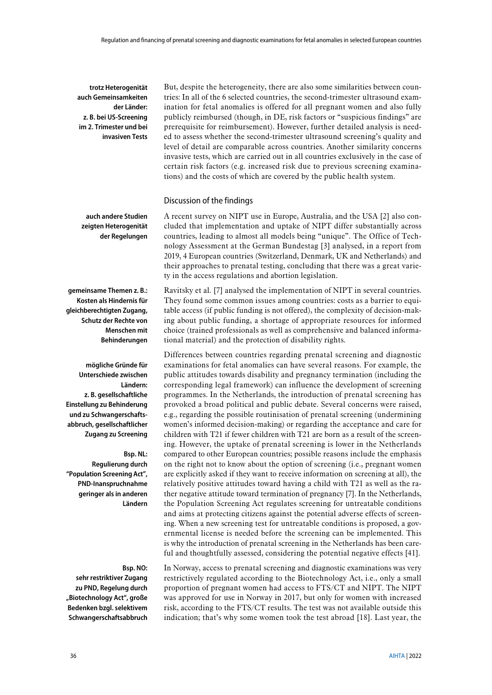**trotz Heterogenität auch Gemeinsamkeiten der Länder: z. B. bei US-Screening im 2. Trimester und bei invasiven Tests**

**auch andere Studien zeigten Heterogenität der Regelungen**

**gemeinsame Themen z. B.: Kosten als Hindernis für gleichberechtigten Zugang, Schutz der Rechte von Menschen mit Behinderungen**

**mögliche Gründe für Unterschiede zwischen Ländern: z. B. gesellschaftliche Einstellung zu Behinderung und zu Schwangerschaftsabbruch, gesellschaftlicher Zugang zu Screening**

#### **Bsp. NL:**

**Regulierung durch "Population Screening Act", PND-Inanspruchnahme geringer als in anderen Ländern**

#### **Bsp. NO:**

**sehr restriktiver Zugang zu PND, Regelung durch "Biotechnology Act", große Bedenken bzgl. selektivem Schwangerschaftsabbruch**

But, despite the heterogeneity, there are also some similarities between countries: In all of the 6 selected countries, the second-trimester ultrasound examination for fetal anomalies is offered for all pregnant women and also fully publicly reimbursed (though, in DE, risk factors or "suspicious findings" are prerequisite for reimbursement). However, further detailed analysis is needed to assess whether the second-trimester ultrasound screening's quality and level of detail are comparable across countries. Another similarity concerns invasive tests, which are carried out in all countries exclusively in the case of certain risk factors (e.g. increased risk due to previous screening examinations) and the costs of which are covered by the public health system.

#### Discussion of the findings

A recent survey on NIPT use in Europe, Australia, and the USA [\[2\]](#page-42-2) also concluded that implementation and uptake of NIPT differ substantially across countries, leading to almost all models being "unique". The Office of Technology Assessment at the German Bundestag [\[3\]](#page-42-3) analysed, in a report from 2019, 4 European countries (Switzerland, Denmark, UK and Netherlands) and their approaches to prenatal testing, concluding that there was a great variety in the access regulations and abortion legislation.

Ravitsky et al. [\[7\]](#page-42-7) analysed the implementation of NIPT in several countries. They found some common issues among countries: costs as a barrier to equitable access (if public funding is not offered), the complexity of decision-making about public funding, a shortage of appropriate resources for informed choice (trained professionals as well as comprehensive and balanced informational material) and the protection of disability rights.

Differences between countries regarding prenatal screening and diagnostic examinations for fetal anomalies can have several reasons. For example, the public attitudes towards disability and pregnancy termination (including the corresponding legal framework) can influence the development of screening programmes. In the Netherlands, the introduction of prenatal screening has provoked a broad political and public debate. Several concerns were raised, e.g., regarding the possible routinisation of prenatal screening (undermining women's informed decision-making) or regarding the acceptance and care for children with T21 if fewer children with T21 are born as a result of the screening. However, the uptake of prenatal screening is lower in the Netherlands compared to other European countries; possible reasons include the emphasis on the right not to know about the option of screening (i.e., pregnant women are explicitly asked if they want to receive information on screening at all), the relatively positive attitudes toward having a child with T21 as well as the rather negative attitude toward termination of pregnancy [\[7\]](#page-42-7). In the Netherlands, the Population Screening Act regulates screening for untreatable conditions and aims at protecting citizens against the potential adverse effects of screening. When a new screening test for untreatable conditions is proposed, a governmental license is needed before the screening can be implemented. This is why the introduction of prenatal screening in the Netherlands has been careful and thoughtfully assessed, considering the potential negative effects [\[41\]](#page-44-7).

In Norway, access to prenatal screening and diagnostic examinations was very restrictively regulated according to the Biotechnology Act, i.e., only a small proportion of pregnant women had access to FTS/CT and NIPT. The NIPT was approved for use in Norway in 2017, but only for women with increased risk, according to the FTS/CT results. The test was not available outside this indication; that's why some women took the test abroad [\[18\]](#page-43-0). Last year, the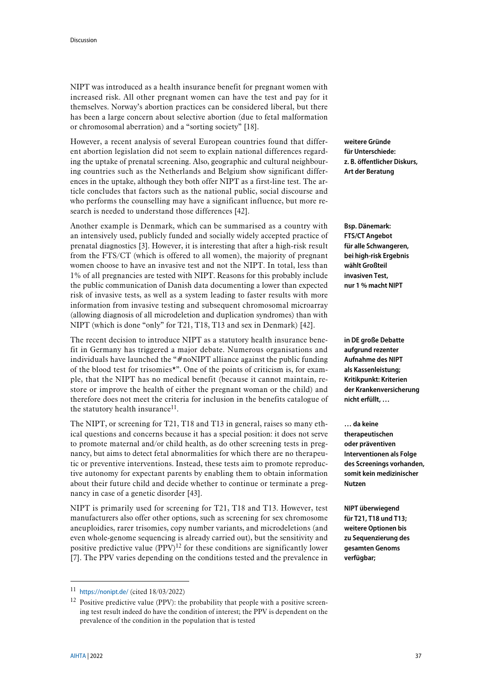NIPT was introduced as a health insurance benefit for pregnant women with increased risk. All other pregnant women can have the test and pay for it themselves. Norway's abortion practices can be considered liberal, but there has been a large concern about selective abortion (due to fetal malformation or chromosomal aberration) and a "sorting society" [\[18\]](#page-43-0).

However, a recent analysis of several European countries found that different abortion legislation did not seem to explain national differences regarding the uptake of prenatal screening. Also, geographic and cultural neighbouring countries such as the Netherlands and Belgium show significant differences in the uptake, although they both offer NIPT as a first-line test. The article concludes that factors such as the national public, social discourse and who performs the counselling may have a significant influence, but more research is needed to understand those differences [\[42\]](#page-44-8).

Another example is Denmark, which can be summarised as a country with an intensively used, publicly funded and socially widely accepted practice of prenatal diagnostics [\[3\]](#page-42-3). However, it is interesting that after a high-risk result from the FTS/CT (which is offered to all women), the majority of pregnant women choose to have an invasive test and not the NIPT. In total, less than 1% of all pregnancies are tested with NIPT. Reasons for this probably include the public communication of Danish data documenting a lower than expected risk of invasive tests, as well as a system leading to faster results with more information from invasive testing and subsequent chromosomal microarray (allowing diagnosis of all microdeletion and duplication syndromes) than with NIPT (which is done "only" for T21, T18, T13 and sex in Denmark) [\[42\]](#page-44-8).

The recent decision to introduce NIPT as a statutory health insurance benefit in Germany has triggered a major debate. Numerous organisations and individuals have launched the "#noNIPT alliance against the public funding of the blood test for trisomies\*". One of the points of criticism is, for example, that the NIPT has no medical benefit (because it cannot maintain, restore or improve the health of either the pregnant woman or the child) and therefore does not meet the criteria for inclusion in the benefits catalogue of the statutory health insurance<sup>11</sup>.

The NIPT, or screening for T21, T18 and T13 in general, raises so many ethical questions and concerns because it has a special position: it does not serve to promote maternal and/or child health, as do other screening tests in pregnancy, but aims to detect fetal abnormalities for which there are no therapeutic or preventive interventions. Instead, these tests aim to promote reproductive autonomy for expectant parents by enabling them to obtain information about their future child and decide whether to continue or terminate a pregnancy in case of a genetic disorder [\[43\]](#page-44-9).

NIPT is primarily used for screening for T21, T18 and T13. However, test manufacturers also offer other options, such as screening for sex chromosome aneuploidies, rarer trisomies, copy number variants, and microdeletions (and even whole-genome sequencing is already carried out), but the sensitivity and positive predictive value  $(PPV)^{12}$  for these conditions are significantly lower [\[7\]](#page-42-7). The PPV varies depending on the conditions tested and the prevalence in

**weitere Gründe für Unterschiede: z. B. öffentlicher Diskurs, Art der Beratung**

**Bsp. Dänemark: FTS/CT Angebot für alle Schwangeren, bei high-risk Ergebnis wählt Großteil invasiven Test, nur 1 % macht NIPT**

**in DE große Debatte aufgrund rezenter Aufnahme des NIPT als Kassenleistung; Kritikpunkt: Kriterien der Krankenversicherung nicht erfüllt, …**

**… da keine therapeutischen oder präventiven Interventionen als Folge des Screenings vorhanden, somit kein medizinischer Nutzen**

**NIPT überwiegend für T21, T18 und T13; weitere Optionen bis zu Sequenzierung des gesamten Genoms verfügbar;** 

<u>.</u>

<sup>11</sup> <https://nonipt.de/> (cited 18/03/2022)

<sup>&</sup>lt;sup>12</sup> Positive predictive value (PPV): the probability that people with a positive screening test result indeed do have the condition of interest; the PPV is dependent on the prevalence of the condition in the population that is tested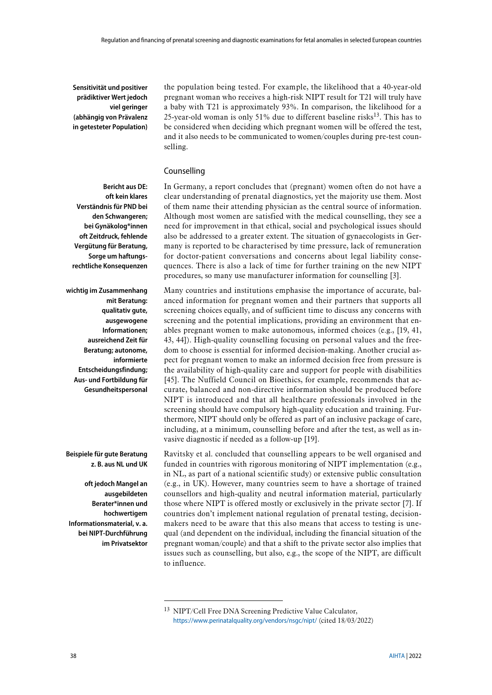**Sensitivität und positiver prädiktiver Wert jedoch viel geringer (abhängig von Prävalenz in getesteter Population)**

the population being tested. For example, the likelihood that a 40-year-old pregnant woman who receives a high-risk NIPT result for T21 will truly have a baby with T21 is approximately 93%. In comparison, the likelihood for a 25-year-old woman is only 51% due to different baseline risks13. This has to be considered when deciding which pregnant women will be offered the test, and it also needs to be communicated to women/couples during pre-test counselling.

#### Counselling

**Bericht aus DE: oft kein klares Verständnis für PND bei den Schwangeren; bei Gynäkolog\*innen oft Zeitdruck, fehlende Vergütung für Beratung, Sorge um haftungsrechtliche Konsequenzen**

**wichtig im Zusammenhang mit Beratung: qualitativ gute, ausgewogene Informationen; ausreichend Zeit für Beratung; autonome, informierte Entscheidungsfindung; Aus- und Fortbildung für Gesundheitspersonal**

**Beispiele für gute Beratung z. B. aus NL und UK**

**oft jedoch Mangel an ausgebildeten Berater\*innen und hochwertigem Informationsmaterial, v. a. bei NIPT-Durchführung im Privatsektor**

<u>.</u>

In Germany, a report concludes that (pregnant) women often do not have a clear understanding of prenatal diagnostics, yet the majority use them. Most of them name their attending physician as the central source of information. Although most women are satisfied with the medical counselling, they see a need for improvement in that ethical, social and psychological issues should also be addressed to a greater extent. The situation of gynaecologists in Germany is reported to be characterised by time pressure, lack of remuneration for doctor-patient conversations and concerns about legal liability consequences. There is also a lack of time for further training on the new NIPT procedures, so many use manufacturer information for counselling [\[3\]](#page-42-3).

Many countries and institutions emphasise the importance of accurate, balanced information for pregnant women and their partners that supports all screening choices equally, and of sufficient time to discuss any concerns with screening and the potential implications, providing an environment that enables pregnant women to make autonomous, informed choices (e.g., [\[19,](#page-43-1) [41,](#page-44-7) [43,](#page-44-9) [44\]](#page-44-10)). High-quality counselling focusing on personal values and the freedom to choose is essential for informed decision-making. Another crucial aspect for pregnant women to make an informed decision free from pressure is the availability of high-quality care and support for people with disabilities [\[45\]](#page-44-11). The Nuffield Council on Bioethics, for example, recommends that accurate, balanced and non-directive information should be produced before NIPT is introduced and that all healthcare professionals involved in the screening should have compulsory high-quality education and training. Furthermore, NIPT should only be offered as part of an inclusive package of care, including, at a minimum, counselling before and after the test, as well as invasive diagnostic if needed as a follow-up [\[19\]](#page-43-1).

Ravitsky et al. concluded that counselling appears to be well organised and funded in countries with rigorous monitoring of NIPT implementation (e.g., in NL, as part of a national scientific study) or extensive public consultation (e.g., in UK). However, many countries seem to have a shortage of trained counsellors and high-quality and neutral information material, particularly those where NIPT is offered mostly or exclusively in the private sector [\[7\]](#page-42-7). If countries don't implement national regulation of prenatal testing, decisionmakers need to be aware that this also means that access to testing is unequal (and dependent on the individual, including the financial situation of the pregnant woman/couple) and that a shift to the private sector also implies that issues such as counselling, but also, e.g., the scope of the NIPT, are difficult to influence.

<sup>13</sup> NIPT/Cell Free DNA Screening Predictive Value Calculator, <https://www.perinatalquality.org/vendors/nsgc/nipt/> (cited 18/03/2022)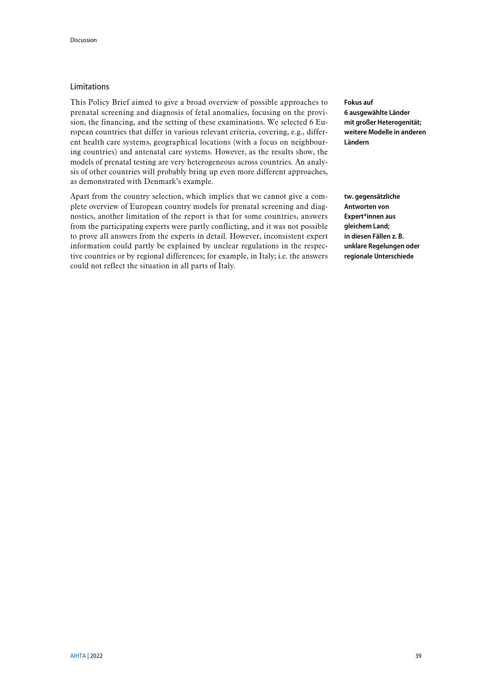#### Limitations

This Policy Brief aimed to give a broad overview of possible approaches to prenatal screening and diagnosis of fetal anomalies, focusing on the provision, the financing, and the setting of these examinations. We selected 6 European countries that differ in various relevant criteria, covering, e.g., different health care systems, geographical locations (with a focus on neighbouring countries) and antenatal care systems. However, as the results show, the models of prenatal testing are very heterogeneous across countries. An analysis of other countries will probably bring up even more different approaches, as demonstrated with Denmark's example.

Apart from the country selection, which implies that we cannot give a complete overview of European country models for prenatal screening and diagnostics, another limitation of the report is that for some countries, answers from the participating experts were partly conflicting, and it was not possible to prove all answers from the experts in detail. However, inconsistent expert information could partly be explained by unclear regulations in the respective countries or by regional differences; for example, in Italy; i.e. the answers could not reflect the situation in all parts of Italy.

**Fokus auf 6 ausgewählte Länder mit großer Heterogenität; weitere Modelle in anderen Ländern**

**tw. gegensätzliche Antworten von Expert\*innen aus gleichem Land; in diesen Fällen z. B. unklare Regelungen oder regionale Unterschiede**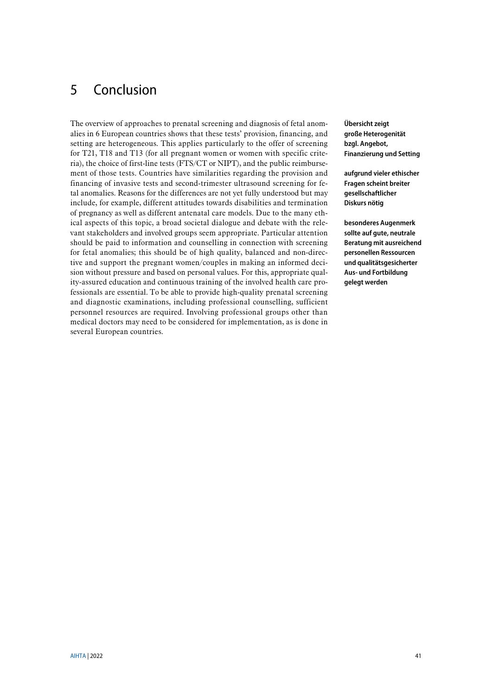# <span id="page-40-0"></span>5 Conclusion

The overview of approaches to prenatal screening and diagnosis of fetal anomalies in 6 European countries shows that these tests' provision, financing, and setting are heterogeneous. This applies particularly to the offer of screening for T21, T18 and T13 (for all pregnant women or women with specific criteria), the choice of first-line tests (FTS/CT or NIPT), and the public reimbursement of those tests. Countries have similarities regarding the provision and financing of invasive tests and second-trimester ultrasound screening for fetal anomalies. Reasons for the differences are not yet fully understood but may include, for example, different attitudes towards disabilities and termination of pregnancy as well as different antenatal care models. Due to the many ethical aspects of this topic, a broad societal dialogue and debate with the relevant stakeholders and involved groups seem appropriate. Particular attention should be paid to information and counselling in connection with screening for fetal anomalies; this should be of high quality, balanced and non-directive and support the pregnant women/couples in making an informed decision without pressure and based on personal values. For this, appropriate quality-assured education and continuous training of the involved health care professionals are essential. To be able to provide high-quality prenatal screening and diagnostic examinations, including professional counselling, sufficient personnel resources are required. Involving professional groups other than medical doctors may need to be considered for implementation, as is done in several European countries.

**Übersicht zeigt große Heterogenität bzgl. Angebot, Finanzierung und Setting**

**aufgrund vieler ethischer Fragen scheint breiter gesellschaftlicher Diskurs nötig**

**besonderes Augenmerk sollte auf gute, neutrale Beratung mit ausreichend personellen Ressourcen und qualitätsgesicherter Aus- und Fortbildung gelegt werden**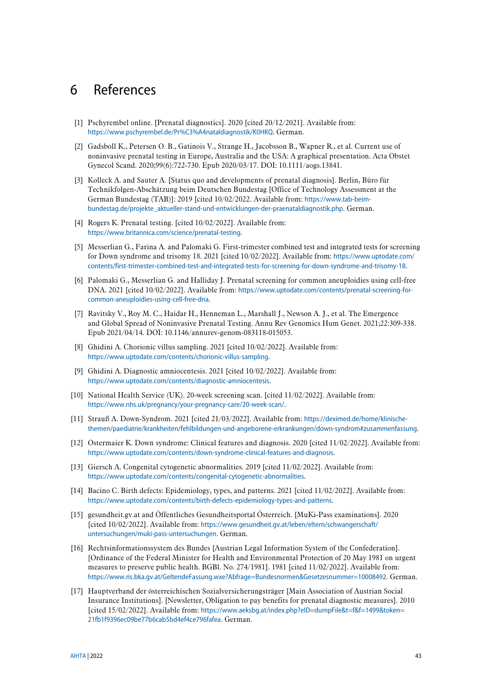# <span id="page-42-0"></span>6 References

- <span id="page-42-1"></span>[1] Pschyrembel online. [Prenatal diagnostics]. 2020 [cited 20/12/2021]. Available from: <https://www.pschyrembel.de/Pr%C3%A4nataldiagnostik/K0HKQ>. German.
- <span id="page-42-2"></span>[2] Gadsboll K., Petersen O. B., Gatinois V., Strange H., Jacobsson B., Wapner R., et al. Current use of noninvasive prenatal testing in Europe, Australia and the USA: A graphical presentation. Acta Obstet Gynecol Scand. 2020;99(6):722-730. Epub 2020/03/17. DOI: 10.1111/aogs.13841.
- <span id="page-42-3"></span>[3] Kolleck A. and Sauter A. [Status quo and developments of prenatal diagnosis]. Berlin, Büro für Technikfolgen-Abschätzung beim Deutschen Bundestag [Office of Technology Assessment at the German Bundestag (TAB)]: 2019 [cited 10/02/2022. Available from: [https://www.tab-beim](https://www.tab-beim-bundestag.de/projekte_aktueller-stand-und-entwicklungen-der-praenataldiagnostik.php)[bundestag.de/projekte\\_aktueller-stand-und-entwicklungen-der-praenataldiagnostik.php](https://www.tab-beim-bundestag.de/projekte_aktueller-stand-und-entwicklungen-der-praenataldiagnostik.php). German.
- <span id="page-42-4"></span>[4] Rogers K. Prenatal testing. [cited 10/02/2022]. Available from: <https://www.britannica.com/science/prenatal-testing>.
- <span id="page-42-5"></span>[5] Messerlian G., Farina A. and Palomaki G. First-trimester combined test and integrated tests for screening for Down syndrome and trisomy 18. 2021 [cited 10/02/2022]. Available from: [https://www.uptodate.com/](https://www.uptodate.com/contents/first-trimester-combined-test-and-integrated-tests-for-screening-for-down-syndrome-and-trisomy-18)  [contents/first-trimester-combined-test-and-integrated-tests-for-screening-for-down-syndrome-and-trisomy-18](https://www.uptodate.com/contents/first-trimester-combined-test-and-integrated-tests-for-screening-for-down-syndrome-and-trisomy-18).
- <span id="page-42-6"></span>[6] Palomaki G., Messerlian G. and Halliday J. Prenatal screening for common aneuploidies using cell-free DNA. 2021 [cited 10/02/2022]. Available from: [https://www.uptodate.com/contents/prenatal-screening-for](https://www.uptodate.com/contents/prenatal-screening-for-common-aneuploidies-using-cell-free-dna)[common-aneuploidies-using-cell-free-dna](https://www.uptodate.com/contents/prenatal-screening-for-common-aneuploidies-using-cell-free-dna).
- <span id="page-42-7"></span>[7] Ravitsky V., Roy M. C., Haidar H., Henneman L., Marshall J., Newson A. J., et al. The Emergence and Global Spread of Noninvasive Prenatal Testing. Annu Rev Genomics Hum Genet. 2021;22:309-338. Epub 2021/04/14. DOI: 10.1146/annurev-genom-083118-015053.
- <span id="page-42-8"></span>[8] Ghidini A. Chorionic villus sampling. 2021 [cited 10/02/2022]. Available from: <https://www.uptodate.com/contents/chorionic-villus-sampling>.
- <span id="page-42-9"></span>[9] Ghidini A. Diagnostic amniocentesis. 2021 [cited 10/02/2022]. Available from: <https://www.uptodate.com/contents/diagnostic-amniocentesis>.
- <span id="page-42-10"></span>[10] National Health Service (UK). 20-week screening scan. [cited 11/02/2022]. Available from: <https://www.nhs.uk/pregnancy/your-pregnancy-care/20-week-scan/>.
- <span id="page-42-11"></span>[11] Strauß A. Down-Syndrom. 2021 [cited 21/03/2022]. Available from: [https://deximed.de/home/klinische](https://deximed.de/home/klinische-themen/paediatrie/krankheiten/fehlbildungen-und-angeborene-erkrankungen/down-syndrom#zusammenfassung)[themen/paediatrie/krankheiten/fehlbildungen-und-angeborene-erkrankungen/down-syndrom#zusammenfassung](https://deximed.de/home/klinische-themen/paediatrie/krankheiten/fehlbildungen-und-angeborene-erkrankungen/down-syndrom#zusammenfassung).
- <span id="page-42-12"></span>[12] Ostermaier K. Down syndrome: Clinical features and diagnosis. 2020 [cited 11/02/2022]. Available from: <https://www.uptodate.com/contents/down-syndrome-clinical-features-and-diagnosis>.
- <span id="page-42-13"></span>[13] Giersch A. Congenital cytogenetic abnormalities. 2019 [cited 11/02/2022]. Available from: <https://www.uptodate.com/contents/congenital-cytogenetic-abnormalities>.
- <span id="page-42-14"></span>[14] Bacino C. Birth defects: Epidemiology, types, and patterns. 2021 [cited 11/02/2022]. Available from: <https://www.uptodate.com/contents/birth-defects-epidemiology-types-and-patterns>.
- <span id="page-42-15"></span>[15] gesundheit.gv.at and Öffentliches Gesundheitsportal Österreich. [MuKi-Pass examinations]. 2020 [cited 10/02/2022]. Available from: [https://www.gesundheit.gv.at/leben/eltern/schwangerschaft/](https://www.gesundheit.gv.at/leben/eltern/schwangerschaft/untersuchungen/muki-pass-untersuchungen)  [untersuchungen/muki-pass-untersuchungen](https://www.gesundheit.gv.at/leben/eltern/schwangerschaft/untersuchungen/muki-pass-untersuchungen). German.
- <span id="page-42-16"></span>[16] Rechtsinformationssystem des Bundes [Austrian Legal Information System of the Confederation]. [Ordinance of the Federal Minister for Health and Environmental Protection of 20 May 1981 on urgent measures to preserve public health. BGBl. No. 274/1981]. 1981 [cited 11/02/2022]. Available from: <https://www.ris.bka.gv.at/GeltendeFassung.wxe?Abfrage=Bundesnormen&Gesetzesnummer=10008492>. German.
- <span id="page-42-17"></span>[17] Hauptverband der österreichischen Sozialversicherungsträger [Main Association of Austrian Social Insurance Institutions]. [Newsletter, Obligation to pay benefits for prenatal diagnostic measures]. 2010 [cited 15/02/2022]. Available from: [https://www.aeksbg.at/index.php?eID=dumpFile&t=f&f=1499&token=](https://www.aeksbg.at/index.php?eID=dumpFile&t=f&f=1499&token=21fb1f9396ec09be77b6cab5bd4ef4ce796fafea)  [21fb1f9396ec09be77b6cab5bd4ef4ce796fafea](https://www.aeksbg.at/index.php?eID=dumpFile&t=f&f=1499&token=21fb1f9396ec09be77b6cab5bd4ef4ce796fafea). German.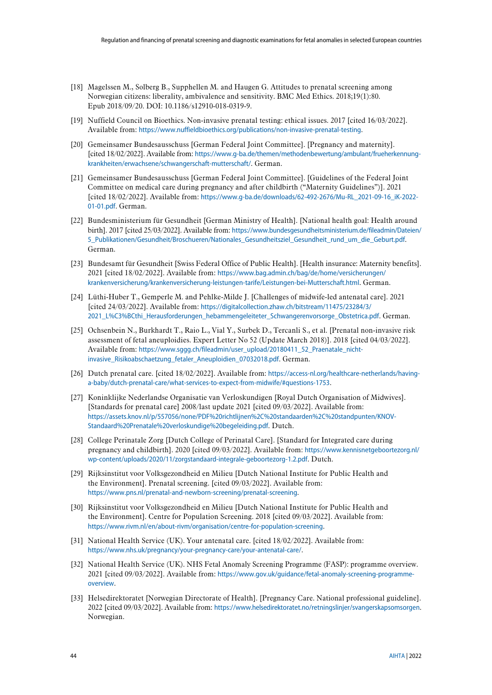- <span id="page-43-0"></span>[18] Magelssen M., Solberg B., Supphellen M. and Haugen G. Attitudes to prenatal screening among Norwegian citizens: liberality, ambivalence and sensitivity. BMC Med Ethics. 2018;19(1):80. Epub 2018/09/20. DOI: 10.1186/s12910-018-0319-9.
- <span id="page-43-1"></span>[19] Nuffield Council on Bioethics. Non-invasive prenatal testing: ethical issues. 2017 [cited 16/03/2022]. Available from: <https://www.nuffieldbioethics.org/publications/non-invasive-prenatal-testing>.
- <span id="page-43-2"></span>[20] Gemeinsamer Bundesausschuss [German Federal Joint Committee]. [Pregnancy and maternity]. [cited 18/02/2022]. Available from: [https://www.g-ba.de/themen/methodenbewertung/ambulant/frueherkennung](https://www.g-ba.de/themen/methodenbewertung/ambulant/frueherkennung-krankheiten/erwachsene/schwangerschaft-mutterschaft/)[krankheiten/erwachsene/schwangerschaft-mutterschaft/](https://www.g-ba.de/themen/methodenbewertung/ambulant/frueherkennung-krankheiten/erwachsene/schwangerschaft-mutterschaft/). German.
- <span id="page-43-3"></span>[21] Gemeinsamer Bundesausschuss [German Federal Joint Committee]. [Guidelines of the Federal Joint Committee on medical care during pregnancy and after childbirth ("Maternity Guidelines")]. 2021 [cited 18/02/2022]. Available from: [https://www.g-ba.de/downloads/62-492-2676/Mu-RL\\_2021-09-16\\_iK-2022-](https://www.g-ba.de/downloads/62-492-2676/Mu-RL_2021-09-16_iK-2022-01-01.pdf) [01-01.pdf](https://www.g-ba.de/downloads/62-492-2676/Mu-RL_2021-09-16_iK-2022-01-01.pdf). German.
- <span id="page-43-4"></span>[22] Bundesministerium für Gesundheit [German Ministry of Health]. [National health goal: Health around birth]. 2017 [cited 25/03/2022]. Available from: [https://www.bundesgesundheitsministerium.de/fileadmin/Dateien/](https://www.bundesgesundheitsministerium.de/fileadmin/Dateien/5_Publikationen/Gesundheit/Broschueren/Nationales_Gesundheitsziel_Gesundheit_rund_um_die_Geburt.pdf)  [5\\_Publikationen/Gesundheit/Broschueren/Nationales\\_Gesundheitsziel\\_Gesundheit\\_rund\\_um\\_die\\_Geburt.pdf](https://www.bundesgesundheitsministerium.de/fileadmin/Dateien/5_Publikationen/Gesundheit/Broschueren/Nationales_Gesundheitsziel_Gesundheit_rund_um_die_Geburt.pdf). German.
- <span id="page-43-5"></span>[23] Bundesamt für Gesundheit [Swiss Federal Office of Public Health]. [Health insurance: Maternity benefits]. 2021 [cited 18/02/2022]. Available from: [https://www.bag.admin.ch/bag/de/home/versicherungen/](https://www.bag.admin.ch/bag/de/home/versicherungen/krankenversicherung/krankenversicherung-leistungen-tarife/Leistungen-bei-Mutterschaft.html)  [krankenversicherung/krankenversicherung-leistungen-tarife/Leistungen-bei-Mutterschaft.html](https://www.bag.admin.ch/bag/de/home/versicherungen/krankenversicherung/krankenversicherung-leistungen-tarife/Leistungen-bei-Mutterschaft.html). German.
- <span id="page-43-6"></span>[24] Lüthi-Huber T., Gemperle M. and Pehlke-Milde J. [Challenges of midwife-led antenatal care]. 2021 [cited 24/03/2022]. Available from: [https://digitalcollection.zhaw.ch/bitstream/11475/23284/3/](https://digitalcollection.zhaw.ch/bitstream/11475/23284/3/2021_L%C3%BCthi_Herausforderungen_hebammengeleiteter_Schwangerenvorsorge_Obstetrica.pdf)  [2021\\_L%C3%BCthi\\_Herausforderungen\\_hebammengeleiteter\\_Schwangerenvorsorge\\_Obstetrica.pdf](https://digitalcollection.zhaw.ch/bitstream/11475/23284/3/2021_L%C3%BCthi_Herausforderungen_hebammengeleiteter_Schwangerenvorsorge_Obstetrica.pdf). German.
- <span id="page-43-7"></span>[25] Ochsenbein N., Burkhardt T., Raio L., Vial Y., Surbek D., Tercanli S., et al. [Prenatal non-invasive risk assessment of fetal aneuploidies. Expert Letter No 52 (Update March 2018)]. 2018 [cited 04/03/2022]. Available from: [https://www.sggg.ch/fileadmin/user\\_upload/20180411\\_52\\_Praenatale\\_nicht](https://www.sggg.ch/fileadmin/user_upload/20180411_52_Praenatale_nicht-invasive_Risikoabschaetzung_fetaler_Aneuploidien_07032018.pdf)[invasive\\_Risikoabschaetzung\\_fetaler\\_Aneuploidien\\_07032018.pdf](https://www.sggg.ch/fileadmin/user_upload/20180411_52_Praenatale_nicht-invasive_Risikoabschaetzung_fetaler_Aneuploidien_07032018.pdf). German.
- <span id="page-43-8"></span>[26] Dutch prenatal care. [cited 18/02/2022]. Available from: [https://access-nl.org/healthcare-netherlands/having](https://access-nl.org/healthcare-netherlands/having-a-baby/dutch-prenatal-care/what-services-to-expect-from-midwife/#questions-1753)[a-baby/dutch-prenatal-care/what-services-to-expect-from-midwife/#questions-1753](https://access-nl.org/healthcare-netherlands/having-a-baby/dutch-prenatal-care/what-services-to-expect-from-midwife/#questions-1753).
- <span id="page-43-9"></span>[27] Koninklijke Nederlandse Organisatie van Verloskundigen [Royal Dutch Organisation of Midwives]. [Standards for prenatal care] 2008/last update 2021 [cited 09/03/2022]. Available from: [https://assets.knov.nl/p/557056/none/PDF%20richtlijnen%2C%20standaarden%2C%20standpunten/KNOV-](https://assets.knov.nl/p/557056/none/PDF%20richtlijnen%2C%20standaarden%2C%20standpunten/KNOV-Standaard%20Prenatale%20verloskundige%20begeleiding.pdf)[Standaard%20Prenatale%20verloskundige%20begeleiding.pdf](https://assets.knov.nl/p/557056/none/PDF%20richtlijnen%2C%20standaarden%2C%20standpunten/KNOV-Standaard%20Prenatale%20verloskundige%20begeleiding.pdf). Dutch.
- <span id="page-43-10"></span>[28] College Perinatale Zorg [Dutch College of Perinatal Care]. [Standard for Integrated care during pregnancy and childbirth]. 2020 [cited 09/03/2022]. Available from: [https://www.kennisnetgeboortezorg.nl/](https://www.kennisnetgeboortezorg.nl/wp-content/uploads/2020/11/zorgstandaard-integrale-geboortezorg-1.2.pdf)  [wp-content/uploads/2020/11/zorgstandaard-integrale-geboortezorg-1.2.pdf](https://www.kennisnetgeboortezorg.nl/wp-content/uploads/2020/11/zorgstandaard-integrale-geboortezorg-1.2.pdf). Dutch.
- <span id="page-43-11"></span>[29] Rijksinstitut voor Volksgezondheid en Milieu [Dutch National Institute for Public Health and the Environment]. Prenatal screening. [cited 09/03/2022]. Available from: <https://www.pns.nl/prenatal-and-newborn-screening/prenatal-screening>.
- <span id="page-43-12"></span>[30] Rijksinstitut voor Volksgezondheid en Milieu [Dutch National Institute for Public Health and the Environment]. Centre for Population Screening. 2018 [cited 09/03/2022]. Available from: <https://www.rivm.nl/en/about-rivm/organisation/centre-for-population-screening>.
- <span id="page-43-13"></span>[31] National Health Service (UK). Your antenatal care. [cited 18/02/2022]. Available from: <https://www.nhs.uk/pregnancy/your-pregnancy-care/your-antenatal-care/>.
- <span id="page-43-14"></span>[32] National Health Service (UK). NHS Fetal Anomaly Screening Programme (FASP): programme overview. 2021 [cited 09/03/2022]. Available from: [https://www.gov.uk/guidance/fetal-anomaly-screening-programme](https://www.gov.uk/guidance/fetal-anomaly-screening-programme-overview)[overview](https://www.gov.uk/guidance/fetal-anomaly-screening-programme-overview).
- <span id="page-43-15"></span>[33] Helsedirektoratet [Norwegian Directorate of Health]. [Pregnancy Care. National professional guideline]. 2022 [cited 09/03/2022]. Available from: <https://www.helsedirektoratet.no/retningslinjer/svangerskapsomsorgen>. Norwegian.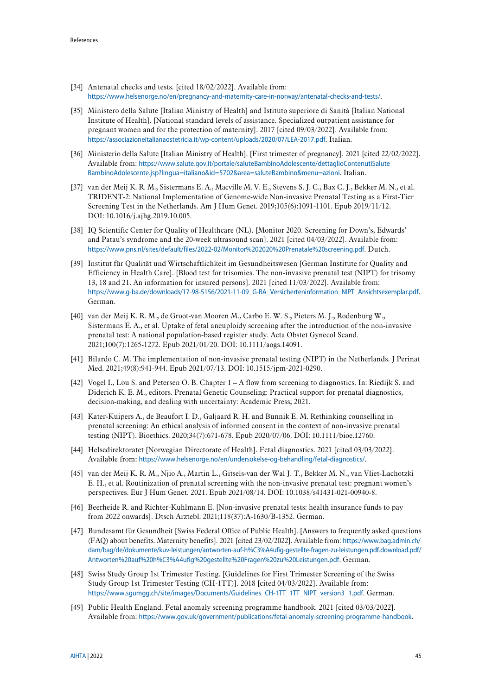- <span id="page-44-0"></span>[34] Antenatal checks and tests. [cited 18/02/2022]. Available from: <https://www.helsenorge.no/en/pregnancy-and-maternity-care-in-norway/antenatal-checks-and-tests/>.
- <span id="page-44-1"></span>[35] Ministero della Salute [Italian Ministry of Health] and Istituto superiore di Sanità [Italian National Institute of Health]. [National standard levels of assistance. Specialized outpatient assistance for pregnant women and for the protection of maternity]. 2017 [cited 09/03/2022]. Available from: <https://associazioneitalianaostetricia.it/wp-content/uploads/2020/07/LEA-2017.pdf>. Italian.
- <span id="page-44-2"></span>[36] Ministerio della Salute [Italian Ministry of Health]. [First trimester of pregnancy]. 2021 [cited 22/02/2022]. Available from: [https://www.salute.gov.it/portale/saluteBambinoAdolescente/dettaglioContenutiSalute](https://www.salute.gov.it/portale/saluteBambinoAdolescente/dettaglioContenutiSaluteBambinoAdolescente.jsp?lingua=italiano&id=5702&area=saluteBambino&menu=azioni)  [BambinoAdolescente.jsp?lingua=italiano&id=5702&area=saluteBambino&menu=azioni](https://www.salute.gov.it/portale/saluteBambinoAdolescente/dettaglioContenutiSaluteBambinoAdolescente.jsp?lingua=italiano&id=5702&area=saluteBambino&menu=azioni). Italian.
- <span id="page-44-3"></span>[37] van der Meij K. R. M., Sistermans E. A., Macville M. V. E., Stevens S. J. C., Bax C. J., Bekker M. N., et al. TRIDENT-2: National Implementation of Genome-wide Non-invasive Prenatal Testing as a First-Tier Screening Test in the Netherlands. Am J Hum Genet. 2019;105(6):1091-1101. Epub 2019/11/12. DOI: 10.1016/j.ajhg.2019.10.005.
- <span id="page-44-4"></span>[38] IQ Scientific Center for Quality of Healthcare (NL). [Monitor 2020. Screening for Down's, Edwards' and Patau's syndrome and the 20-week ultrasound scan]. 2021 [cited 04/03/2022]. Available from: <https://www.pns.nl/sites/default/files/2022-02/Monitor%202020%20Prenatale%20screening.pdf>. Dutch.
- <span id="page-44-5"></span>[39] Institut für Qualität und Wirtschaftlichkeit im Gesundheitswesen [German Institute for Quality and Efficiency in Health Care]. [Blood test for trisomies. The non-invasive prenatal test (NIPT) for trisomy 13, 18 and 21. An information for insured persons]. 2021 [cited 11/03/2022]. Available from: [https://www.g-ba.de/downloads/17-98-5156/2021-11-09\\_G-BA\\_Versicherteninformation\\_NIPT\\_Ansichtsexemplar.pdf](https://www.g-ba.de/downloads/17-98-5156/2021-11-09_G-BA_Versicherteninformation_NIPT_Ansichtsexemplar.pdf). German.
- <span id="page-44-6"></span>[40] van der Meij K. R. M., de Groot-van Mooren M., Carbo E. W. S., Pieters M. J., Rodenburg W., Sistermans E. A., et al. Uptake of fetal aneuploidy screening after the introduction of the non-invasive prenatal test: A national population-based register study. Acta Obstet Gynecol Scand. 2021;100(7):1265-1272. Epub 2021/01/20. DOI: 10.1111/aogs.14091.
- <span id="page-44-7"></span>[41] Bilardo C. M. The implementation of non-invasive prenatal testing (NIPT) in the Netherlands. J Perinat Med. 2021;49(8):941-944. Epub 2021/07/13. DOI: 10.1515/jpm-2021-0290.
- <span id="page-44-8"></span>[42] Vogel I., Lou S. and Petersen O. B. Chapter 1 – A flow from screening to diagnostics. In: Riedijk S. and Diderich K. E. M., editors. Prenatal Genetic Counseling: Practical support for prenatal diagnostics, decision-making, and dealing with uncertainty: Academic Press; 2021.
- <span id="page-44-9"></span>[43] Kater-Kuipers A., de Beaufort I. D., Galjaard R. H. and Bunnik E. M. Rethinking counselling in prenatal screening: An ethical analysis of informed consent in the context of non-invasive prenatal testing (NIPT). Bioethics. 2020;34(7):671-678. Epub 2020/07/06. DOI: 10.1111/bioe.12760.
- <span id="page-44-10"></span>[44] Helsedirektoratet [Norwegian Directorate of Health]. Fetal diagnostics. 2021 [cited 03/03/2022]. Available from: <https://www.helsenorge.no/en/undersokelse-og-behandling/fetal-diagnostics/>.
- <span id="page-44-11"></span>[45] van der Meij K. R. M., Njio A., Martin L., Gitsels-van der Wal J. T., Bekker M. N., van Vliet-Lachotzki E. H., et al. Routinization of prenatal screening with the non-invasive prenatal test: pregnant women's perspectives. Eur J Hum Genet. 2021. Epub 2021/08/14. DOI: 10.1038/s41431-021-00940-8.
- <span id="page-44-12"></span>[46] Beerheide R. and Richter-Kuhlmann E. [Non-invasive prenatal tests: health insurance funds to pay from 2022 onwards]. Dtsch Arztebl. 2021;118(37):A-1630/B-1352. German.
- <span id="page-44-13"></span>[47] Bundesamt für Gesundheit [Swiss Federal Office of Public Health]. [Answers to frequently asked questions (FAQ) about benefits. Maternity benefits]. 2021 [cited 23/02/2022]. Available from: [https://www.bag.admin.ch/](https://www.bag.admin.ch/dam/bag/de/dokumente/kuv-leistungen/antworten-auf-h%C3%A4ufig-gestellte-fragen-zu-leistungen.pdf.download.pdf/Antworten%20auf%20h%C3%A4ufig%20gestellte%20Fragen%20zu%20Leistungen.pdf)  [dam/bag/de/dokumente/kuv-leistungen/antworten-auf-h%C3%A4ufig-gestellte-fragen-zu-leistungen.pdf.download.pdf/](https://www.bag.admin.ch/dam/bag/de/dokumente/kuv-leistungen/antworten-auf-h%C3%A4ufig-gestellte-fragen-zu-leistungen.pdf.download.pdf/Antworten%20auf%20h%C3%A4ufig%20gestellte%20Fragen%20zu%20Leistungen.pdf)  [Antworten%20auf%20h%C3%A4ufig%20gestellte%20Fragen%20zu%20Leistungen.pdf](https://www.bag.admin.ch/dam/bag/de/dokumente/kuv-leistungen/antworten-auf-h%C3%A4ufig-gestellte-fragen-zu-leistungen.pdf.download.pdf/Antworten%20auf%20h%C3%A4ufig%20gestellte%20Fragen%20zu%20Leistungen.pdf). German.
- <span id="page-44-14"></span>[48] Swiss Study Group 1st Trimester Testing. [Guidelines for First Trimester Screening of the Swiss Study Group 1st Trimester Testing (CH-1TT)]. 2018 [cited 04/03/2022]. Available from: [https://www.sgumgg.ch/site/images/Documents/Guidelines\\_CH-1TT\\_1TT\\_NIPT\\_version3\\_1.pdf](https://www.sgumgg.ch/site/images/Documents/Guidelines_CH-1TT_1TT_NIPT_version3_1.pdf). German.
- <span id="page-44-15"></span>[49] Public Health England. Fetal anomaly screening programme handbook. 2021 [cited 03/03/2022]. Available from: <https://www.gov.uk/government/publications/fetal-anomaly-screening-programme-handbook>.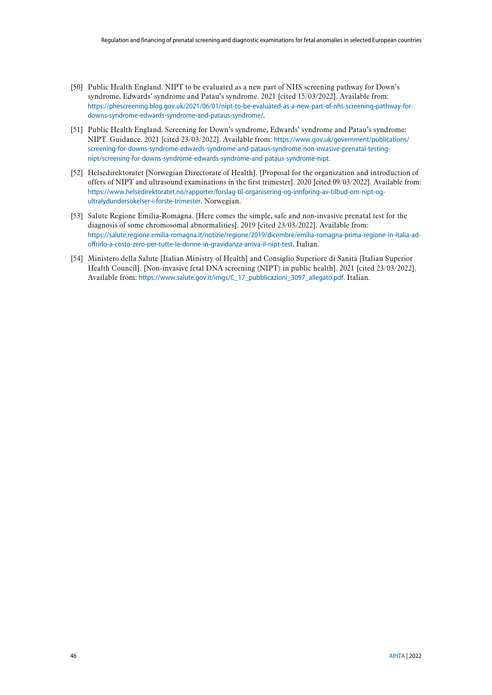- <span id="page-45-0"></span>[50] Public Health England. NIPT to be evaluated as a new part of NHS screening pathway for Down's syndrome, Edwards' syndrome and Patau's syndrome. 2021 [cited 15/03/2022]. Available from: [https://phescreening.blog.gov.uk/2021/06/01/nipt-to-be-evaluated-as-a-new-part-of-nhs-screening-pathway-for](https://phescreening.blog.gov.uk/2021/06/01/nipt-to-be-evaluated-as-a-new-part-of-nhs-screening-pathway-for-downs-syndrome-edwards-syndrome-and-pataus-syndrome/)[downs-syndrome-edwards-syndrome-and-pataus-syndrome/](https://phescreening.blog.gov.uk/2021/06/01/nipt-to-be-evaluated-as-a-new-part-of-nhs-screening-pathway-for-downs-syndrome-edwards-syndrome-and-pataus-syndrome/).
- <span id="page-45-1"></span>[51] Public Health England. Screening for Down's syndrome, Edwards' syndrome and Patau's syndrome: NIPT. Guidance. 2021 [cited 23/03/2022]. Available from: [https://www.gov.uk/government/publications/](https://www.gov.uk/government/publications/screening-for-downs-syndrome-edwards-syndrome-and-pataus-syndrome-non-invasive-prenatal-testing-nipt/screening-for-downs-syndrome-edwards-syndrome-and-pataus-syndrome-nipt)  [screening-for-downs-syndrome-edwards-syndrome-and-pataus-syndrome-non-invasive-prenatal-testing](https://www.gov.uk/government/publications/screening-for-downs-syndrome-edwards-syndrome-and-pataus-syndrome-non-invasive-prenatal-testing-nipt/screening-for-downs-syndrome-edwards-syndrome-and-pataus-syndrome-nipt)[nipt/screening-for-downs-syndrome-edwards-syndrome-and-pataus-syndrome-nipt](https://www.gov.uk/government/publications/screening-for-downs-syndrome-edwards-syndrome-and-pataus-syndrome-non-invasive-prenatal-testing-nipt/screening-for-downs-syndrome-edwards-syndrome-and-pataus-syndrome-nipt).
- <span id="page-45-2"></span>[52] Helsedirektoratet [Norwegian Directorate of Health]. [Proposal for the organization and introduction of offers of NIPT and ultrasound examinations in the first trimester]. 2020 [cited 09/03/2022]. Available from: [https://www.helsedirektoratet.no/rapporter/forslag-til-organisering-og-innforing-av-tilbud-om-nipt-og](https://www.helsedirektoratet.no/rapporter/forslag-til-organisering-og-innforing-av-tilbud-om-nipt-og-ultralydundersokelser-i-forste-trimester)[ultralydundersokelser-i-forste-trimester](https://www.helsedirektoratet.no/rapporter/forslag-til-organisering-og-innforing-av-tilbud-om-nipt-og-ultralydundersokelser-i-forste-trimester). Norwegian.
- <span id="page-45-3"></span>[53] Salute Regione Emilia-Romagna. [Here comes the simple, safe and non-invasive prenatal test for the diagnosis of some chromosomal abnormalities]. 2019 [cited 23/03/2022]. Available from: [https://salute.regione.emilia-romagna.it/notizie/regione/2019/dicembre/emilia-romagna-prima-regione-in-italia-ad](https://salute.regione.emilia-romagna.it/notizie/regione/2019/dicembre/emilia-romagna-prima-regione-in-italia-ad-offrirlo-a-costo-zero-per-tutte-le-donne-in-gravidanza-arriva-il-nipt-test)[offrirlo-a-costo-zero-per-tutte-le-donne-in-gravidanza-arriva-il-nipt-test](https://salute.regione.emilia-romagna.it/notizie/regione/2019/dicembre/emilia-romagna-prima-regione-in-italia-ad-offrirlo-a-costo-zero-per-tutte-le-donne-in-gravidanza-arriva-il-nipt-test). Italian.
- <span id="page-45-4"></span>[54] Ministero della Salute [Italian Ministry of Health] and Consiglio Superiore di Sanità [Italian Superior Health Council]. [Non-invasive fetal DNA screening (NIPT) in public health]. 2021 [cited 23/03/2022]. Available from: [https://www.salute.gov.it/imgs/C\\_17\\_pubblicazioni\\_3097\\_allegato.pdf](https://www.salute.gov.it/imgs/C_17_pubblicazioni_3097_allegato.pdf). Italian.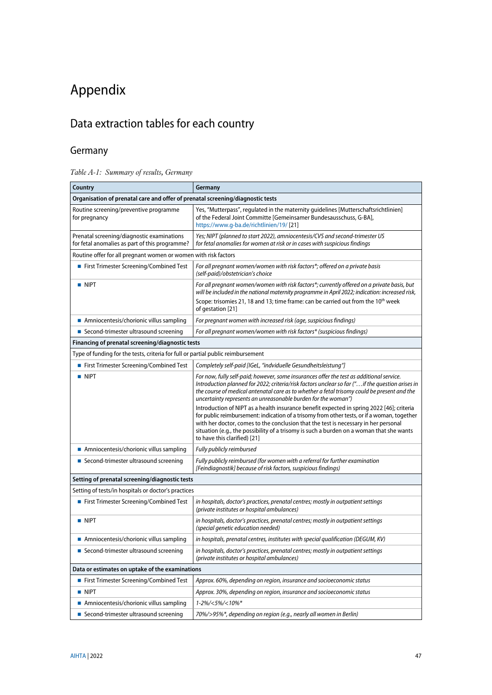# <span id="page-46-0"></span>Appendix

# <span id="page-46-1"></span>Data extraction tables for each country

# <span id="page-46-2"></span>Germany

<span id="page-46-3"></span>

| Table A-1: Summary of results, Germany |  |  |
|----------------------------------------|--|--|
|                                        |  |  |

| Country                                                                                      | Germany                                                                                                                                                                                                                                                                                                                                                                                                     |
|----------------------------------------------------------------------------------------------|-------------------------------------------------------------------------------------------------------------------------------------------------------------------------------------------------------------------------------------------------------------------------------------------------------------------------------------------------------------------------------------------------------------|
| Organisation of prenatal care and offer of prenatal screening/diagnostic tests               |                                                                                                                                                                                                                                                                                                                                                                                                             |
| Routine screening/preventive programme<br>for pregnancy                                      | Yes, "Mutterpass", regulated in the maternity guidelines [Mutterschaftsrichtlinien]<br>of the Federal Joint Committe [Gemeinsamer Bundesausschuss, G-BA],<br>https://www.g-ba.de/richtlinien/19/ [21]                                                                                                                                                                                                       |
| Prenatal screening/diagnostic examinations<br>for fetal anomalies as part of this programme? | Yes; NIPT (planned to start 2022), amniocentesis/CVS and second-trimester US<br>for fetal anomalies for women at risk or in cases with suspicious findings                                                                                                                                                                                                                                                  |
| Routine offer for all pregnant women or women with risk factors                              |                                                                                                                                                                                                                                                                                                                                                                                                             |
| First Trimester Screening/Combined Test                                                      | For all pregnant women/women with risk factors*; offered on a private basis<br>(self-paid)/obstetrician's choice                                                                                                                                                                                                                                                                                            |
| <b>NIPT</b>                                                                                  | For all pregnant women/women with risk factors*; currently offered on a private basis, but<br>will be included in the national maternity programme in April 2022; indication: increased risk,<br>Scope: trisomies 21, 18 and 13; time frame: can be carried out from the 10 <sup>th</sup> week<br>of gestation [21]                                                                                         |
| Amniocentesis/chorionic villus sampling                                                      | For pregnant women with increased risk (age, suspicious findings)                                                                                                                                                                                                                                                                                                                                           |
| ■ Second-trimester ultrasound screening                                                      | For all pregnant women/women with risk factors* (suspicious findings)                                                                                                                                                                                                                                                                                                                                       |
| Financing of prenatal screening/diagnostic tests                                             |                                                                                                                                                                                                                                                                                                                                                                                                             |
| Type of funding for the tests, criteria for full or partial public reimbursement             |                                                                                                                                                                                                                                                                                                                                                                                                             |
| ■ First Trimester Screening/Combined Test                                                    | Completely self-paid [IGeL, "indviduelle Gesundheitsleistung"]                                                                                                                                                                                                                                                                                                                                              |
| <b>NIPT</b>                                                                                  | For now, fully self-paid; however, some insurances offer the test as additional service.<br>Introduction planned for 2022; criteria/risk factors unclear so far (" if the question arises in<br>the course of medical antenatal care as to whether a fetal trisomy could be present and the<br>uncertainty represents an unreasonable burden for the woman")                                                |
|                                                                                              | Introduction of NIPT as a health insurance benefit expected in spring 2022 [46]; criteria<br>for public reimbursement: indication of a trisomy from other tests, or if a woman, together<br>with her doctor, comes to the conclusion that the test is necessary in her personal<br>situation (e.g., the possibility of a trisomy is such a burden on a woman that she wants<br>to have this clarified) [21] |
| Amniocentesis/chorionic villus sampling                                                      | Fully publicly reimbursed                                                                                                                                                                                                                                                                                                                                                                                   |
| ■ Second-trimester ultrasound screening                                                      | Fully publicly reimbursed (for women with a referral for further examination<br>[Feindiagnostik] because of risk factors, suspicious findings)                                                                                                                                                                                                                                                              |
| Setting of prenatal screening/diagnostic tests                                               |                                                                                                                                                                                                                                                                                                                                                                                                             |
| Setting of tests/in hospitals or doctor's practices                                          |                                                                                                                                                                                                                                                                                                                                                                                                             |
| First Trimester Screening/Combined Test                                                      | in hospitals, doctor's practices, prenatal centres; mostly in outpatient settings<br>(private institutes or hospital ambulances)                                                                                                                                                                                                                                                                            |
| <b>NIPT</b>                                                                                  | in hospitals, doctor's practices, prenatal centres; mostly in outpatient settings<br>(special genetic education needed)                                                                                                                                                                                                                                                                                     |
| Amniocentesis/chorionic villus sampling                                                      | in hospitals, prenatal centres, institutes with special qualification (DEGUM, KV)                                                                                                                                                                                                                                                                                                                           |
| Second-trimester ultrasound screening                                                        | in hospitals, doctor's practices, prenatal centres; mostly in outpatient settings<br>(private institutes or hospital ambulances)                                                                                                                                                                                                                                                                            |
| Data or estimates on uptake of the examinations                                              |                                                                                                                                                                                                                                                                                                                                                                                                             |
| First Trimester Screening/Combined Test                                                      | Approx. 60%, depending on region, insurance and socioeconomic status                                                                                                                                                                                                                                                                                                                                        |
| $\blacksquare$ NIPT                                                                          | Approx. 30%, depending on region, insurance and socioeconomic status                                                                                                                                                                                                                                                                                                                                        |
| Amniocentesis/chorionic villus sampling                                                      | 1-2%/<5%/<10%*                                                                                                                                                                                                                                                                                                                                                                                              |
| ■ Second-trimester ultrasound screening                                                      | 70%/>95%*, depending on region (e.g., nearly all women in Berlin)                                                                                                                                                                                                                                                                                                                                           |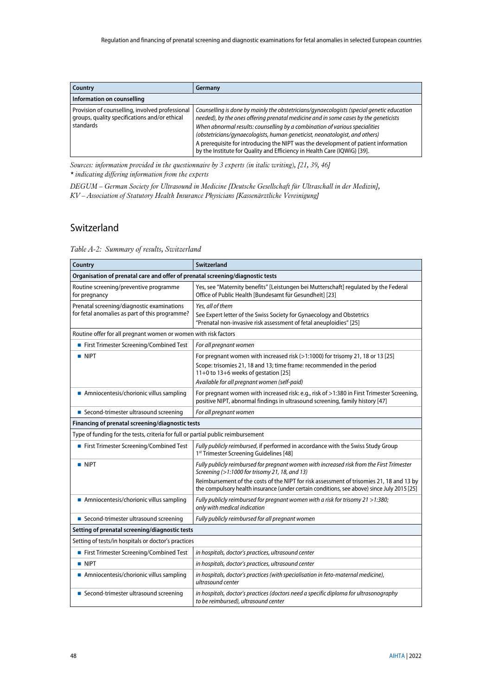| Country                                                                                                       | Germany                                                                                                                                                                                                                                                                                                                                                                                                                                                                                                           |
|---------------------------------------------------------------------------------------------------------------|-------------------------------------------------------------------------------------------------------------------------------------------------------------------------------------------------------------------------------------------------------------------------------------------------------------------------------------------------------------------------------------------------------------------------------------------------------------------------------------------------------------------|
| Information on counselling                                                                                    |                                                                                                                                                                                                                                                                                                                                                                                                                                                                                                                   |
| Provision of counselling, involved professional<br>groups, quality specifications and/or ethical<br>standards | Counselling is done by mainly the obstetricians/gynaecologists (special genetic education<br>needed), by the ones offering prenatal medicine and in some cases by the geneticists<br>When abnormal results: counselling by a combination of various specialities<br>(obstetricians/gynaecologists, human geneticist, neonatologist, and others)<br>A prerequisite for introducing the NIPT was the development of patient information<br>by the Institute for Quality and Efficiency in Health Care (IQWiG) [39]. |

*Sources: information provided in the questionnaire by 3 experts (in italic writing), [\[21,](#page-43-3) [39,](#page-44-5) [46\]](#page-44-12) \* indicating differing information from the experts*

*DEGUM – German Society for Ultrasound in Medicine [Deutsche Gesellschaft für Ultraschall in der Medizin], KV – Association of Statutory Health Insurance Physicians [Kassenärztliche Vereinigung]*

#### <span id="page-47-0"></span>Switzerland

<span id="page-47-1"></span>*Table A-2: Summary of results, Switzerland*

| Country                                                                                      | <b>Switzerland</b>                                                                                                                                                                                                                                                                                                                    |  |
|----------------------------------------------------------------------------------------------|---------------------------------------------------------------------------------------------------------------------------------------------------------------------------------------------------------------------------------------------------------------------------------------------------------------------------------------|--|
| Organisation of prenatal care and offer of prenatal screening/diagnostic tests               |                                                                                                                                                                                                                                                                                                                                       |  |
| Routine screening/preventive programme<br>for pregnancy                                      | Yes, see "Maternity benefits" [Leistungen bei Mutterschaft] regulated by the Federal<br>Office of Public Health [Bundesamt für Gesundheit] [23]                                                                                                                                                                                       |  |
| Prenatal screening/diagnostic examinations<br>for fetal anomalies as part of this programme? | Yes, all of them<br>See Expert letter of the Swiss Society for Gynaecology and Obstetrics<br>"Prenatal non-invasive risk assessment of fetal aneuploidies" [25]                                                                                                                                                                       |  |
| Routine offer for all pregnant women or women with risk factors                              |                                                                                                                                                                                                                                                                                                                                       |  |
| First Trimester Screening/Combined Test                                                      | For all pregnant women                                                                                                                                                                                                                                                                                                                |  |
| <b>NIPT</b>                                                                                  | For pregnant women with increased risk (>1:1000) for trisomy 21, 18 or 13 [25]<br>Scope: trisomies 21, 18 and 13; time frame: recommended in the period<br>11+0 to 13+6 weeks of gestation [25]<br>Available for all pregnant women (self-paid)                                                                                       |  |
| Amniocentesis/chorionic villus sampling                                                      | For pregnant women with increased risk: e.g., risk of >1:380 in First Trimester Screening,<br>positive NIPT, abnormal findings in ultrasound screening, family history [47]                                                                                                                                                           |  |
| ■ Second-trimester ultrasound screening                                                      | For all pregnant women                                                                                                                                                                                                                                                                                                                |  |
| Financing of prenatal screening/diagnostic tests                                             |                                                                                                                                                                                                                                                                                                                                       |  |
| Type of funding for the tests, criteria for full or partial public reimbursement             |                                                                                                                                                                                                                                                                                                                                       |  |
| First Trimester Screening/Combined Test                                                      | Fully publicly reimbursed, if performed in accordance with the Swiss Study Group<br>1st Trimester Screening Guidelines [48]                                                                                                                                                                                                           |  |
| <b>NIPT</b>                                                                                  | Fully publicly reimbursed for pregnant women with increased risk from the First Trimester<br>Screening (>1:1000 for trisomy 21, 18, and 13)<br>Reimbursement of the costs of the NIPT for risk assessment of trisomies 21, 18 and 13 by<br>the compulsory health insurance (under certain conditions, see above) since July 2015 [25] |  |
| Amniocentesis/chorionic villus sampling                                                      | Fully publicly reimbursed for pregnant women with a risk for trisomy 21 > 1:380;<br>only with medical indication                                                                                                                                                                                                                      |  |
| ■ Second-trimester ultrasound screening                                                      | Fully publicly reimbursed for all pregnant women                                                                                                                                                                                                                                                                                      |  |
| Setting of prenatal screening/diagnostic tests                                               |                                                                                                                                                                                                                                                                                                                                       |  |
| Setting of tests/in hospitals or doctor's practices                                          |                                                                                                                                                                                                                                                                                                                                       |  |
| First Trimester Screening/Combined Test                                                      | in hospitals, doctor's practices, ultrasound center                                                                                                                                                                                                                                                                                   |  |
| <b>NIPT</b>                                                                                  | in hospitals, doctor's practices, ultrasound center                                                                                                                                                                                                                                                                                   |  |
| Amniocentesis/chorionic villus sampling                                                      | in hospitals, doctor's practices (with specialisation in feto-maternal medicine),<br>ultrasound center                                                                                                                                                                                                                                |  |
| ■ Second-trimester ultrasound screening                                                      | in hospitals, doctor's practices (doctors need a specific diploma for ultrasonography<br>to be reimbursed), ultrasound center                                                                                                                                                                                                         |  |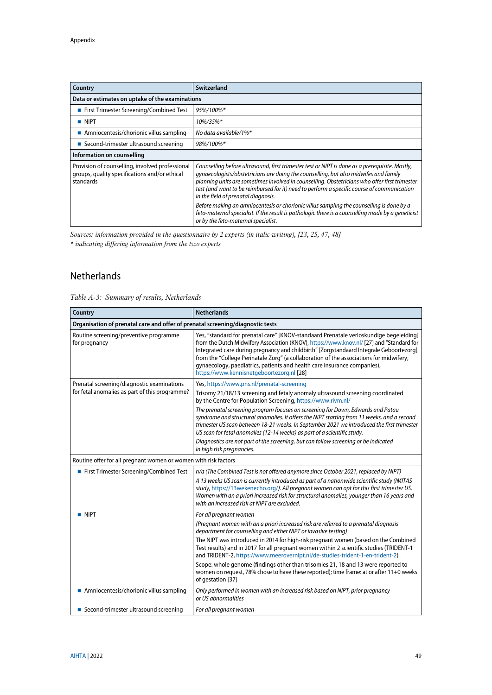| Country                                                                                                       | Switzerland                                                                                                                                                                                                                                                                                                                                                                                                                                                                                                                                                                                                                                                          |
|---------------------------------------------------------------------------------------------------------------|----------------------------------------------------------------------------------------------------------------------------------------------------------------------------------------------------------------------------------------------------------------------------------------------------------------------------------------------------------------------------------------------------------------------------------------------------------------------------------------------------------------------------------------------------------------------------------------------------------------------------------------------------------------------|
| Data or estimates on uptake of the examinations                                                               |                                                                                                                                                                                                                                                                                                                                                                                                                                                                                                                                                                                                                                                                      |
| ■ First Trimester Screening/Combined Test                                                                     | 95%/100%*                                                                                                                                                                                                                                                                                                                                                                                                                                                                                                                                                                                                                                                            |
| $\blacksquare$ NIPT                                                                                           | 10%/35%*                                                                                                                                                                                                                                                                                                                                                                                                                                                                                                                                                                                                                                                             |
| Amniocentesis/chorionic villus sampling                                                                       | No data available/1%*                                                                                                                                                                                                                                                                                                                                                                                                                                                                                                                                                                                                                                                |
| ■ Second-trimester ultrasound screening                                                                       | 98%/100%*                                                                                                                                                                                                                                                                                                                                                                                                                                                                                                                                                                                                                                                            |
| Information on counselling                                                                                    |                                                                                                                                                                                                                                                                                                                                                                                                                                                                                                                                                                                                                                                                      |
| Provision of counselling, involved professional<br>groups, quality specifications and/or ethical<br>standards | Counselling before ultrasound, first trimester test or NIPT is done as a prerequisite. Mostly,<br>gynaecologists/obstetricians are doing the counselling, but also midwifes and family<br>planning units are sometimes involved in counselling. Obstetricians who offer first trimester<br>test (and want to be reimbursed for it) need to perform a specific course of communication<br>in the field of prenatal diagnosis.<br>Before making an amniocentesis or chorionic villus sampling the counselling is done by a<br>feto-maternal specialist. If the result is pathologic there is a counselling made by a geneticist<br>or by the feto-maternal specialist. |

*Sources: information provided in the questionnaire by 2 experts (in italic writing), [\[23,](#page-43-5) [25,](#page-43-7) [47,](#page-44-13) [48\]](#page-44-14) \* indicating differing information from the two experts*

## <span id="page-48-0"></span>Netherlands

<span id="page-48-1"></span>

|  |  |  | Table A-3: Summary of results, Netherlands |
|--|--|--|--------------------------------------------|
|--|--|--|--------------------------------------------|

| Country                                                                        | <b>Netherlands</b>                                                                                                                                                                                                                                                                                                                                                                                                                                                                               |  |
|--------------------------------------------------------------------------------|--------------------------------------------------------------------------------------------------------------------------------------------------------------------------------------------------------------------------------------------------------------------------------------------------------------------------------------------------------------------------------------------------------------------------------------------------------------------------------------------------|--|
| Organisation of prenatal care and offer of prenatal screening/diagnostic tests |                                                                                                                                                                                                                                                                                                                                                                                                                                                                                                  |  |
| Routine screening/preventive programme<br>for pregnancy                        | Yes, "standard for prenatal care" [KNOV-standaard Prenatale verloskundige begeleiding]<br>from the Dutch Midwifery Association (KNOV), https://www.knov.nl/ [27] and "Standard for<br>Integrated care during pregnancy and childbirth" [Zorgstandaard Integrale Geboortezorg]<br>from the "College Perinatale Zorg" (a collaboration of the associations for midwifery,<br>gynaecology, paediatrics, patients and health care insurance companies),<br>https://www.kennisnetgeboortezorg.nl [28] |  |
| Prenatal screening/diagnostic examinations                                     | Yes, https://www.pns.nl/prenatal-screening                                                                                                                                                                                                                                                                                                                                                                                                                                                       |  |
| for fetal anomalies as part of this programme?                                 | Trisomy 21/18/13 screening and fetaly anomaly ultrasound screening coordinated<br>by the Centre for Population Screening, https://www.rivm.nl/                                                                                                                                                                                                                                                                                                                                                   |  |
|                                                                                | The prenatal screening program focuses on screening for Down, Edwards and Patau<br>syndrome and structural anomalies. It offers the NIPT starting from 11 weeks, and a second<br>trimester US scan between 18-21 weeks. In September 2021 we introduced the first trimester<br>US scan for fetal anomalies (12-14 weeks) as part of a scientific study.                                                                                                                                          |  |
|                                                                                | Diagnostics are not part of the screening, but can follow screening or be indicated<br>in high risk pregnancies.                                                                                                                                                                                                                                                                                                                                                                                 |  |
| Routine offer for all pregnant women or women with risk factors                |                                                                                                                                                                                                                                                                                                                                                                                                                                                                                                  |  |
| First Trimester Screening/Combined Test                                        | n/a (The Combined Test is not offered anymore since October 2021, replaced by NIPT)                                                                                                                                                                                                                                                                                                                                                                                                              |  |
|                                                                                | A 13 weeks US scan is currently introduced as part of a nationwide scientific study (IMITAS<br>study, https://13wekenecho.org/). All pregnant women can opt for this first trimester US.<br>Women with an a priori increased risk for structural anomalies, younger than 16 years and<br>with an increased risk at NIPT are excluded.                                                                                                                                                            |  |
| $\blacksquare$ NIPT                                                            | For all pregnant women                                                                                                                                                                                                                                                                                                                                                                                                                                                                           |  |
|                                                                                | (Pregnant women with an a priori increased risk are referred to a prenatal diagnosis<br>department for counselling and either NIPT or invasive testing)                                                                                                                                                                                                                                                                                                                                          |  |
|                                                                                | The NIPT was introduced in 2014 for high-risk pregnant women (based on the Combined<br>Test results) and in 2017 for all pregnant women within 2 scientific studies (TRIDENT-1<br>and TRIDENT-2, https://www.meerovernipt.nl/de-studies-trident-1-en-trident-2)                                                                                                                                                                                                                                  |  |
|                                                                                | Scope: whole genome (findings other than trisomies 21, 18 and 13 were reported to<br>women on request, 78% chose to have these reported); time frame: at or after 11+0 weeks<br>of gestation [37]                                                                                                                                                                                                                                                                                                |  |
| Amniocentesis/chorionic villus sampling                                        | Only performed in women with an increased risk based on NIPT, prior pregnancy<br>or US abnormalities                                                                                                                                                                                                                                                                                                                                                                                             |  |
| ■ Second-trimester ultrasound screening                                        | For all pregnant women                                                                                                                                                                                                                                                                                                                                                                                                                                                                           |  |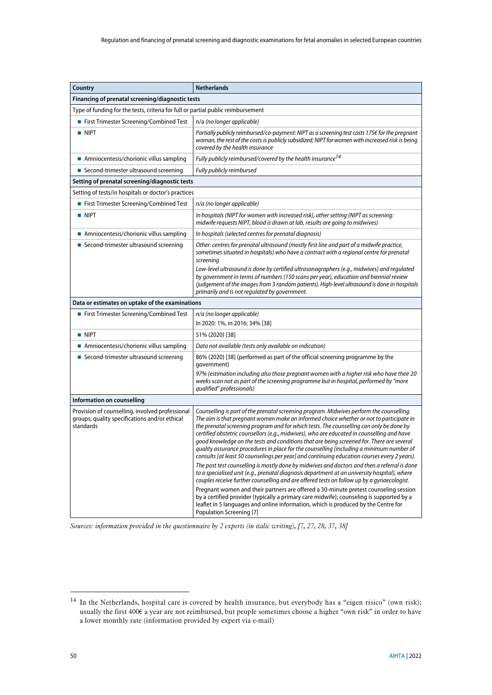| Country                                                                                                       | <b>Netherlands</b>                                                                                                                                                                                                                                                                                                                                                                                                                                                                                                                                                                                                                                                                                                                                                                                                                                                                                                                                                                                                                                                                                                                                                                                                                                                        |  |
|---------------------------------------------------------------------------------------------------------------|---------------------------------------------------------------------------------------------------------------------------------------------------------------------------------------------------------------------------------------------------------------------------------------------------------------------------------------------------------------------------------------------------------------------------------------------------------------------------------------------------------------------------------------------------------------------------------------------------------------------------------------------------------------------------------------------------------------------------------------------------------------------------------------------------------------------------------------------------------------------------------------------------------------------------------------------------------------------------------------------------------------------------------------------------------------------------------------------------------------------------------------------------------------------------------------------------------------------------------------------------------------------------|--|
| Financing of prenatal screening/diagnostic tests                                                              |                                                                                                                                                                                                                                                                                                                                                                                                                                                                                                                                                                                                                                                                                                                                                                                                                                                                                                                                                                                                                                                                                                                                                                                                                                                                           |  |
| Type of funding for the tests, criteria for full or partial public reimbursement                              |                                                                                                                                                                                                                                                                                                                                                                                                                                                                                                                                                                                                                                                                                                                                                                                                                                                                                                                                                                                                                                                                                                                                                                                                                                                                           |  |
| First Trimester Screening/Combined Test                                                                       | n/a (no longer applicable)                                                                                                                                                                                                                                                                                                                                                                                                                                                                                                                                                                                                                                                                                                                                                                                                                                                                                                                                                                                                                                                                                                                                                                                                                                                |  |
| <b>NIPT</b>                                                                                                   | Partially publicly reimbursed/co-payment: NIPT as a screening test costs 175 $\epsilon$ for the pregnant<br>woman, the rest of the costs is publicly subsidized; NIPT for women with increased risk is being<br>covered by the health insurance                                                                                                                                                                                                                                                                                                                                                                                                                                                                                                                                                                                                                                                                                                                                                                                                                                                                                                                                                                                                                           |  |
| Amniocentesis/chorionic villus sampling                                                                       | Fully publicly reimbursed/covered by the health insurance <sup>14</sup>                                                                                                                                                                                                                                                                                                                                                                                                                                                                                                                                                                                                                                                                                                                                                                                                                                                                                                                                                                                                                                                                                                                                                                                                   |  |
| ■ Second-trimester ultrasound screening                                                                       | Fully publicly reimbursed                                                                                                                                                                                                                                                                                                                                                                                                                                                                                                                                                                                                                                                                                                                                                                                                                                                                                                                                                                                                                                                                                                                                                                                                                                                 |  |
| Setting of prenatal screening/diagnostic tests                                                                |                                                                                                                                                                                                                                                                                                                                                                                                                                                                                                                                                                                                                                                                                                                                                                                                                                                                                                                                                                                                                                                                                                                                                                                                                                                                           |  |
| Setting of tests/in hospitals or doctor's practices                                                           |                                                                                                                                                                                                                                                                                                                                                                                                                                                                                                                                                                                                                                                                                                                                                                                                                                                                                                                                                                                                                                                                                                                                                                                                                                                                           |  |
| First Trimester Screening/Combined Test                                                                       | n/a (no longer applicable)                                                                                                                                                                                                                                                                                                                                                                                                                                                                                                                                                                                                                                                                                                                                                                                                                                                                                                                                                                                                                                                                                                                                                                                                                                                |  |
| $\blacksquare$ NIPT                                                                                           | In hospitals (NIPT for women with increased risk), other setting (NIPT as screening:<br>midwife requests NIPT, blood is drawn at lab, results are going to midwives)                                                                                                                                                                                                                                                                                                                                                                                                                                                                                                                                                                                                                                                                                                                                                                                                                                                                                                                                                                                                                                                                                                      |  |
| Amniocentesis/chorionic villus sampling                                                                       | In hospitals (selected centres for prenatal diagnosis)                                                                                                                                                                                                                                                                                                                                                                                                                                                                                                                                                                                                                                                                                                                                                                                                                                                                                                                                                                                                                                                                                                                                                                                                                    |  |
| Second-trimester ultrasound screening                                                                         | Other: centres for prenatal ultrasound (mostly first line and part of a midwife practice,<br>sometimes situated in hospitals) who have a contract with a regional centre for prenatal<br>screening<br>Low-level ultrasound is done by certified ultrasonographers (e.g., midwives) and regulated                                                                                                                                                                                                                                                                                                                                                                                                                                                                                                                                                                                                                                                                                                                                                                                                                                                                                                                                                                          |  |
|                                                                                                               | by government in terms of numbers (150 scans per year), education and biennial review<br>(judgement of the images from 3 random patients). High-level ultrasound is done in hospitals<br>primarily and is not regulated by government.                                                                                                                                                                                                                                                                                                                                                                                                                                                                                                                                                                                                                                                                                                                                                                                                                                                                                                                                                                                                                                    |  |
| Data or estimates on uptake of the examinations                                                               |                                                                                                                                                                                                                                                                                                                                                                                                                                                                                                                                                                                                                                                                                                                                                                                                                                                                                                                                                                                                                                                                                                                                                                                                                                                                           |  |
| First Trimester Screening/Combined Test                                                                       | n/a (no longer applicable)                                                                                                                                                                                                                                                                                                                                                                                                                                                                                                                                                                                                                                                                                                                                                                                                                                                                                                                                                                                                                                                                                                                                                                                                                                                |  |
|                                                                                                               | In 2020: 1%, in 2016: 34% [38]                                                                                                                                                                                                                                                                                                                                                                                                                                                                                                                                                                                                                                                                                                                                                                                                                                                                                                                                                                                                                                                                                                                                                                                                                                            |  |
| <b>NIPT</b>                                                                                                   | 51% (2020) [38]                                                                                                                                                                                                                                                                                                                                                                                                                                                                                                                                                                                                                                                                                                                                                                                                                                                                                                                                                                                                                                                                                                                                                                                                                                                           |  |
| Amniocentesis/chorionic villus sampling                                                                       | Data not available (tests only available on indication)                                                                                                                                                                                                                                                                                                                                                                                                                                                                                                                                                                                                                                                                                                                                                                                                                                                                                                                                                                                                                                                                                                                                                                                                                   |  |
| Second-trimester ultrasound screening                                                                         | 86% (2020) [38] (performed as part of the official screening programme by the<br>qovernment)<br>97% (estimation including also those pregnant women with a higher risk who have their 20<br>weeks scan not as part of the screening programme but in hospital, performed by "more<br>qualified" professionals)                                                                                                                                                                                                                                                                                                                                                                                                                                                                                                                                                                                                                                                                                                                                                                                                                                                                                                                                                            |  |
| Information on counselling                                                                                    |                                                                                                                                                                                                                                                                                                                                                                                                                                                                                                                                                                                                                                                                                                                                                                                                                                                                                                                                                                                                                                                                                                                                                                                                                                                                           |  |
| Provision of counselling, involved professional<br>groups, quality specifications and/or ethical<br>standards | Counselling is part of the prenatal screening program. Midwives perform the counselling.<br>The aim is that pregnant women make an informed choice whether or not to participate in<br>the prenatal screening program and for which tests. The counselling can only be done by<br>certified obstetric counsellors (e.g., midwives), who are educated in counselling and have<br>good knowledge on the tests and conditions that are being screened for. There are several<br>quality assurance procedures in place for the counselling (including a minimum number of<br>consults [at least 50 counselings per year] and continuing education courses every 2 years).<br>The post test counselling is mostly done by midwives and doctors and then a referral is done<br>to a specialised unit (e.g., prenatal diagnosis department at an university hospital), where<br>couples receive further counselling and are offered tests on follow up by a gynaecologist.<br>Pregnant women and their partners are offered a 30-minute pretest counseling session<br>by a certified provider (typically a primary care midwife); counseling is supported by a<br>leaflet in 5 languages and online information, which is produced by the Centre for<br>Population Screening [7] |  |

*Sources: information provided in the questionnaire by 2 experts (in italic writing), [\[7,](#page-42-7) [27,](#page-43-9) [28,](#page-43-10) [37,](#page-44-3) [38\]](#page-44-4)*

-

<sup>&</sup>lt;sup>14</sup> In the Netherlands, hospital care is covered by health insurance, but everybody has a "eigen risico" (own risk); usually the first 400€ a year are not reimbursed, but people sometimes choose a higher "own risk" in order to have a lower monthly rate (information provided by expert via e-mail)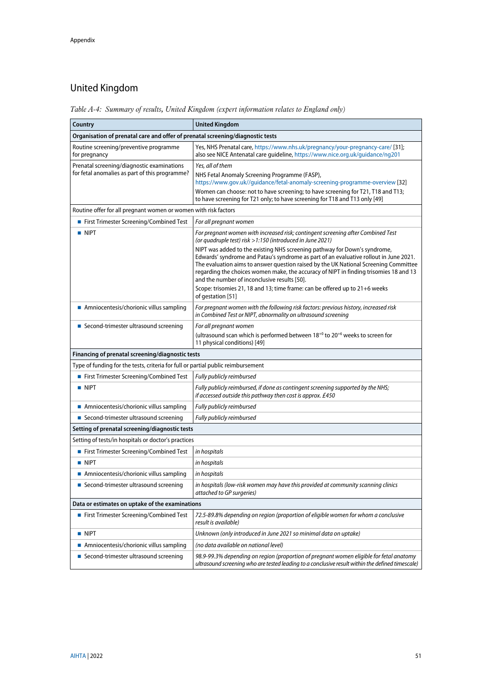# <span id="page-50-0"></span>United Kingdom

<span id="page-50-1"></span>*Table A-4: Summary of results, United Kingdom (expert information relates to England only)*

| Country                                                                                      | <b>United Kingdom</b>                                                                                                                                                                                                                                                                                                  |  |
|----------------------------------------------------------------------------------------------|------------------------------------------------------------------------------------------------------------------------------------------------------------------------------------------------------------------------------------------------------------------------------------------------------------------------|--|
| Organisation of prenatal care and offer of prenatal screening/diagnostic tests               |                                                                                                                                                                                                                                                                                                                        |  |
| Routine screening/preventive programme<br>for pregnancy                                      | Yes, NHS Prenatal care, https://www.nhs.uk/pregnancy/your-pregnancy-care/ [31];<br>also see NICE Antenatal care guideline, https://www.nice.org.uk/guidance/ng201                                                                                                                                                      |  |
| Prenatal screening/diagnostic examinations<br>for fetal anomalies as part of this programme? | Yes, all of them<br>NHS Fetal Anomaly Screening Programme (FASP),<br>https://www.gov.uk//guidance/fetal-anomaly-screening-programme-overview [32]<br>Women can choose: not to have screening; to have screening for T21, T18 and T13;<br>to have screening for T21 only; to have screening for T18 and T13 only [49]   |  |
| Routine offer for all pregnant women or women with risk factors                              |                                                                                                                                                                                                                                                                                                                        |  |
| ■ First Trimester Screening/Combined Test                                                    | For all pregnant women                                                                                                                                                                                                                                                                                                 |  |
| <b>NIPT</b>                                                                                  | For pregnant women with increased risk; contingent screening after Combined Test<br>(or quadruple test) risk > 1:150 (introduced in June 2021)<br>NIPT was added to the existing NHS screening pathway for Down's syndrome,                                                                                            |  |
|                                                                                              | Edwards' syndrome and Patau's syndrome as part of an evaluative rollout in June 2021.<br>The evaluation aims to answer question raised by the UK National Screening Committee<br>regarding the choices women make, the accuracy of NIPT in finding trisomies 18 and 13<br>and the number of inconclusive results [50]. |  |
|                                                                                              | Scope: trisomies 21, 18 and 13; time frame: can be offered up to 21+6 weeks<br>of gestation [51]                                                                                                                                                                                                                       |  |
| Amniocentesis/chorionic villus sampling                                                      | For pregnant women with the following risk factors: previous history, increased risk<br>in Combined Test or NIPT, abnormality on ultrasound screening                                                                                                                                                                  |  |
| ■ Second-trimester ultrasound screening                                                      | For all pregnant women                                                                                                                                                                                                                                                                                                 |  |
|                                                                                              | (ultrasound scan which is performed between $18^{+0}$ to $20^{+6}$ weeks to screen for<br>11 physical conditions) [49]                                                                                                                                                                                                 |  |
| Financing of prenatal screening/diagnostic tests                                             |                                                                                                                                                                                                                                                                                                                        |  |
| Type of funding for the tests, criteria for full or partial public reimbursement             |                                                                                                                                                                                                                                                                                                                        |  |
| First Trimester Screening/Combined Test                                                      | Fully publicly reimbursed                                                                                                                                                                                                                                                                                              |  |
| <b>NIPT</b>                                                                                  | Fully publicly reimbursed, if done as contingent screening supported by the NHS;<br>if accessed outside this pathway then cost is approx. £450                                                                                                                                                                         |  |
| Amniocentesis/chorionic villus sampling                                                      | Fully publicly reimbursed                                                                                                                                                                                                                                                                                              |  |
| ■ Second-trimester ultrasound screening                                                      | Fully publicly reimbursed                                                                                                                                                                                                                                                                                              |  |
| Setting of prenatal screening/diagnostic tests                                               |                                                                                                                                                                                                                                                                                                                        |  |
| Setting of tests/in hospitals or doctor's practices                                          |                                                                                                                                                                                                                                                                                                                        |  |
| First Trimester Screening/Combined Test                                                      | in hospitals                                                                                                                                                                                                                                                                                                           |  |
| $\blacksquare$ NIPT                                                                          | in hospitals                                                                                                                                                                                                                                                                                                           |  |
| Amniocentesis/chorionic villus sampling                                                      | in hospitals                                                                                                                                                                                                                                                                                                           |  |
| ■ Second-trimester ultrasound screening                                                      | in hospitals (low-risk women may have this provided at community scanning clinics<br>attached to GP surgeries)                                                                                                                                                                                                         |  |
| Data or estimates on uptake of the examinations                                              |                                                                                                                                                                                                                                                                                                                        |  |
| ■ First Trimester Screening/Combined Test                                                    | 72.5-89.8% depending on region (proportion of eligible women for whom a conclusive<br>result is available)                                                                                                                                                                                                             |  |
| <b>NIPT</b>                                                                                  | Unknown (only introduced in June 2021 so minimal data on uptake)                                                                                                                                                                                                                                                       |  |
| Amniocentesis/chorionic villus sampling                                                      | (no data available on national level)                                                                                                                                                                                                                                                                                  |  |
| ■ Second-trimester ultrasound screening                                                      | 98.9-99.3% depending on region (proportion of pregnant women eligible for fetal anatomy<br>ultrasound screening who are tested leading to a conclusive result within the defined timescale)                                                                                                                            |  |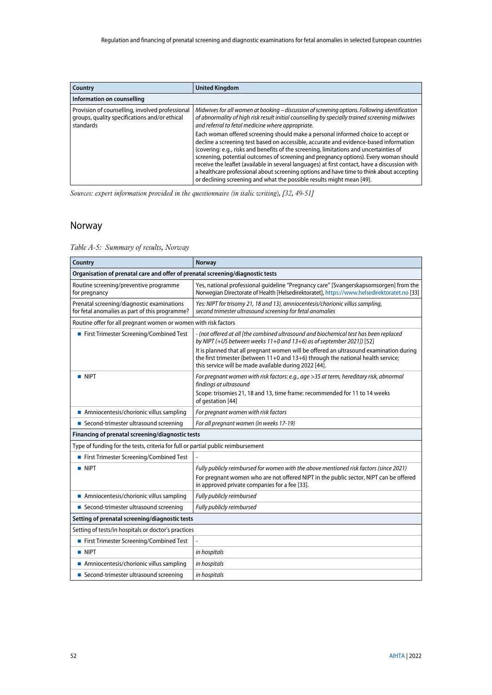| Country                                                                                                       | <b>United Kingdom</b>                                                                                                                                                                                                                                                                                                                                                                                                                                                                                                                                                                                                              |
|---------------------------------------------------------------------------------------------------------------|------------------------------------------------------------------------------------------------------------------------------------------------------------------------------------------------------------------------------------------------------------------------------------------------------------------------------------------------------------------------------------------------------------------------------------------------------------------------------------------------------------------------------------------------------------------------------------------------------------------------------------|
| Information on counselling                                                                                    |                                                                                                                                                                                                                                                                                                                                                                                                                                                                                                                                                                                                                                    |
| Provision of counselling, involved professional<br>groups, quality specifications and/or ethical<br>standards | Midwives for all women at booking - discussion of screening options. Following identification<br>of abnormality of high risk result initial counselling by specially trained screening midwives<br>and referral to fetal medicine where appropriate.                                                                                                                                                                                                                                                                                                                                                                               |
|                                                                                                               | Each woman offered screening should make a personal informed choice to accept or<br>decline a screening test based on accessible, accurate and evidence-based information<br>(covering: e.g., risks and benefits of the screening, limitations and uncertainties of<br>screening, potential outcomes of screening and pregnancy options). Every woman should<br>receive the leaflet (available in several languages) at first contact, have a discussion with<br>a healthcare professional about screening options and have time to think about accepting<br>or declining screening and what the possible results might mean [49]. |

*Sources: expert information provided in the questionnaire (in italic writing), [\[32,](#page-43-14) [49-51\]](#page-44-15)*

## <span id="page-51-0"></span>Norway

<span id="page-51-1"></span>*Table A-5: Summary of results, Norway*

| Country                                                                                      | <b>Norway</b>                                                                                                                                                                                                                       |  |  |
|----------------------------------------------------------------------------------------------|-------------------------------------------------------------------------------------------------------------------------------------------------------------------------------------------------------------------------------------|--|--|
|                                                                                              | Organisation of prenatal care and offer of prenatal screening/diagnostic tests                                                                                                                                                      |  |  |
| Routine screening/preventive programme<br>for pregnancy                                      | Yes, national professional guideline "Pregnancy care" [Svangerskapsomsorgen] from the<br>Norwegian Directorate of Health [Helsedirektoratet], https://www.helsedirektoratet.no [33]                                                 |  |  |
| Prenatal screening/diagnostic examinations<br>for fetal anomalies as part of this programme? | Yes: NIPT for trisomy 21, 18 and 13), amniocentesis/chorionic villus sampling,<br>second trimester ultrasound screening for fetal anomalies                                                                                         |  |  |
| Routine offer for all pregnant women or women with risk factors                              |                                                                                                                                                                                                                                     |  |  |
| First Trimester Screening/Combined Test                                                      | - (not offered at all [the combined ultrasound and biochemical test has been replaced<br>by NIPT (+US between weeks $11+0$ and $13+6$ ) as of september 2021]) [52]                                                                 |  |  |
|                                                                                              | It is planned that all pregnant women will be offered an ultrasound examination during<br>the first trimester (between 11+0 and 13+6) through the national health service;<br>this service will be made available during 2022 [44]. |  |  |
| <b>NIPT</b>                                                                                  | For pregnant women with risk factors: e.g., age >35 at term, hereditary risk, abnormal<br>findings at ultrasound                                                                                                                    |  |  |
|                                                                                              | Scope: trisomies 21, 18 and 13, time frame: recommended for 11 to 14 weeks<br>of gestation [44]                                                                                                                                     |  |  |
| Amniocentesis/chorionic villus sampling                                                      | For pregnant women with risk factors                                                                                                                                                                                                |  |  |
| ■ Second-trimester ultrasound screening                                                      | For all pregnant women (in weeks 17-19)                                                                                                                                                                                             |  |  |
| Financing of prenatal screening/diagnostic tests                                             |                                                                                                                                                                                                                                     |  |  |
| Type of funding for the tests, criteria for full or partial public reimbursement             |                                                                                                                                                                                                                                     |  |  |
| First Trimester Screening/Combined Test                                                      |                                                                                                                                                                                                                                     |  |  |
| $\blacksquare$ NIPT                                                                          | Fully publicly reimbursed for women with the above mentioned risk factors (since 2021)                                                                                                                                              |  |  |
|                                                                                              | For pregnant women who are not offered NIPT in the public sector, NIPT can be offered<br>in approved private companies for a fee [33].                                                                                              |  |  |
| Amniocentesis/chorionic villus sampling                                                      | Fully publicly reimbursed                                                                                                                                                                                                           |  |  |
| ■ Second-trimester ultrasound screening                                                      | Fully publicly reimbursed                                                                                                                                                                                                           |  |  |
| Setting of prenatal screening/diagnostic tests                                               |                                                                                                                                                                                                                                     |  |  |
| Setting of tests/in hospitals or doctor's practices                                          |                                                                                                                                                                                                                                     |  |  |
| First Trimester Screening/Combined Test                                                      |                                                                                                                                                                                                                                     |  |  |
| $\blacksquare$ NIPT                                                                          | in hospitals                                                                                                                                                                                                                        |  |  |
| Amniocentesis/chorionic villus sampling                                                      | in hospitals                                                                                                                                                                                                                        |  |  |
| ■ Second-trimester ultrasound screening                                                      | in hospitals                                                                                                                                                                                                                        |  |  |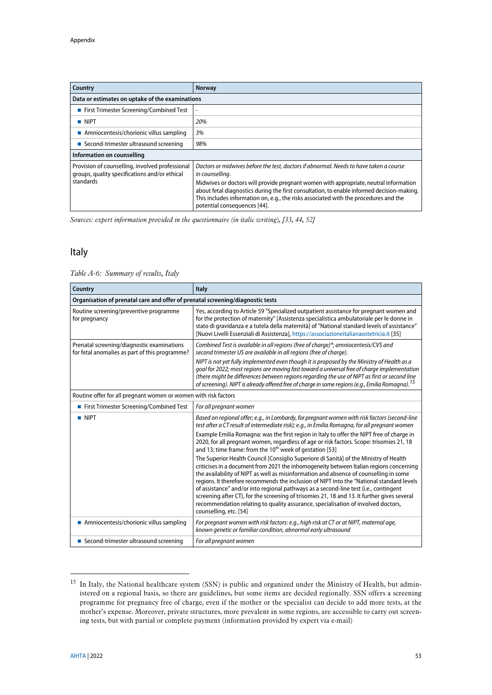| <b>Country</b>                                                                                                | <b>Norway</b>                                                                                                                                                                                                                                                                                               |  |
|---------------------------------------------------------------------------------------------------------------|-------------------------------------------------------------------------------------------------------------------------------------------------------------------------------------------------------------------------------------------------------------------------------------------------------------|--|
| Data or estimates on uptake of the examinations                                                               |                                                                                                                                                                                                                                                                                                             |  |
| ■ First Trimester Screening/Combined Test                                                                     |                                                                                                                                                                                                                                                                                                             |  |
| $\blacksquare$ NIPT                                                                                           | 20%                                                                                                                                                                                                                                                                                                         |  |
| Amniocentesis/chorionic villus sampling                                                                       | 3%                                                                                                                                                                                                                                                                                                          |  |
| ■ Second-trimester ultrasound screening                                                                       | 98%                                                                                                                                                                                                                                                                                                         |  |
| Information on counselling                                                                                    |                                                                                                                                                                                                                                                                                                             |  |
| Provision of counselling, involved professional<br>groups, quality specifications and/or ethical<br>standards | Doctors or midwives before the test, doctors if abnormal. Needs to have taken a course<br>in counselling.                                                                                                                                                                                                   |  |
|                                                                                                               | Midwives or doctors will provide pregnant women with appropriate, neutral information<br>about fetal diagnostics during the first consultation, to enable informed decision-making.<br>This includes information on, e.g., the risks associated with the procedures and the<br>potential consequences [44]. |  |

*Sources: expert information provided in the questionnaire (in italic writing), [\[33,](#page-43-15) [44,](#page-44-10) [52\]](#page-45-2)*

## <span id="page-52-0"></span>Italy

<span id="page-52-1"></span>

| Table A-6: Summary of results, Italy |
|--------------------------------------|
|                                      |

| Country                                                                                      | <b>Italy</b>                                                                                                                                                                                                                                                                                                                                                                                                                                                                                                                                                                        |  |
|----------------------------------------------------------------------------------------------|-------------------------------------------------------------------------------------------------------------------------------------------------------------------------------------------------------------------------------------------------------------------------------------------------------------------------------------------------------------------------------------------------------------------------------------------------------------------------------------------------------------------------------------------------------------------------------------|--|
| Organisation of prenatal care and offer of prenatal screening/diagnostic tests               |                                                                                                                                                                                                                                                                                                                                                                                                                                                                                                                                                                                     |  |
| Routine screening/preventive programme<br>for pregnancy                                      | Yes, according to Article 59 "Specialized outpatient assistance for pregnant women and<br>for the protection of maternity" [Assistenza specialistica ambulatoriale per le donne in<br>stato di gravidanza e a tutela della maternità] of "National standard levels of assistance"<br>[Nuovi Livelli Essenziali di Assistenza], https://associazioneitalianaostetricia.it [35]                                                                                                                                                                                                       |  |
| Prenatal screening/diagnostic examinations<br>for fetal anomalies as part of this programme? | Combined Test is available in all regions (free of charge)*; amniocentesis/CVS and<br>second trimester US are available in all regions (free of charge).                                                                                                                                                                                                                                                                                                                                                                                                                            |  |
|                                                                                              | NIPT is not yet fully implemented even though it is proposed by the Ministry of Health as a<br>goal for 2022; most regions are moving fast toward a universal free of charge implementation<br>(there might be differences between regions regarding the use of NIPT as first or second line<br>of screening). NIPT is already offered free of charge in some regions (e.g., Emilia Romagna). <sup>15</sup>                                                                                                                                                                         |  |
| Routine offer for all pregnant women or women with risk factors                              |                                                                                                                                                                                                                                                                                                                                                                                                                                                                                                                                                                                     |  |
| First Trimester Screening/Combined Test                                                      | For all pregnant women                                                                                                                                                                                                                                                                                                                                                                                                                                                                                                                                                              |  |
| $\blacksquare$ NIPT                                                                          | Based on regional offer; e.g., in Lombardy, for pregnant women with risk factors (second-line<br>test after a CT result of intermediate risk); e.g., in Emilia Romagna, for all pregnant women<br>Example Emilia Romagna: was the first region in Italy to offer the NIPT free of charge in<br>2020, for all pregnant women, regardless of age or risk factors. Scope: trisomies 21, 18<br>and 13; time frame: from the 10 <sup>th</sup> week of gestation [53]<br>The Superior Health Council [Consiglio Superiore di Sanità] of the Ministry of Health                            |  |
|                                                                                              | criticises in a document from 2021 the inhomogeneity between Italian regions concerning<br>the availability of NIPT as well as misinformation and absence of counselling in some<br>regions. It therefore recommends the inclusion of NIPT into the "National standard levels<br>of assistance" and/or into regional pathways as a second-line test (i.e., contingent<br>screening after CT), for the screening of trisomies 21, 18 and 13. It further gives several<br>recommendation relating to quality assurance, specialisation of involved doctors,<br>counselling, etc. [54] |  |
| Amniocentesis/chorionic villus sampling                                                      | For pregnant women with risk factors: e.g., high risk at CT or at NIPT, maternal age,<br>known genetic or familiar condition, abnormal early ultrasound                                                                                                                                                                                                                                                                                                                                                                                                                             |  |
| ■ Second-trimester ultrasound screening                                                      | For all pregnant women                                                                                                                                                                                                                                                                                                                                                                                                                                                                                                                                                              |  |

<sup>&</sup>lt;sup>15</sup> In Italy, the National healthcare system (SSN) is public and organized under the Ministry of Health, but administered on a regional basis, so there are guidelines, but some items are decided regionally. SSN offers a screening programme for pregnancy free of charge, even if the mother or the specialist can decide to add more tests, at the mother's expense. Moreover, private structures, more prevalent in some regions, are accessible to carry out screening tests, but with partial or complete payment (information provided by expert via e-mail)

-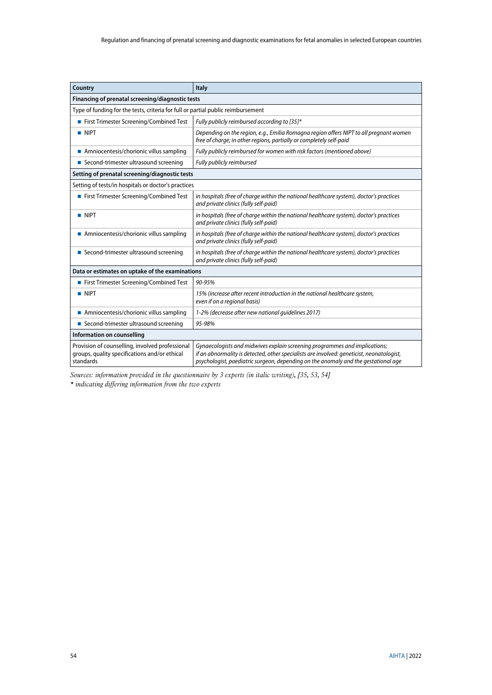| Country                                                                                                       | <b>Italy</b>                                                                                                                                                                                                                                                  |  |  |
|---------------------------------------------------------------------------------------------------------------|---------------------------------------------------------------------------------------------------------------------------------------------------------------------------------------------------------------------------------------------------------------|--|--|
| Financing of prenatal screening/diagnostic tests                                                              |                                                                                                                                                                                                                                                               |  |  |
| Type of funding for the tests, criteria for full or partial public reimbursement                              |                                                                                                                                                                                                                                                               |  |  |
| First Trimester Screening/Combined Test                                                                       | Fully publicly reimbursed according to [35]*                                                                                                                                                                                                                  |  |  |
| <b>NIPT</b>                                                                                                   | Depending on the region, e.g., Emilia Romagna region offers NIPT to all pregnant women<br>free of charge; in other regions, partially or completely self-paid                                                                                                 |  |  |
| Amniocentesis/chorionic villus sampling                                                                       | Fully publicly reimbursed for women with risk factors (mentioned above)                                                                                                                                                                                       |  |  |
| ■ Second-trimester ultrasound screening                                                                       | Fully publicly reimbursed                                                                                                                                                                                                                                     |  |  |
| Setting of prenatal screening/diagnostic tests                                                                |                                                                                                                                                                                                                                                               |  |  |
| Setting of tests/in hospitals or doctor's practices                                                           |                                                                                                                                                                                                                                                               |  |  |
| First Trimester Screening/Combined Test                                                                       | in hospitals (free of charge within the national healthcare system), doctor's practices<br>and private clinics (fully self-paid)                                                                                                                              |  |  |
| <b>NIPT</b>                                                                                                   | in hospitals (free of charge within the national healthcare system), doctor's practices<br>and private clinics (fully self-paid)                                                                                                                              |  |  |
| Amniocentesis/chorionic villus sampling                                                                       | in hospitals (free of charge within the national healthcare system), doctor's practices<br>and private clinics (fully self-paid)                                                                                                                              |  |  |
| ■ Second-trimester ultrasound screening                                                                       | in hospitals (free of charge within the national healthcare system), doctor's practices<br>and private clinics (fully self-paid)                                                                                                                              |  |  |
| Data or estimates on uptake of the examinations                                                               |                                                                                                                                                                                                                                                               |  |  |
| First Trimester Screening/Combined Test                                                                       | 90-95%                                                                                                                                                                                                                                                        |  |  |
| <b>NIPT</b>                                                                                                   | 15% (increase after recent introduction in the national healthcare system,<br>even if on a regional basis)                                                                                                                                                    |  |  |
| Amniocentesis/chorionic villus sampling                                                                       | 1-2% (decrease after new national quidelines 2017)                                                                                                                                                                                                            |  |  |
| ■ Second-trimester ultrasound screening                                                                       | 95-98%                                                                                                                                                                                                                                                        |  |  |
| Information on counselling                                                                                    |                                                                                                                                                                                                                                                               |  |  |
| Provision of counselling, involved professional<br>groups, quality specifications and/or ethical<br>standards | Gynaecologists and midwives explain screening programmes and implications;<br>if an abnormality is detected, other specialists are involved: geneticist, neonatologist,<br>psychologist, paediatric surgeon, depending on the anomaly and the gestational age |  |  |

*Sources: information provided in the questionnaire by 3 experts (in italic writing), [\[35,](#page-44-1) [53,](#page-45-3) [54\]](#page-45-4) \* indicating differing information from the two experts*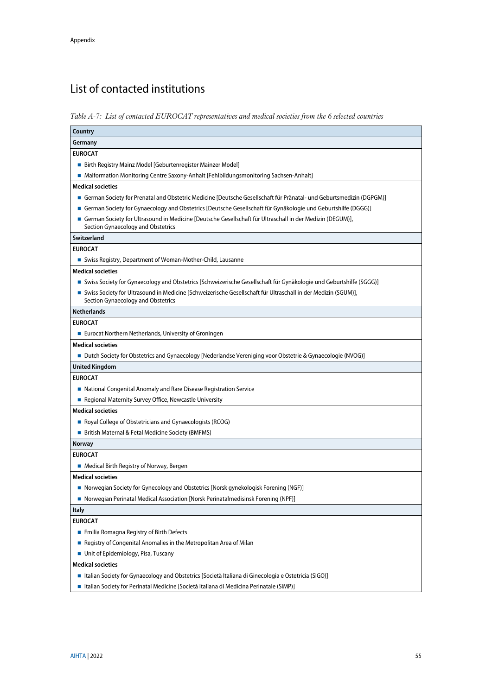# <span id="page-54-0"></span>List of contacted institutions

<span id="page-54-1"></span>*Table A-7: List of contacted EUROCAT representatives and medical societies from the 6 selected countries*

| Country                                                                                                                                               |
|-------------------------------------------------------------------------------------------------------------------------------------------------------|
| Germany                                                                                                                                               |
| <b>EUROCAT</b>                                                                                                                                        |
| ■ Birth Registry Mainz Model [Geburtenregister Mainzer Model]                                                                                         |
| ■ Malformation Monitoring Centre Saxony-Anhalt [Fehlbildungsmonitoring Sachsen-Anhalt]                                                                |
| <b>Medical societies</b>                                                                                                                              |
| German Society for Prenatal and Obstetric Medicine [Deutsche Gesellschaft für Pränatal- und Geburtsmedizin (DGPGM)]                                   |
| German Society for Gynaecology and Obstetrics [Deutsche Gesellschaft für Gynäkologie und Geburtshilfe (DGGG)]                                         |
| ■ German Society for Ultrasound in Medicine [Deutsche Gesellschaft für Ultraschall in der Medizin (DEGUM)],<br>Section Gynaecology and Obstetrics     |
| Switzerland                                                                                                                                           |
| <b>EUROCAT</b>                                                                                                                                        |
| Swiss Registry, Department of Woman-Mother-Child, Lausanne                                                                                            |
| <b>Medical societies</b>                                                                                                                              |
| Swiss Society for Gynaecology and Obstetrics [Schweizerische Gesellschaft für Gynäkologie und Geburtshilfe (SGGG)]                                    |
| ■ Swiss Society for Ultrasound in Medicine [Schweizerische Gesellschaft für Ultraschall in der Medizin (SGUM)],<br>Section Gynaecology and Obstetrics |
| <b>Netherlands</b>                                                                                                                                    |
| <b>EUROCAT</b>                                                                                                                                        |
| ■ Eurocat Northern Netherlands, University of Groningen                                                                                               |
| <b>Medical societies</b>                                                                                                                              |
| ■ Dutch Society for Obstetrics and Gynaecology [Nederlandse Vereniging voor Obstetrie & Gynaecologie (NVOG)]                                          |
| <b>United Kingdom</b>                                                                                                                                 |
| <b>EUROCAT</b>                                                                                                                                        |
| • National Congenital Anomaly and Rare Disease Registration Service                                                                                   |
| Regional Maternity Survey Office, Newcastle University                                                                                                |
| <b>Medical societies</b>                                                                                                                              |
| Royal College of Obstetricians and Gynaecologists (RCOG)                                                                                              |
| ■ British Maternal & Fetal Medicine Society (BMFMS)                                                                                                   |
| <b>Norway</b>                                                                                                                                         |
| <b>EUROCAT</b>                                                                                                                                        |
| • Medical Birth Registry of Norway, Bergen                                                                                                            |
| <b>Medical societies</b>                                                                                                                              |
| ■ Norwegian Society for Gynecology and Obstetrics [Norsk gynekologisk Forening (NGF)]                                                                 |
| ■ Norwegian Perinatal Medical Association [Norsk Perinatalmedisinsk Forening (NPF)]                                                                   |
| <b>Italy</b>                                                                                                                                          |
| <b>EUROCAT</b>                                                                                                                                        |
| Emilia Romagna Registry of Birth Defects                                                                                                              |
| Registry of Congenital Anomalies in the Metropolitan Area of Milan                                                                                    |
| Unit of Epidemiology, Pisa, Tuscany                                                                                                                   |
| <b>Medical societies</b>                                                                                                                              |
| Italian Society for Gynaecology and Obstetrics [Società Italiana di Ginecologia e Ostetricia (SIGO)]                                                  |
| ■ Italian Society for Perinatal Medicine [Società Italiana di Medicina Perinatale (SIMP)]                                                             |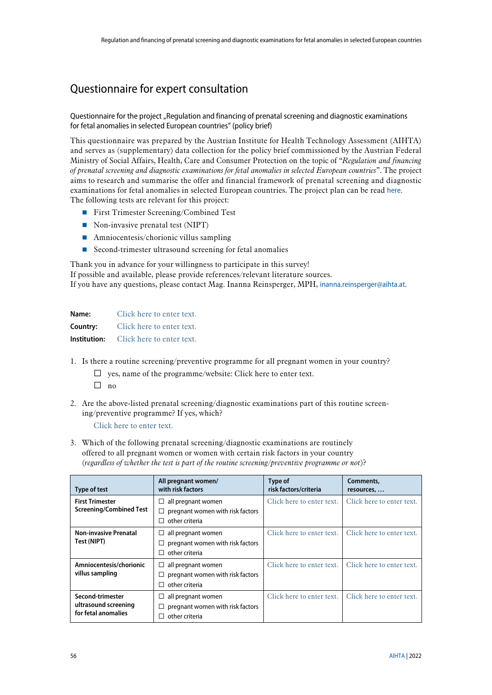# <span id="page-55-0"></span>Questionnaire for expert consultation

#### Questionnaire for the project "Regulation and financing of prenatal screening and diagnostic examinations for fetal anomalies in selected European countries" (policy brief)

This questionnaire was prepared by the Austrian Institute for Health Technology Assessment (AIHTA) and serves as (supplementary) data collection for the policy brief commissioned by the Austrian Federal Ministry of Social Affairs, Health, Care and Consumer Protection on the topic of "*Regulation and financing of prenatal screening and diagnostic examinations for fetal anomalies in selected European countries*". The project aims to research and summarise the offer and financial framework of prenatal screening and diagnostic examinations for fetal anomalies in selected European countries. The project plan can be read [here](https://aihta.at/page/regelung-und-finanzierung-von-praenataldiagnostischen-untersuchungen-in-ausgewaehlten-europaeischen-laendern-policy-brief/en). The following tests are relevant for this project:

- **First Trimester Screening/Combined Test**
- Non-invasive prenatal test (NIPT)
- **Amniocentesis/chorionic villus sampling**
- Second-trimester ultrasound screening for fetal anomalies

Thank you in advance for your willingness to participate in this survey!

If possible and available, please provide references/relevant literature sources.

If you have any questions, please contact Mag. Inanna Reinsperger, MPH, [inanna.reinsperger@aihta.at](mailto:inanna.reinsperger@aihta.at).

| Name:        | Click here to enter text. |
|--------------|---------------------------|
| Country:     | Click here to enter text. |
| Institution: | Click here to enter text. |

- 1. Is there a routine screening/preventive programme for all pregnant women in your country?
	- $\Box$  yes, name of the programme/website: Click here to enter text.
	- $\Box$  no
- 2. Are the above-listed prenatal screening/diagnostic examinations part of this routine screening/preventive programme? If yes, which?

Click here to enter text.

3. Which of the following prenatal screening/diagnostic examinations are routinely offered to all pregnant women or women with certain risk factors in your country (*regardless of whether the test is part of the routine screening/preventive programme or not*)?

| Type of test                                                    | All pregnant women/<br>with risk factors                                                | Type of<br>risk factors/criteria | Comments,<br>resources,   |
|-----------------------------------------------------------------|-----------------------------------------------------------------------------------------|----------------------------------|---------------------------|
| <b>First Trimester</b><br><b>Screening/Combined Test</b>        | all pregnant women<br>⊔<br>pregnant women with risk factors<br>other criteria<br>П      | Click here to enter text.        | Click here to enter text. |
| <b>Non-invasive Prenatal</b><br>Test (NIPT)                     | all pregnant women<br>ப<br>pregnant women with risk factors<br>other criteria<br>ΙI     | Click here to enter text.        | Click here to enter text. |
| Amniocentesis/chorionic<br>villus sampling                      | all pregnant women<br>⊔<br>pregnant women with risk factors<br>□<br>other criteria<br>П | Click here to enter text.        | Click here to enter text. |
| Second-trimester<br>ultrasound screening<br>for fetal anomalies | all pregnant women<br>ப<br>pregnant women with risk factors<br>other criteria           | Click here to enter text.        | Click here to enter text. |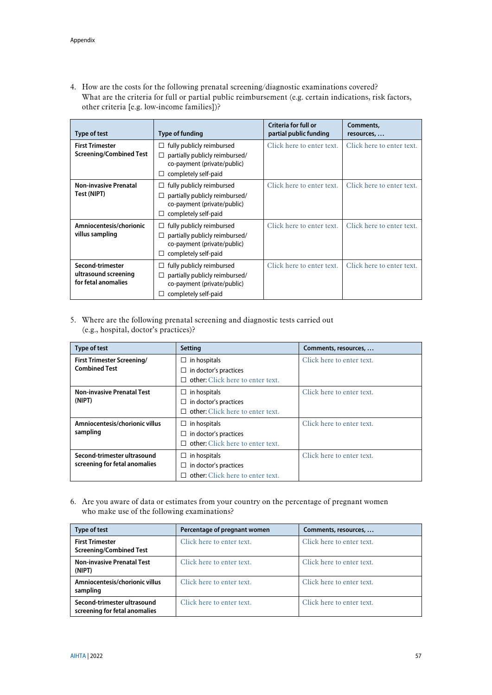4. How are the costs for the following prenatal screening/diagnostic examinations covered? What are the criteria for full or partial public reimbursement (e.g. certain indications, risk factors, other criteria [e.g. low-income families])?

| <b>Type of test</b>                                             | Type of funding                                                                                                                   | Criteria for full or<br>partial public funding | Comments,<br>resources,   |
|-----------------------------------------------------------------|-----------------------------------------------------------------------------------------------------------------------------------|------------------------------------------------|---------------------------|
| <b>First Trimester</b><br><b>Screening/Combined Test</b>        | fully publicly reimbursed<br>□<br>partially publicly reimbursed/<br>□<br>co-payment (private/public)<br>completely self-paid<br>□ | Click here to enter text.                      | Click here to enter text. |
| <b>Non-invasive Prenatal</b><br>Test (NIPT)                     | fully publicly reimbursed<br>□<br>partially publicly reimbursed/<br>□<br>co-payment (private/public)<br>completely self-paid<br>□ | Click here to enter text.                      | Click here to enter text. |
| Amniocentesis/chorionic<br>villus sampling                      | fully publicly reimbursed<br>□<br>partially publicly reimbursed/<br>□<br>co-payment (private/public)<br>completely self-paid<br>□ | Click here to enter text.                      | Click here to enter text. |
| Second-trimester<br>ultrasound screening<br>for fetal anomalies | fully publicly reimbursed<br>partially publicly reimbursed/<br>co-payment (private/public)<br>completely self-paid                | Click here to enter text.                      | Click here to enter text. |

5. Where are the following prenatal screening and diagnostic tests carried out (e.g., hospital, doctor's practices)?

| <b>Type of test</b>               | <b>Setting</b>                          | Comments, resources,      |
|-----------------------------------|-----------------------------------------|---------------------------|
| <b>First Trimester Screening/</b> | in hospitals<br>ப                       | Click here to enter text. |
| <b>Combined Test</b>              | in doctor's practices<br>ப              |                           |
|                                   | $\Box$ other: Click here to enter text. |                           |
| <b>Non-invasive Prenatal Test</b> | $\Box$ in hospitals                     | Click here to enter text. |
| (NIPT)                            | $\Box$ in doctor's practices            |                           |
|                                   | other: Click here to enter text.<br>П.  |                           |
| Amniocentesis/chorionic villus    | in hospitals<br>⊔                       | Click here to enter text. |
| sampling                          | $\Box$ in doctor's practices            |                           |
|                                   | other: Click here to enter text.        |                           |
| Second-trimester ultrasound       | $\Box$ in hospitals                     | Click here to enter text. |
| screening for fetal anomalies     | $\Box$ in doctor's practices            |                           |
|                                   | other: Click here to enter text.        |                           |

6. Are you aware of data or estimates from your country on the percentage of pregnant women who make use of the following examinations?

| <b>Type of test</b>                                          | Percentage of pregnant women | Comments, resources,      |
|--------------------------------------------------------------|------------------------------|---------------------------|
| <b>First Trimester</b><br><b>Screening/Combined Test</b>     | Click here to enter text.    | Click here to enter text. |
| <b>Non-invasive Prenatal Test</b><br>(NIPT)                  | Click here to enter text.    | Click here to enter text. |
| Amniocentesis/chorionic villus<br>sampling                   | Click here to enter text.    | Click here to enter text. |
| Second-trimester ultrasound<br>screening for fetal anomalies | Click here to enter text.    | Click here to enter text. |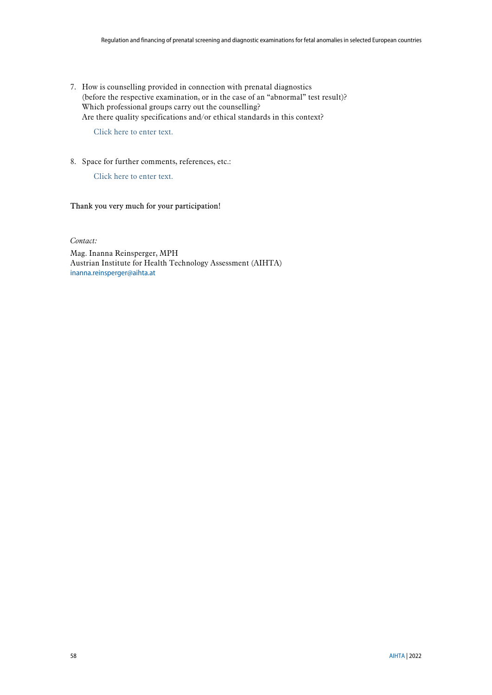7. How is counselling provided in connection with prenatal diagnostics (before the respective examination, or in the case of an "abnormal" test result)? Which professional groups carry out the counselling? Are there quality specifications and/or ethical standards in this context?

Click here to enter text.

8. Space for further comments, references, etc.:

Click here to enter text.

Thank you very much for your participation!

*Contact:*

Mag. Inanna Reinsperger, MPH Austrian Institute for Health Technology Assessment (AIHTA) [inanna.reinsperger@aihta.at](mailto:inanna.reinsperger@aihta.at)